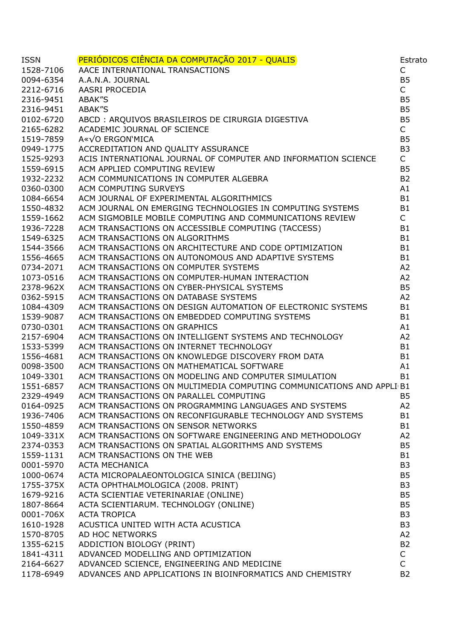| <b>ISSN</b> | PERIÓDICOS CIÊNCIA DA COMPUTAÇÃO 2017 - QUALIS<br>AACE INTERNATIONAL TRANSACTIONS<br>A.A.N.A. JOURNAL<br>AASRI PROCEDIA<br>ABAK"S<br>ABAK"S<br>ABAK"S<br>AEQUIVOS BRASILEIROS DE CIRURGIA DIGESTIVA<br>ACADEMIC JOURNAL OF SCIENCE<br>A«√O ERGON`MICA<br>ACC | Estrato        |
|-------------|--------------------------------------------------------------------------------------------------------------------------------------------------------------------------------------------------------------------------------------------------------------|----------------|
| 1528-7106   |                                                                                                                                                                                                                                                              | $\mathsf{C}$   |
| 0094-6354   |                                                                                                                                                                                                                                                              | <b>B5</b>      |
| 2212-6716   |                                                                                                                                                                                                                                                              | $\mathsf{C}$   |
| 2316-9451   |                                                                                                                                                                                                                                                              | <b>B5</b>      |
| 2316-9451   |                                                                                                                                                                                                                                                              | <b>B5</b>      |
| 0102-6720   |                                                                                                                                                                                                                                                              | <b>B5</b>      |
| 2165-6282   |                                                                                                                                                                                                                                                              | $\mathsf{C}$   |
| 1519-7859   |                                                                                                                                                                                                                                                              | <b>B5</b>      |
| 0949-1775   |                                                                                                                                                                                                                                                              | B <sub>3</sub> |
| 1525-9293   | ACIS INTERNATIONAL JOURNAL OF COMPUTER AND INFORMATION SCIENCE                                                                                                                                                                                               | $\mathsf{C}$   |
| 1559-6915   | ACM APPLIED COMPUTING REVIEW                                                                                                                                                                                                                                 | <b>B5</b>      |
| 1932-2232   | ACM COMMUNICATIONS IN COMPUTER ALGEBRA                                                                                                                                                                                                                       | B <sub>2</sub> |
| 0360-0300   | ACM COMPUTING SURVEYS                                                                                                                                                                                                                                        | A1             |
| 1084-6654   | ACM JOURNAL OF EXPERIMENTAL ALGORITHMICS                                                                                                                                                                                                                     | <b>B1</b>      |
| 1550-4832   | ACM JOURNAL ON EMERGING TECHNOLOGIES IN COMPUTING SYSTEMS                                                                                                                                                                                                    | <b>B1</b>      |
| 1559-1662   | ACM SIGMOBILE MOBILE COMPUTING AND COMMUNICATIONS REVIEW                                                                                                                                                                                                     | $\mathsf{C}$   |
| 1936-7228   | ACM TRANSACTIONS ON ACCESSIBLE COMPUTING (TACCESS)                                                                                                                                                                                                           | <b>B1</b>      |
| 1549-6325   | ACM TRANSACTIONS ON ALGORITHMS                                                                                                                                                                                                                               | <b>B1</b>      |
| 1544-3566   | ACM TRANSACTIONS ON ARCHITECTURE AND CODE OPTIMIZATION                                                                                                                                                                                                       | <b>B1</b>      |
| 1556-4665   |                                                                                                                                                                                                                                                              | <b>B1</b>      |
| 0734-2071   | ACM TRANSACTIONS ON AUTONOMOUS AND ADAPTIVE SYSTEMS<br>ACM TRANSACTIONS ON COMPUTER SYSTEMS                                                                                                                                                                  | A2             |
| 1073-0516   | ACM TRANSACTIONS ON COMPUTER-HUMAN INTERACTION                                                                                                                                                                                                               | A2             |
| 2378-962X   | ACM TRANSACTIONS ON CYBER-PHYSICAL SYSTEMS                                                                                                                                                                                                                   | <b>B5</b>      |
| 0362-5915   | ACM TRANSACTIONS ON DATABASE SYSTEMS                                                                                                                                                                                                                         | A2             |
| 1084-4309   | ACM TRANSACTIONS ON DESIGN AUTOMATION OF ELECTRONIC SYSTEMS                                                                                                                                                                                                  | <b>B1</b>      |
| 1539-9087   | ACM TRANSACTIONS ON EMBEDDED COMPUTING SYSTEMS                                                                                                                                                                                                               | <b>B1</b>      |
| 0730-0301   | ACM TRANSACTIONS ON GRAPHICS                                                                                                                                                                                                                                 | A1             |
| 2157-6904   | ACM TRANSACTIONS ON INTELLIGENT SYSTEMS AND TECHNOLOGY                                                                                                                                                                                                       | A2             |
| 1533-5399   | ACM TRANSACTIONS ON INTERNET TECHNOLOGY                                                                                                                                                                                                                      | <b>B1</b>      |
| 1556-4681   | ACM TRANSACTIONS ON KNOWLEDGE DISCOVERY FROM DATA                                                                                                                                                                                                            | <b>B1</b>      |
| 0098-3500   | ACM TRANSACTIONS ON MATHEMATICAL SOFTWARE                                                                                                                                                                                                                    | A1             |
| 1049-3301   | ACM TRANSACTIONS ON MODELING AND COMPUTER SIMULATION                                                                                                                                                                                                         | <b>B1</b>      |
| 1551-6857   | ACM TRANSACTIONS ON MULTIMEDIA COMPUTING COMMUNICATIONS AND APPLI B1                                                                                                                                                                                         |                |
| 2329-4949   | ACM TRANSACTIONS ON PARALLEL COMPUTING                                                                                                                                                                                                                       | <b>B5</b>      |
| 0164-0925   | ACM TRANSACTIONS ON PROGRAMMING LANGUAGES AND SYSTEMS                                                                                                                                                                                                        | A2             |
| 1936-7406   | ACM TRANSACTIONS ON RECONFIGURABLE TECHNOLOGY AND SYSTEMS                                                                                                                                                                                                    | <b>B1</b>      |
| 1550-4859   | ACM TRANSACTIONS ON SENSOR NETWORKS                                                                                                                                                                                                                          | <b>B1</b>      |
| 1049-331X   | ACM TRANSACTIONS ON SOFTWARE ENGINEERING AND METHODOLOGY                                                                                                                                                                                                     | A2             |
| 2374-0353   | ACM TRANSACTIONS ON SPATIAL ALGORITHMS AND SYSTEMS                                                                                                                                                                                                           | <b>B5</b>      |
| 1559-1131   | ACM TRANSACTIONS ON THE WEB                                                                                                                                                                                                                                  | <b>B1</b>      |
| 0001-5970   | <b>ACTA MECHANICA</b>                                                                                                                                                                                                                                        | B <sub>3</sub> |
| 1000-0674   | ACTA MICROPALAEONTOLOGICA SINICA (BEIJING)                                                                                                                                                                                                                   | <b>B5</b>      |
| 1755-375X   | ACTA OPHTHALMOLOGICA (2008. PRINT)                                                                                                                                                                                                                           | B <sub>3</sub> |
| 1679-9216   | ACTA SCIENTIAE VETERINARIAE (ONLINE)                                                                                                                                                                                                                         | <b>B5</b>      |
| 1807-8664   | ACTA SCIENTIARUM. TECHNOLOGY (ONLINE)                                                                                                                                                                                                                        | <b>B5</b>      |
| 0001-706X   | <b>ACTA TROPICA</b>                                                                                                                                                                                                                                          | B <sub>3</sub> |
| 1610-1928   | ACUSTICA UNITED WITH ACTA ACUSTICA                                                                                                                                                                                                                           | B <sub>3</sub> |
| 1570-8705   | AD HOC NETWORKS                                                                                                                                                                                                                                              | A <sub>2</sub> |
| 1355-6215   | ADDICTION BIOLOGY (PRINT)                                                                                                                                                                                                                                    | <b>B2</b>      |
| 1841-4311   | ADVANCED MODELLING AND OPTIMIZATION                                                                                                                                                                                                                          | $\mathsf{C}$   |
| 2164-6627   | ADVANCED SCIENCE, ENGINEERING AND MEDICINE                                                                                                                                                                                                                   | $\mathsf{C}$   |
| 1178-6949   | ADVANCES AND APPLICATIONS IN BIOINFORMATICS AND CHEMISTRY                                                                                                                                                                                                    | B <sub>2</sub> |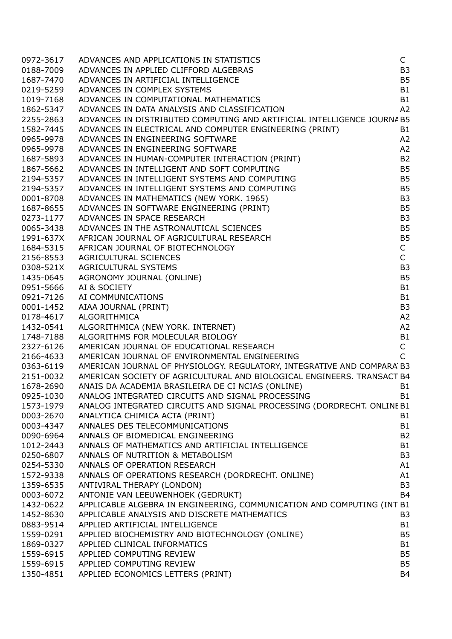| 0972-3617 | ADVANCES AND APPLICATIONS IN STATISTICS                                                                                                                                                                                                          | $\mathsf{C}$   |
|-----------|--------------------------------------------------------------------------------------------------------------------------------------------------------------------------------------------------------------------------------------------------|----------------|
| 0188-7009 | ADVANCES IN APPLIED CLIFFORD ALGEBRAS                                                                                                                                                                                                            | B <sub>3</sub> |
| 1687-7470 | ADVANCES IN ARTIFICIAL INTELLIGENCE                                                                                                                                                                                                              | <b>B5</b>      |
| 0219-5259 | ADVANCES IN COMPLEX SYSTEMS                                                                                                                                                                                                                      | <b>B1</b>      |
| 1019-7168 | ADVANCES IN COMPUTATIONAL MATHEMATICS                                                                                                                                                                                                            | <b>B1</b>      |
| 1862-5347 | ADVANCES IN DATA ANALYSIS AND CLASSIFICATION                                                                                                                                                                                                     | A <sub>2</sub> |
| 2255-2863 | ADVANCES IN DISTRIBUTED COMPUTING AND ARTIFICIAL INTELLIGENCE JOURNA B5                                                                                                                                                                          |                |
| 1582-7445 |                                                                                                                                                                                                                                                  | <b>B1</b>      |
| 0965-9978 | ADVANCES IN DATA WARRY COMPUTING AND CONSUMING (PRINT)<br>ADVANCES IN ELECTRICAL AND COMPUTER ENGINEERING (PRINT)<br>ADVANCES IN ENGINEERING SOFTWARE<br>ADVANCES IN ENGINEERING SOFTWARE<br>ADVANCES IN HUMAN-COMPUTER INTERACTION (PRINT       | A2             |
| 0965-9978 |                                                                                                                                                                                                                                                  | A2             |
| 1687-5893 |                                                                                                                                                                                                                                                  | <b>B2</b>      |
|           |                                                                                                                                                                                                                                                  | <b>B5</b>      |
| 1867-5662 |                                                                                                                                                                                                                                                  |                |
| 2194-5357 |                                                                                                                                                                                                                                                  | <b>B5</b>      |
|           | 2194-5357 ADVANCES IN INTELLIGENT SYSTEMS AND COMPUTING                                                                                                                                                                                          | <b>B5</b>      |
|           | 0001-8708 ADVANCES IN MATHEMATICS (NEW YORK. 1965)                                                                                                                                                                                               | B <sub>3</sub> |
|           | 1687-8655 ADVANCES IN SOFTWARE ENGINEERING (PRINT)                                                                                                                                                                                               | <b>B5</b>      |
|           | 0273-1177 ADVANCES IN SPACE RESEARCH                                                                                                                                                                                                             | B <sub>3</sub> |
| 0065-3438 |                                                                                                                                                                                                                                                  | <b>B5</b>      |
| 1991-637X |                                                                                                                                                                                                                                                  | <b>B5</b>      |
| 1684-5315 |                                                                                                                                                                                                                                                  | $\mathsf C$    |
| 2156-8553 |                                                                                                                                                                                                                                                  | $\mathsf{C}$   |
| 0308-521X |                                                                                                                                                                                                                                                  | B <sub>3</sub> |
| 1435-0645 |                                                                                                                                                                                                                                                  | <b>B5</b>      |
| 0951-5666 |                                                                                                                                                                                                                                                  | <b>B1</b>      |
| 0921-7126 |                                                                                                                                                                                                                                                  | <b>B1</b>      |
| 0001-1452 |                                                                                                                                                                                                                                                  | B <sub>3</sub> |
| 0178-4617 |                                                                                                                                                                                                                                                  | A2             |
| 1432-0541 | ADVANCES IN SOFTWARE ENGINEERING (PRINT)<br>ADVANCES IN SPACE RESEARCH<br>ADVANCES IN THE ASTRONAUTICAL SCIENCES<br>AFRICAN JOURNAL OF AGRICULTURAL RESEARCH<br>AFRICAN JOURNAL OF BIOTECHNOLOGY<br>AGRICULTURAL SCIENCES<br>AGRICULTURAL SYSTEM | A2             |
| 1748-7188 |                                                                                                                                                                                                                                                  | B1             |
| 2327-6126 |                                                                                                                                                                                                                                                  | $\mathsf C$    |
| 2166-4633 | AMERICAN JOURNAL OF ENVIRONMENTAL ENGINEERING                                                                                                                                                                                                    | $\overline{C}$ |
|           | 0363-6119 AMERICAN JOURNAL OF PHYSIOLOGY. REGULATORY, INTEGRATIVE AND COMPARA B3                                                                                                                                                                 |                |
|           | 2151-0032 AMERICAN SOCIETY OF AGRICULTURAL AND BIOLOGICAL ENGINEERS. TRANSACT B4                                                                                                                                                                 |                |
|           | 1678-2690 ANAIS DA ACADEMIA BRASILEIRA DE CI NCIAS (ONLINE)                                                                                                                                                                                      | <b>B1</b>      |
|           | 0925-1030 ANALOG INTEGRATED CIRCUITS AND SIGNAL PROCESSING                                                                                                                                                                                       | B1             |
| 1573-1979 | ANALOG INTEGRATED CIRCUITS AND SIGNAL PROCESSING (DORDRECHT. ONLINE B1                                                                                                                                                                           |                |
| 0003-2670 | ANALYTICA CHIMICA ACTA (PRINT)                                                                                                                                                                                                                   | B <sub>1</sub> |
| 0003-4347 | ANNALES DES TELECOMMUNICATIONS                                                                                                                                                                                                                   | <b>B1</b>      |
| 0090-6964 | ANNALS OF BIOMEDICAL ENGINEERING                                                                                                                                                                                                                 | <b>B2</b>      |
| 1012-2443 | ANNALS OF MATHEMATICS AND ARTIFICIAL INTELLIGENCE                                                                                                                                                                                                | <b>B1</b>      |
| 0250-6807 | ANNALS OF NUTRITION & METABOLISM                                                                                                                                                                                                                 | B <sub>3</sub> |
| 0254-5330 | ANNALS OF OPERATION RESEARCH                                                                                                                                                                                                                     | A1             |
| 1572-9338 | ANNALS OF OPERATIONS RESEARCH (DORDRECHT. ONLINE)                                                                                                                                                                                                | A1             |
| 1359-6535 | ANTIVIRAL THERAPY (LONDON)                                                                                                                                                                                                                       | B <sub>3</sub> |
| 0003-6072 | ANTONIE VAN LEEUWENHOEK (GEDRUKT)                                                                                                                                                                                                                | <b>B4</b>      |
| 1432-0622 | APPLICABLE ALGEBRA IN ENGINEERING, COMMUNICATION AND COMPUTING (INT B1                                                                                                                                                                           |                |
| 1452-8630 | APPLICABLE ANALYSIS AND DISCRETE MATHEMATICS                                                                                                                                                                                                     | B <sub>3</sub> |
| 0883-9514 | APPLIED ARTIFICIAL INTELLIGENCE                                                                                                                                                                                                                  | <b>B1</b>      |
| 1559-0291 | APPLIED BIOCHEMISTRY AND BIOTECHNOLOGY (ONLINE)                                                                                                                                                                                                  | B <sub>5</sub> |
| 1869-0327 | APPLIED CLINICAL INFORMATICS                                                                                                                                                                                                                     | <b>B1</b>      |
| 1559-6915 | APPLIED COMPUTING REVIEW                                                                                                                                                                                                                         | B <sub>5</sub> |
| 1559-6915 | APPLIED COMPUTING REVIEW                                                                                                                                                                                                                         | B <sub>5</sub> |
| 1350-4851 | APPLIED ECONOMICS LETTERS (PRINT)                                                                                                                                                                                                                | <b>B4</b>      |
|           |                                                                                                                                                                                                                                                  |                |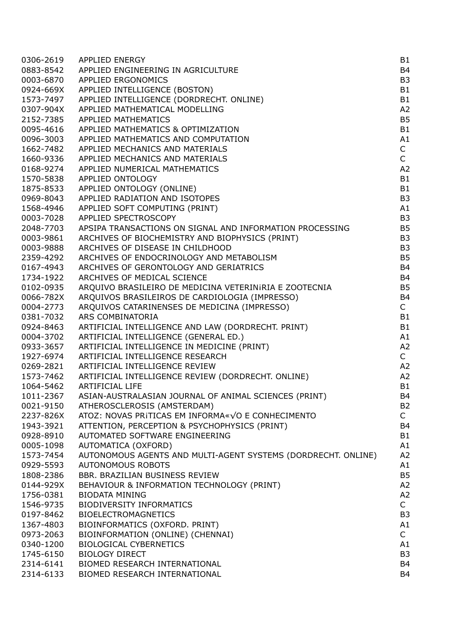| 0306-2619 | <b>APPLIED ENERGY</b>                                         | B1             |
|-----------|---------------------------------------------------------------|----------------|
| 0883-8542 | APPLIED ENGINEERING IN AGRICULTURE                            | B <sub>4</sub> |
| 0003-6870 | <b>APPLIED ERGONOMICS</b>                                     | B <sub>3</sub> |
| 0924-669X | APPLIED INTELLIGENCE (BOSTON)                                 | <b>B1</b>      |
| 1573-7497 | APPLIED INTELLIGENCE (DORDRECHT. ONLINE)                      | B1             |
| 0307-904X | APPLIED MATHEMATICAL MODELLING                                | A <sub>2</sub> |
| 2152-7385 | APPLIED MATHEMATICS                                           | B <sub>5</sub> |
| 0095-4616 | APPLIED MATHEMATICS & OPTIMIZATION                            | <b>B1</b>      |
| 0096-3003 | APPLIED MATHEMATICS AND COMPUTATION                           | A1             |
| 1662-7482 | APPLIED MECHANICS AND MATERIALS                               | $\mathsf{C}$   |
| 1660-9336 | APPLIED MECHANICS AND MATERIALS                               | $\mathsf{C}$   |
| 0168-9274 | APPLIED NUMERICAL MATHEMATICS                                 | A <sub>2</sub> |
| 1570-5838 | APPLIED ONTOLOGY                                              | B1             |
|           |                                                               | B1             |
| 1875-8533 | APPLIED ONTOLOGY (ONLINE)                                     |                |
| 0969-8043 | APPLIED RADIATION AND ISOTOPES                                | B <sub>3</sub> |
| 1568-4946 | APPLIED SOFT COMPUTING (PRINT)                                | A1             |
| 0003-7028 | APPLIED SPECTROSCOPY                                          | B <sub>3</sub> |
| 2048-7703 | APSIPA TRANSACTIONS ON SIGNAL AND INFORMATION PROCESSING      | <b>B5</b>      |
| 0003-9861 | ARCHIVES OF BIOCHEMISTRY AND BIOPHYSICS (PRINT)               | B <sub>3</sub> |
| 0003-9888 | ARCHIVES OF DISEASE IN CHILDHOOD                              | B <sub>3</sub> |
| 2359-4292 | ARCHIVES OF ENDOCRINOLOGY AND METABOLISM                      | B <sub>5</sub> |
| 0167-4943 | ARCHIVES OF GERONTOLOGY AND GERIATRICS                        | B <sub>4</sub> |
| 1734-1922 | ARCHIVES OF MEDICAL SCIENCE                                   | B <sub>4</sub> |
| 0102-0935 | ARQUIVO BRASILEIRO DE MEDICINA VETERINIRIA E ZOOTECNIA        | B <sub>5</sub> |
| 0066-782X | ARQUIVOS BRASILEIROS DE CARDIOLOGIA (IMPRESSO)                | B <sub>4</sub> |
| 0004-2773 | ARQUIVOS CATARINENSES DE MEDICINA (IMPRESSO)                  | $\mathsf{C}$   |
| 0381-7032 | ARS COMBINATORIA                                              | B1             |
| 0924-8463 | ARTIFICIAL INTELLIGENCE AND LAW (DORDRECHT. PRINT)            | B1             |
| 0004-3702 | ARTIFICIAL INTELLIGENCE (GENERAL ED.)                         | A1             |
| 0933-3657 | ARTIFICIAL INTELLIGENCE IN MEDICINE (PRINT)                   | A <sub>2</sub> |
| 1927-6974 | ARTIFICIAL INTELLIGENCE RESEARCH                              | $\mathsf{C}$   |
| 0269-2821 | ARTIFICIAL INTELLIGENCE REVIEW                                | A <sub>2</sub> |
| 1573-7462 | ARTIFICIAL INTELLIGENCE REVIEW (DORDRECHT. ONLINE)            | A <sub>2</sub> |
| 1064-5462 | ARTIFICIAL LIFE                                               | <b>B1</b>      |
| 1011-2367 | ASIAN-AUSTRALASIAN JOURNAL OF ANIMAL SCIENCES (PRINT)         | B <sub>4</sub> |
| 0021-9150 | ATHEROSCLEROSIS (AMSTERDAM)                                   | B <sub>2</sub> |
| 2237-826X | ATOZ: NOVAS PRITICAS EM INFORMA«VO E CONHECIMENTO             | $\mathsf{C}$   |
| 1943-3921 | ATTENTION, PERCEPTION & PSYCHOPHYSICS (PRINT)                 | B <sub>4</sub> |
| 0928-8910 | AUTOMATED SOFTWARE ENGINEERING                                | B1             |
| 0005-1098 | AUTOMATICA (OXFORD)                                           | A1             |
| 1573-7454 | AUTONOMOUS AGENTS AND MULTI-AGENT SYSTEMS (DORDRECHT. ONLINE) | A <sub>2</sub> |
| 0929-5593 | <b>AUTONOMOUS ROBOTS</b>                                      | A1             |
| 1808-2386 | BBR. BRAZILIAN BUSINESS REVIEW                                | <b>B5</b>      |
| 0144-929X | BEHAVIOUR & INFORMATION TECHNOLOGY (PRINT)                    | A <sub>2</sub> |
| 1756-0381 | <b>BIODATA MINING</b>                                         | A <sub>2</sub> |
| 1546-9735 | <b>BIODIVERSITY INFORMATICS</b>                               | $\mathsf{C}$   |
| 0197-8462 | <b>BIOELECTROMAGNETICS</b>                                    | B <sub>3</sub> |
| 1367-4803 | BIOINFORMATICS (OXFORD. PRINT)                                | A1             |
| 0973-2063 | BIOINFORMATION (ONLINE) (CHENNAI)                             | $\mathsf{C}$   |
| 0340-1200 | <b>BIOLOGICAL CYBERNETICS</b>                                 | A1             |
| 1745-6150 | <b>BIOLOGY DIRECT</b>                                         | B <sub>3</sub> |
| 2314-6141 | BIOMED RESEARCH INTERNATIONAL                                 | B <sub>4</sub> |
| 2314-6133 | BIOMED RESEARCH INTERNATIONAL                                 | B <sub>4</sub> |
|           |                                                               |                |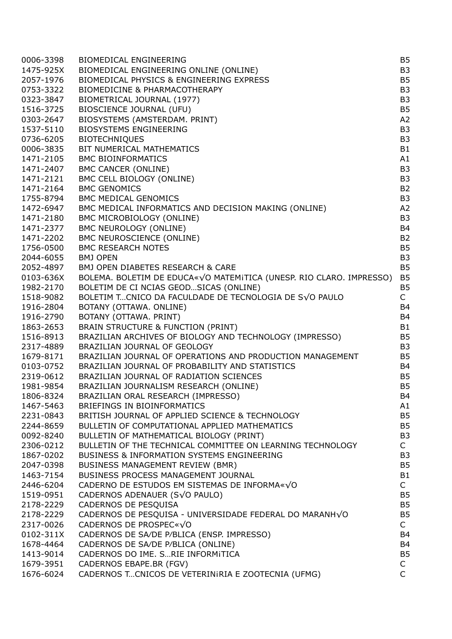| 0006-3398              | <b>BIOMEDICAL ENGINEERING</b>                                                                                       | <b>B5</b>                        |
|------------------------|---------------------------------------------------------------------------------------------------------------------|----------------------------------|
| 1475-925X              | BIOMEDICAL ENGINEERING ONLINE (ONLINE)                                                                              | B <sub>3</sub>                   |
| 2057-1976              | BIOMEDICAL PHYSICS & ENGINEERING EXPRESS                                                                            | <b>B5</b>                        |
| 0753-3322              | <b>BIOMEDICINE &amp; PHARMACOTHERAPY</b>                                                                            | B <sub>3</sub>                   |
| 0323-3847              | BIOMETRICAL JOURNAL (1977)                                                                                          | B <sub>3</sub>                   |
| 1516-3725              | <b>BIOSCIENCE JOURNAL (UFU)</b>                                                                                     | <b>B5</b>                        |
| 0303-2647              | BIOSYSTEMS (AMSTERDAM. PRINT)                                                                                       | A <sub>2</sub>                   |
| 1537-5110              | <b>BIOSYSTEMS ENGINEERING</b>                                                                                       | B <sub>3</sub>                   |
| 0736-6205              | <b>BIOTECHNIQUES</b>                                                                                                | B <sub>3</sub>                   |
| 0006-3835              | BIT NUMERICAL MATHEMATICS                                                                                           | <b>B1</b>                        |
| 1471-2105              | <b>BMC BIOINFORMATICS</b>                                                                                           | A1                               |
| 1471-2407              | <b>BMC CANCER (ONLINE)</b>                                                                                          | B <sub>3</sub>                   |
| 1471-2121              | BMC CELL BIOLOGY (ONLINE)                                                                                           | B <sub>3</sub>                   |
| 1471-2164              | <b>BMC GENOMICS</b>                                                                                                 | B <sub>2</sub>                   |
| 1755-8794              | <b>BMC MEDICAL GENOMICS</b>                                                                                         | B <sub>3</sub>                   |
| 1472-6947              | BMC MEDICAL INFORMATICS AND DECISION MAKING (ONLINE)                                                                | A <sub>2</sub>                   |
| 1471-2180              | BMC MICROBIOLOGY (ONLINE)                                                                                           | B <sub>3</sub>                   |
| 1471-2377              | BMC NEUROLOGY (ONLINE)                                                                                              | B <sub>4</sub>                   |
| 1471-2202              | <b>BMC NEUROSCIENCE (ONLINE)</b>                                                                                    | B <sub>2</sub>                   |
| 1756-0500              | <b>BMC RESEARCH NOTES</b>                                                                                           | <b>B5</b>                        |
| 2044-6055              | <b>BMJ OPEN</b>                                                                                                     | B <sub>3</sub>                   |
|                        | BMJ OPEN DIABETES RESEARCH & CARE                                                                                   | <b>B5</b>                        |
| 2052-4897<br>0103-636X | BOLEMA. BOLETIM DE EDUCA«√O MATEMITICA (UNESP. RIO CLARO. IMPRESSO)                                                 | <b>B5</b>                        |
|                        | BOLETIM DE CI NCIAS GEOD SICAS (ONLINE)                                                                             | B <sub>5</sub>                   |
| 1982-2170<br>1518-9082 | BOLETIM TCNICO DA FACULDADE DE TECNOLOGIA DE SVO PAULO                                                              | $\mathsf{C}$                     |
| 1916-2804              | BOTANY (OTTAWA. ONLINE)                                                                                             | <b>B4</b>                        |
| 1916-2790              | BOTANY (OTTAWA. PRINT)                                                                                              | B <sub>4</sub>                   |
| 1863-2653              | BRAIN STRUCTURE & FUNCTION (PRINT)                                                                                  | <b>B1</b>                        |
| 1516-8913              | BRAZILIAN ARCHIVES OF BIOLOGY AND TECHNOLOGY (IMPRESSO)                                                             | B <sub>5</sub>                   |
| 2317-4889              | BRAZILIAN JOURNAL OF GEOLOGY                                                                                        | B <sub>3</sub>                   |
| 1679-8171              | BRAZILIAN JOURNAL OF OPERATIONS AND PRODUCTION MANAGEMENT                                                           | <b>B5</b>                        |
| 0103-0752              | BRAZILIAN JOURNAL OF PROBABILITY AND STATISTICS                                                                     | B <sub>4</sub>                   |
| 2319-0612              | BRAZILIAN JOURNAL OF RADIATION SCIENCES                                                                             | B <sub>5</sub>                   |
|                        |                                                                                                                     |                                  |
| 1981-9854              | BRAZILIAN JOURNALISM RESEARCH (ONLINE)                                                                              | B <sub>5</sub><br>B <sub>4</sub> |
| 1806-8324              | BRAZILIAN ORAL RESEARCH (IMPRESSO)<br>BRIEFINGS IN BIOINFORMATICS                                                   |                                  |
| 1467-5463              |                                                                                                                     | A1<br><b>B5</b>                  |
| 2231-0843              | BRITISH JOURNAL OF APPLIED SCIENCE & TECHNOLOGY<br>BULLETIN OF COMPUTATIONAL APPLIED MATHEMATICS                    | <b>B5</b>                        |
| 2244-8659              |                                                                                                                     |                                  |
| 0092-8240              | BULLETIN OF MATHEMATICAL BIOLOGY (PRINT)                                                                            | B <sub>3</sub>                   |
| 2306-0212              | BULLETIN OF THE TECHNICAL COMMITTEE ON LEARNING TECHNOLOGY<br><b>BUSINESS &amp; INFORMATION SYSTEMS ENGINEERING</b> | $\mathsf{C}^-$                   |
| 1867-0202              |                                                                                                                     | B <sub>3</sub><br><b>B5</b>      |
| 2047-0398              | <b>BUSINESS MANAGEMENT REVIEW (BMR)</b><br>BUSINESS PROCESS MANAGEMENT JOURNAL                                      |                                  |
| 1463-7154              |                                                                                                                     | <b>B1</b>                        |
| 2446-6204              | CADERNO DE ESTUDOS EM SISTEMAS DE INFORMA«√O                                                                        | $\mathsf{C}$                     |
| 1519-0951              | CADERNOS ADENAUER (S√O PAULO)                                                                                       | <b>B5</b>                        |
| 2178-2229              | CADERNOS DE PESQUISA                                                                                                | B <sub>5</sub>                   |
| 2178-2229              | CADERNOS DE PESQUISA - UNIVERSIDADE FEDERAL DO MARANH√O                                                             | <b>B5</b>                        |
| 2317-0026              | CADERNOS DE PROSPEC«√O                                                                                              | $\mathsf{C}$                     |
| 0102-311X              | CADERNOS DE SA/DE P/BLICA (ENSP. IMPRESSO)                                                                          | B <sub>4</sub>                   |
| 1678-4464              | CADERNOS DE SA/DE P/BLICA (ONLINE)                                                                                  | B <sub>4</sub>                   |
| 1413-9014              | CADERNOS DO IME. SRIE INFORMITICA                                                                                   | B <sub>5</sub>                   |
| 1679-3951              | CADERNOS EBAPE.BR (FGV)                                                                                             | $\mathsf{C}$                     |
| 1676-6024              | CADERNOS TCNICOS DE VETERINIRIA E ZOOTECNIA (UFMG)                                                                  | $\mathsf{C}$                     |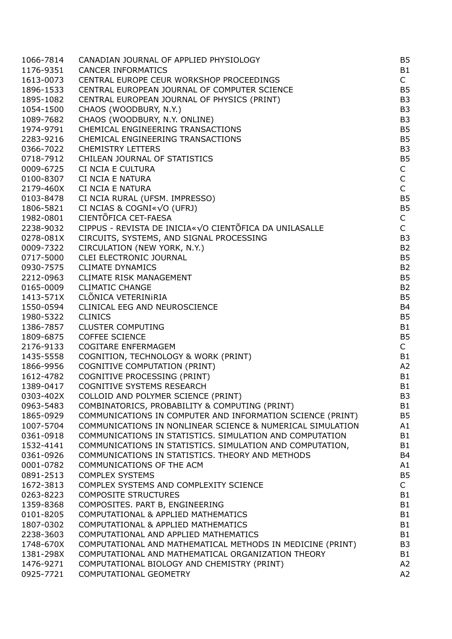| 1066-7814 | CANADIAN JOURNAL OF APPLIED PHYSIOLOGY                            | B <sub>5</sub> |
|-----------|-------------------------------------------------------------------|----------------|
| 1176-9351 | <b>CANCER INFORMATICS</b>                                         | B <sub>1</sub> |
| 1613-0073 | CENTRAL EUROPE CEUR WORKSHOP PROCEEDINGS                          | $\mathsf{C}$   |
| 1896-1533 | CENTRAL EUROPEAN JOURNAL OF COMPUTER SCIENCE                      | <b>B5</b>      |
| 1895-1082 | CENTRAL EUROPEAN JOURNAL OF PHYSICS (PRINT)                       | B <sub>3</sub> |
| 1054-1500 | CHAOS (WOODBURY, N.Y.)                                            | B <sub>3</sub> |
| 1089-7682 | CHAOS (WOODBURY, N.Y. ONLINE)                                     | B <sub>3</sub> |
| 1974-9791 | CHEMICAL ENGINEERING TRANSACTIONS                                 | B <sub>5</sub> |
| 2283-9216 | CHEMICAL ENGINEERING TRANSACTIONS                                 | B <sub>5</sub> |
| 0366-7022 | <b>CHEMISTRY LETTERS</b>                                          | B <sub>3</sub> |
| 0718-7912 | CHILEAN JOURNAL OF STATISTICS                                     | B <sub>5</sub> |
| 0009-6725 | CI NCIA E CULTURA                                                 | $\mathsf{C}$   |
| 0100-8307 | CI NCIA E NATURA                                                  | $\mathsf{C}$   |
| 2179-460X | CI NCIA E NATURA                                                  | $\mathsf{C}$   |
| 0103-8478 | CI NCIA RURAL (UFSM. IMPRESSO)                                    | B <sub>5</sub> |
| 1806-5821 | CI NCIAS & COGNI« $\sqrt{O}$ (UFRJ)                               | B <sub>5</sub> |
| 1982-0801 | CIENTÕFICA CET-FAESA                                              | $\mathsf{C}$   |
| 2238-9032 | CIPPUS - REVISTA DE INICIA«√O CIENTÕFICA DA UNILASALLE            | $\mathsf{C}$   |
| 0278-081X | CIRCUITS, SYSTEMS, AND SIGNAL PROCESSING                          | B <sub>3</sub> |
| 0009-7322 | CIRCULATION (NEW YORK, N.Y.)                                      | B <sub>2</sub> |
| 0717-5000 | CLEI ELECTRONIC JOURNAL                                           | B <sub>5</sub> |
| 0930-7575 | <b>CLIMATE DYNAMICS</b>                                           | B <sub>2</sub> |
| 2212-0963 | <b>CLIMATE RISK MANAGEMENT</b>                                    | B <sub>5</sub> |
| 0165-0009 | <b>CLIMATIC CHANGE</b>                                            | B <sub>2</sub> |
| 1413-571X | CLÕNICA VETERINIRIA                                               | <b>B5</b>      |
| 1550-0594 | CLINICAL EEG AND NEUROSCIENCE                                     | B <sub>4</sub> |
| 1980-5322 | <b>CLINICS</b>                                                    | B <sub>5</sub> |
| 1386-7857 | <b>CLUSTER COMPUTING</b>                                          | B <sub>1</sub> |
| 1809-6875 | <b>COFFEE SCIENCE</b>                                             | B <sub>5</sub> |
| 2176-9133 | <b>COGITARE ENFERMAGEM</b>                                        | $\mathsf{C}$   |
| 1435-5558 | COGNITION, TECHNOLOGY & WORK (PRINT)                              | B <sub>1</sub> |
| 1866-9956 | <b>COGNITIVE COMPUTATION (PRINT)</b>                              | A2             |
| 1612-4782 |                                                                   | B <sub>1</sub> |
|           | COGNITIVE PROCESSING (PRINT)<br><b>COGNITIVE SYSTEMS RESEARCH</b> | B <sub>1</sub> |
| 1389-0417 |                                                                   | B <sub>3</sub> |
| 0303-402X | COLLOID AND POLYMER SCIENCE (PRINT)                               |                |
| 0963-5483 | COMBINATORICS, PROBABILITY & COMPUTING (PRINT)                    | B <sub>1</sub> |
| 1865-0929 | COMMUNICATIONS IN COMPUTER AND INFORMATION SCIENCE (PRINT)        | B <sub>5</sub> |
| 1007-5704 | COMMUNICATIONS IN NONLINEAR SCIENCE & NUMERICAL SIMULATION        | A1             |
| 0361-0918 | COMMUNICATIONS IN STATISTICS. SIMULATION AND COMPUTATION          | B <sub>1</sub> |
| 1532-4141 | COMMUNICATIONS IN STATISTICS. SIMULATION AND COMPUTATION,         | B <sub>1</sub> |
| 0361-0926 | COMMUNICATIONS IN STATISTICS. THEORY AND METHODS                  | B <sub>4</sub> |
| 0001-0782 | COMMUNICATIONS OF THE ACM                                         | A1             |
| 0891-2513 | <b>COMPLEX SYSTEMS</b>                                            | B <sub>5</sub> |
| 1672-3813 | COMPLEX SYSTEMS AND COMPLEXITY SCIENCE                            | C              |
| 0263-8223 | <b>COMPOSITE STRUCTURES</b>                                       | B <sub>1</sub> |
| 1359-8368 | COMPOSITES. PART B, ENGINEERING                                   | B <sub>1</sub> |
| 0101-8205 | COMPUTATIONAL & APPLIED MATHEMATICS                               | B <sub>1</sub> |
| 1807-0302 | COMPUTATIONAL & APPLIED MATHEMATICS                               | B <sub>1</sub> |
| 2238-3603 | COMPUTATIONAL AND APPLIED MATHEMATICS                             | B <sub>1</sub> |
| 1748-670X | COMPUTATIONAL AND MATHEMATICAL METHODS IN MEDICINE (PRINT)        | B <sub>3</sub> |
| 1381-298X | COMPUTATIONAL AND MATHEMATICAL ORGANIZATION THEORY                | B <sub>1</sub> |
| 1476-9271 | COMPUTATIONAL BIOLOGY AND CHEMISTRY (PRINT)                       | A2             |
| 0925-7721 | COMPUTATIONAL GEOMETRY                                            | A2             |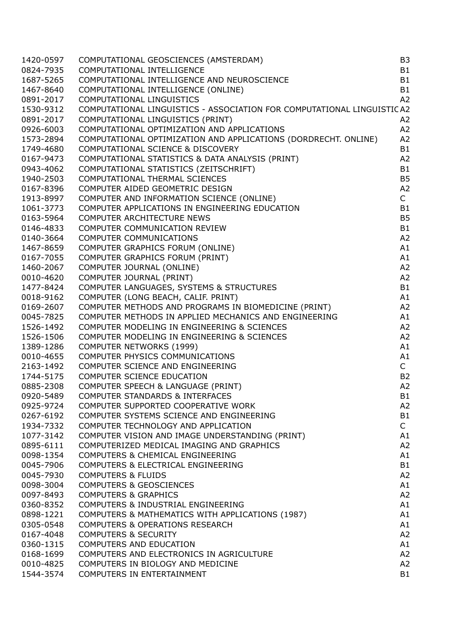| 1420-0597 | COMPUTATIONAL GEOSCIENCES (AMSTERDAM)                                   | B <sub>3</sub> |
|-----------|-------------------------------------------------------------------------|----------------|
| 0824-7935 | COMPUTATIONAL INTELLIGENCE                                              | <b>B1</b>      |
| 1687-5265 | COMPUTATIONAL INTELLIGENCE AND NEUROSCIENCE                             | <b>B1</b>      |
| 1467-8640 | COMPUTATIONAL INTELLIGENCE (ONLINE)                                     | <b>B1</b>      |
| 0891-2017 | COMPUTATIONAL LINGUISTICS                                               | A2             |
| 1530-9312 | COMPUTATIONAL LINGUISTICS - ASSOCIATION FOR COMPUTATIONAL LINGUISTIC A2 |                |
| 0891-2017 | COMPUTATIONAL LINGUISTICS (PRINT)                                       | A <sub>2</sub> |
| 0926-6003 | COMPUTATIONAL OPTIMIZATION AND APPLICATIONS                             | A2             |
| 1573-2894 | COMPUTATIONAL OPTIMIZATION AND APPLICATIONS (DORDRECHT. ONLINE)         | A2             |
| 1749-4680 | COMPUTATIONAL SCIENCE & DISCOVERY                                       | <b>B1</b>      |
| 0167-9473 | COMPUTATIONAL STATISTICS & DATA ANALYSIS (PRINT)                        | A <sub>2</sub> |
| 0943-4062 | COMPUTATIONAL STATISTICS (ZEITSCHRIFT)                                  | <b>B1</b>      |
| 1940-2503 | COMPUTATIONAL THERMAL SCIENCES                                          | <b>B5</b>      |
| 0167-8396 | COMPUTER AIDED GEOMETRIC DESIGN                                         | A2             |
| 1913-8997 | COMPUTER AND INFORMATION SCIENCE (ONLINE)                               | $\mathsf{C}$   |
| 1061-3773 | COMPUTER APPLICATIONS IN ENGINEERING EDUCATION                          | <b>B1</b>      |
| 0163-5964 | COMPUTER ARCHITECTURE NEWS                                              | <b>B5</b>      |
| 0146-4833 | COMPUTER COMMUNICATION REVIEW                                           | <b>B1</b>      |
| 0140-3664 | <b>COMPUTER COMMUNICATIONS</b>                                          | A2             |
| 1467-8659 | COMPUTER GRAPHICS FORUM (ONLINE)                                        | A1             |
| 0167-7055 | COMPUTER GRAPHICS FORUM (PRINT)                                         | A1             |
| 1460-2067 | COMPUTER JOURNAL (ONLINE)                                               | A2             |
| 0010-4620 | COMPUTER JOURNAL (PRINT)                                                | A2             |
| 1477-8424 | COMPUTER LANGUAGES, SYSTEMS & STRUCTURES                                | <b>B1</b>      |
| 0018-9162 | COMPUTER (LONG BEACH, CALIF. PRINT)                                     | A1             |
| 0169-2607 | COMPUTER METHODS AND PROGRAMS IN BIOMEDICINE (PRINT)                    | A <sub>2</sub> |
| 0045-7825 | COMPUTER METHODS IN APPLIED MECHANICS AND ENGINEERING                   | A1             |
| 1526-1492 | COMPUTER MODELING IN ENGINEERING & SCIENCES                             | A2             |
| 1526-1506 | COMPUTER MODELING IN ENGINEERING & SCIENCES                             | A2             |
| 1389-1286 | <b>COMPUTER NETWORKS (1999)</b>                                         | A1             |
| 0010-4655 | COMPUTER PHYSICS COMMUNICATIONS                                         | A1             |
| 2163-1492 | COMPUTER SCIENCE AND ENGINEERING                                        | $\mathsf{C}$   |
| 1744-5175 | <b>COMPUTER SCIENCE EDUCATION</b>                                       | <b>B2</b>      |
| 0885-2308 | COMPUTER SPEECH & LANGUAGE (PRINT)                                      | A2             |
| 0920-5489 | COMPUTER STANDARDS & INTERFACES                                         | B <sub>1</sub> |
| 0925-9724 | COMPUTER SUPPORTED COOPERATIVE WORK                                     | A2             |
| 0267-6192 | COMPUTER SYSTEMS SCIENCE AND ENGINEERING                                | <b>B1</b>      |
| 1934-7332 | COMPUTER TECHNOLOGY AND APPLICATION                                     | $\mathsf{C}$   |
| 1077-3142 | COMPUTER VISION AND IMAGE UNDERSTANDING (PRINT)                         | A1             |
| 0895-6111 | COMPUTERIZED MEDICAL IMAGING AND GRAPHICS                               | A2             |
| 0098-1354 | <b>COMPUTERS &amp; CHEMICAL ENGINEERING</b>                             | A1             |
| 0045-7906 | COMPUTERS & ELECTRICAL ENGINEERING                                      | <b>B1</b>      |
| 0045-7930 | <b>COMPUTERS &amp; FLUIDS</b>                                           | A2             |
| 0098-3004 | <b>COMPUTERS &amp; GEOSCIENCES</b>                                      | A1             |
| 0097-8493 | <b>COMPUTERS &amp; GRAPHICS</b>                                         | A2             |
| 0360-8352 | COMPUTERS & INDUSTRIAL ENGINEERING                                      | A1             |
| 0898-1221 | COMPUTERS & MATHEMATICS WITH APPLICATIONS (1987)                        | A1             |
| 0305-0548 | <b>COMPUTERS &amp; OPERATIONS RESEARCH</b>                              | A1             |
| 0167-4048 | <b>COMPUTERS &amp; SECURITY</b>                                         | A2             |
| 0360-1315 | <b>COMPUTERS AND EDUCATION</b>                                          | A1             |
| 0168-1699 | COMPUTERS AND ELECTRONICS IN AGRICULTURE                                | A <sub>2</sub> |
| 0010-4825 | COMPUTERS IN BIOLOGY AND MEDICINE                                       | A2             |
| 1544-3574 | COMPUTERS IN ENTERTAINMENT                                              | <b>B1</b>      |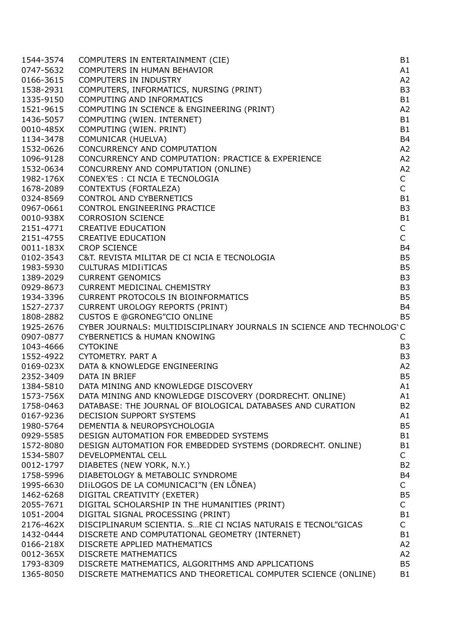| 1544-3574              | COMPUTERS IN ENTERTAINMENT (CIE)                                                                                    | B <sub>1</sub>                   |
|------------------------|---------------------------------------------------------------------------------------------------------------------|----------------------------------|
| 0747-5632              | COMPUTERS IN HUMAN BEHAVIOR                                                                                         | A1                               |
| 0166-3615              | <b>COMPUTERS IN INDUSTRY</b>                                                                                        | A2                               |
| 1538-2931              | COMPUTERS, INFORMATICS, NURSING (PRINT)                                                                             | B <sub>3</sub>                   |
| 1335-9150              | <b>COMPUTING AND INFORMATICS</b>                                                                                    | B <sub>1</sub>                   |
| 1521-9615              | COMPUTING IN SCIENCE & ENGINEERING (PRINT)                                                                          | A2                               |
| 1436-5057              | COMPUTING (WIEN. INTERNET)                                                                                          | <b>B1</b>                        |
| 0010-485X              | COMPUTING (WIEN. PRINT)                                                                                             | <b>B1</b>                        |
| 1134-3478              | COMUNICAR (HUELVA)                                                                                                  | B <sub>4</sub>                   |
| 1532-0626              | CONCURRENCY AND COMPUTATION                                                                                         | A2                               |
| 1096-9128              | CONCURRENCY AND COMPUTATION: PRACTICE & EXPERIENCE                                                                  | A2                               |
| 1532-0634              | CONCURRENY AND COMPUTATION (ONLINE)                                                                                 | A2                               |
| 1982-176X              | CONEX'ES : CI NCIA E TECNOLOGIA                                                                                     | $\mathsf{C}$                     |
| 1678-2089              | CONTEXTUS (FORTALEZA)                                                                                               | $\mathsf{C}$                     |
| 0324-8569              | <b>CONTROL AND CYBERNETICS</b>                                                                                      | <b>B1</b>                        |
| 0967-0661              | CONTROL ENGINEERING PRACTICE                                                                                        | B <sub>3</sub>                   |
| 0010-938X              | <b>CORROSION SCIENCE</b>                                                                                            | B <sub>1</sub>                   |
| 2151-4771              | <b>CREATIVE EDUCATION</b>                                                                                           | $\mathsf{C}$                     |
| 2151-4755              | <b>CREATIVE EDUCATION</b>                                                                                           | $\mathsf{C}$                     |
| 0011-183X              | <b>CROP SCIENCE</b>                                                                                                 | <b>B4</b>                        |
| 0102-3543              | C&T. REVISTA MILITAR DE CI NCIA E TECNOLOGIA                                                                        | B <sub>5</sub>                   |
| 1983-5930              | <b>CULTURAS MIDIITICAS</b>                                                                                          | B <sub>5</sub>                   |
| 1389-2029              | <b>CURRENT GENOMICS</b>                                                                                             | B <sub>3</sub>                   |
| 0929-8673              | <b>CURRENT MEDICINAL CHEMISTRY</b>                                                                                  | B <sub>3</sub>                   |
| 1934-3396              | <b>CURRENT PROTOCOLS IN BIOINFORMATICS</b>                                                                          | <b>B5</b>                        |
| 1527-2737              | <b>CURRENT UROLOGY REPORTS (PRINT)</b>                                                                              | <b>B4</b>                        |
| 1808-2882              | <b>CUSTOS E @GRONEG"CIO ONLINE</b>                                                                                  | <b>B5</b>                        |
| 1925-2676              | CYBER JOURNALS: MULTIDISCIPLINARY JOURNALS IN SCIENCE AND TECHNOLOG'C                                               |                                  |
| 0907-0877              | <b>CYBERNETICS &amp; HUMAN KNOWING</b>                                                                              | $\mathsf{C}$                     |
| 1043-4666              | <b>CYTOKINE</b>                                                                                                     | B <sub>3</sub>                   |
| 1552-4922              | CYTOMETRY, PART A                                                                                                   | B <sub>3</sub>                   |
| 0169-023X              | DATA & KNOWLEDGE ENGINEERING                                                                                        | A2                               |
| 2352-3409              | DATA IN BRIEF                                                                                                       | B <sub>5</sub>                   |
| 1384-5810              | DATA MINING AND KNOWLEDGE DISCOVERY                                                                                 | A1                               |
| 1573-756X              | DATA MINING AND KNOWLEDGE DISCOVERY (DORDRECHT. ONLINE)                                                             | A1                               |
| 1758-0463              | DATABASE: THE JOURNAL OF BIOLOGICAL DATABASES AND CURATION                                                          | B <sub>2</sub>                   |
|                        | DECISION SUPPORT SYSTEMS                                                                                            | A1                               |
| 0167-9236              |                                                                                                                     | B <sub>5</sub>                   |
| 1980-5764              | DEMENTIA & NEUROPSYCHOLOGIA                                                                                         |                                  |
| 0929-5585              | DESIGN AUTOMATION FOR EMBEDDED SYSTEMS                                                                              | B <sub>1</sub>                   |
| 1572-8080              | DESIGN AUTOMATION FOR EMBEDDED SYSTEMS (DORDRECHT. ONLINE)                                                          | B <sub>1</sub>                   |
| 1534-5807              | DEVELOPMENTAL CELL                                                                                                  | $\mathsf{C}$                     |
| 0012-1797              | DIABETES (NEW YORK, N.Y.)                                                                                           | B <sub>2</sub>                   |
| 1758-5996              | DIABETOLOGY & METABOLIC SYNDROME                                                                                    | <b>B4</b>                        |
| 1995-6630              | DIILOGOS DE LA COMUNICACI"N (EN LÕNEA)                                                                              | $\mathsf{C}$                     |
| 1462-6268              | DIGITAL CREATIVITY (EXETER)                                                                                         | B <sub>5</sub>                   |
| 2055-7671              | DIGITAL SCHOLARSHIP IN THE HUMANITIES (PRINT)                                                                       | $\mathsf{C}$                     |
| 1051-2004              | DIGITAL SIGNAL PROCESSING (PRINT)                                                                                   | <b>B1</b>                        |
| 2176-462X              | DISCIPLINARUM SCIENTIA. SRIE CI NCIAS NATURAIS E TECNOL"GICAS                                                       | $\mathsf{C}$                     |
| 1432-0444              | DISCRETE AND COMPUTATIONAL GEOMETRY (INTERNET)                                                                      | B <sub>1</sub>                   |
| 0166-218X              | DISCRETE APPLIED MATHEMATICS                                                                                        | A2                               |
| 0012-365X              | <b>DISCRETE MATHEMATICS</b>                                                                                         | A2                               |
| 1793-8309<br>1365-8050 | DISCRETE MATHEMATICS, ALGORITHMS AND APPLICATIONS<br>DISCRETE MATHEMATICS AND THEORETICAL COMPUTER SCIENCE (ONLINE) | B <sub>5</sub><br>B <sub>1</sub> |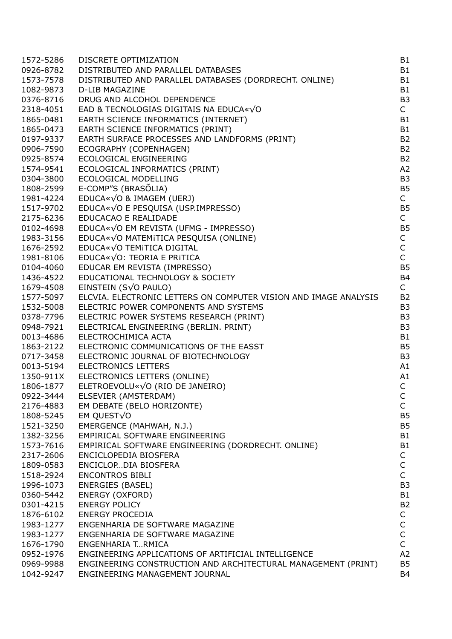| 1572-5286 | DISCRETE OPTIMIZATION                                            | <b>B1</b>      |
|-----------|------------------------------------------------------------------|----------------|
| 0926-8782 | DISTRIBUTED AND PARALLEL DATABASES                               | B1             |
| 1573-7578 | DISTRIBUTED AND PARALLEL DATABASES (DORDRECHT. ONLINE)           | B1             |
| 1082-9873 | <b>D-LIB MAGAZINE</b>                                            | <b>B1</b>      |
| 0376-8716 | DRUG AND ALCOHOL DEPENDENCE                                      | B <sub>3</sub> |
| 2318-4051 | EAD & TECNOLOGIAS DIGITAIS NA EDUCA«√O                           | $\mathsf{C}^-$ |
| 1865-0481 | EARTH SCIENCE INFORMATICS (INTERNET)                             | B1             |
| 1865-0473 | EARTH SCIENCE INFORMATICS (PRINT)                                | B1             |
| 0197-9337 | EARTH SURFACE PROCESSES AND LANDFORMS (PRINT)                    | B <sub>2</sub> |
| 0906-7590 | ECOGRAPHY (COPENHAGEN)                                           | B <sub>2</sub> |
| 0925-8574 | ECOLOGICAL ENGINEERING                                           | B <sub>2</sub> |
| 1574-9541 | ECOLOGICAL INFORMATICS (PRINT)                                   | A <sub>2</sub> |
| 0304-3800 | ECOLOGICAL MODELLING                                             | B <sub>3</sub> |
| 1808-2599 | E-COMP"S (BRASÕLIA)                                              | <b>B5</b>      |
|           | EDUCA«√O & IMAGEM (UERJ)                                         | $\mathsf{C}$   |
| 1981-4224 | EDUCA« $\sqrt{O}$ E PESQUISA (USP.IMPRESSO)                      | <b>B5</b>      |
| 1517-9702 |                                                                  |                |
| 2175-6236 | EDUCACAO E REALIDADE                                             | $\mathsf{C}$   |
| 0102-4698 | EDUCA« $\sqrt{O}$ EM REVISTA (UFMG - IMPRESSO)                   | <b>B5</b>      |
| 1983-3156 | EDUCA« $\sqrt{O}$ MATEMITICA PESQUISA (ONLINE)                   | $\mathsf{C}$   |
| 1676-2592 | EDUCA«√O TEMITICA DIGITAL                                        | $\mathsf{C}$   |
| 1981-8106 | EDUCA«√O: TEORIA E PRITICA                                       | $\mathsf{C}$   |
| 0104-4060 | EDUCAR EM REVISTA (IMPRESSO)                                     | <b>B5</b>      |
| 1436-4522 | EDUCATIONAL TECHNOLOGY & SOCIETY                                 | B <sub>4</sub> |
| 1679-4508 | EINSTEIN (S $\sqrt{O}$ PAULO)                                    | $\mathsf{C}$   |
| 1577-5097 | ELCVIA. ELECTRONIC LETTERS ON COMPUTER VISION AND IMAGE ANALYSIS | B <sub>2</sub> |
| 1532-5008 | ELECTRIC POWER COMPONENTS AND SYSTEMS                            | B <sub>3</sub> |
| 0378-7796 | ELECTRIC POWER SYSTEMS RESEARCH (PRINT)                          | B <sub>3</sub> |
| 0948-7921 | ELECTRICAL ENGINEERING (BERLIN. PRINT)                           | B <sub>3</sub> |
| 0013-4686 | ELECTROCHIMICA ACTA                                              | <b>B1</b>      |
| 1863-2122 | ELECTRONIC COMMUNICATIONS OF THE EASST                           | <b>B5</b>      |
| 0717-3458 | ELECTRONIC JOURNAL OF BIOTECHNOLOGY                              | B <sub>3</sub> |
| 0013-5194 | <b>ELECTRONICS LETTERS</b>                                       | A1             |
| 1350-911X | ELECTRONICS LETTERS (ONLINE)                                     | A1             |
| 1806-1877 | ELETROEVOLU« $\sqrt{O}$ (RIO DE JANEIRO)                         | $\mathsf{C}$   |
| 0922-3444 | ELSEVIER (AMSTERDAM)                                             | $\mathsf{C}$   |
| 2176-4883 | EM DEBATE (BELO HORIZONTE)                                       | $\mathsf{C}$   |
| 1808-5245 | EM QUEST $\sqrt{0}$                                              | <b>B5</b>      |
| 1521-3250 | EMERGENCE (MAHWAH, N.J.)                                         | <b>B5</b>      |
| 1382-3256 | EMPIRICAL SOFTWARE ENGINEERING                                   | <b>B1</b>      |
| 1573-7616 | EMPIRICAL SOFTWARE ENGINEERING (DORDRECHT. ONLINE)               | B <sub>1</sub> |
| 2317-2606 | ENCICLOPEDIA BIOSFERA                                            | C              |
| 1809-0583 | ENCICLOPDIA BIOSFERA                                             | $\mathsf{C}$   |
| 1518-2924 | <b>ENCONTROS BIBLI</b>                                           | $\mathsf{C}$   |
| 1996-1073 | <b>ENERGIES (BASEL)</b>                                          | B <sub>3</sub> |
| 0360-5442 | <b>ENERGY (OXFORD)</b>                                           | <b>B1</b>      |
| 0301-4215 | <b>ENERGY POLICY</b>                                             | B <sub>2</sub> |
| 1876-6102 | <b>ENERGY PROCEDIA</b>                                           | C              |
| 1983-1277 | ENGENHARIA DE SOFTWARE MAGAZINE                                  | $\mathsf{C}$   |
| 1983-1277 | ENGENHARIA DE SOFTWARE MAGAZINE                                  | $\mathsf{C}$   |
| 1676-1790 | ENGENHARIA TRMICA                                                | $\mathsf{C}$   |
| 0952-1976 | ENGINEERING APPLICATIONS OF ARTIFICIAL INTELLIGENCE              | A <sub>2</sub> |
| 0969-9988 | ENGINEERING CONSTRUCTION AND ARCHITECTURAL MANAGEMENT (PRINT)    | <b>B5</b>      |
| 1042-9247 | ENGINEERING MANAGEMENT JOURNAL                                   | B <sub>4</sub> |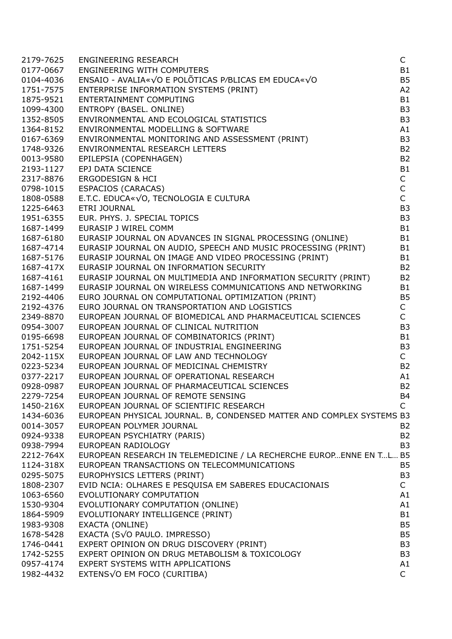| <b>ENGINEERING WITH COMPUTERS</b><br><b>B1</b><br>0177-0667<br>ENSAIO - AVALIA« $\sqrt{O}$ E POLÕTICAS P/BLICAS EM EDUCA« $\sqrt{O}$<br>B <sub>5</sub><br>0104-4036<br>ENTERPRISE INFORMATION SYSTEMS (PRINT)<br>A <sub>2</sub><br>1751-7575<br><b>B1</b><br>1875-9521<br>ENVIRONMENTAL MODELLING & SOFTWARE<br>ENVIRONMENTAL MODELLING & SOFTWARE<br>ENVIRONMENTAL MONITORING AND ASSESSMENT (PRINT)<br>ENVIRONMENTAL RESEARCH LETTERS<br>EPILEPSIA (COPENHAGEN)<br>EP) DATA SCIENCE<br>'RGODESIGN & HCI<br>SCACLOS (<br>B <sub>3</sub><br>1099-4300<br>1352-8505<br>B <sub>3</sub><br>1364-8152<br>A1<br>B <sub>3</sub><br>0167-6369<br><b>B2</b><br>1748-9326<br><b>B2</b><br>0013-9580<br><b>B1</b><br>2193-1127<br>$\mathsf C$<br>2317-8876<br>$\mathsf C$<br>0798-1015<br>$\mathsf{C}$<br>1808-0588<br>B <sub>3</sub><br>1225-6463<br>B <sub>3</sub><br>1951-6355<br>1687-1499<br><b>B1</b><br><b>B1</b><br>1687-6180<br>EURASIP JOURNAL ON AUDIO, SPEECH AND MUSIC PROCESSING (PRINT)<br><b>B1</b><br>1687-4714<br>EURASIP JOURNAL ON IMAGE AND VIDEO PROCESSING (PRINT)<br><b>B1</b><br>1687-5176<br>EURASIP JOURNAL ON INFORMATION SECURITY<br><b>B2</b><br>1687-417X<br>EURASIP JOURNAL ON MULTIMEDIA AND INFORMATION SECURITY (PRINT)<br><b>B2</b><br>1687-4161<br>EURASIP JOURNAL ON WIRELESS COMMUNICATIONS AND NETWORKING<br><b>B1</b><br>1687-1499<br><b>B5</b><br>EURO JOURNAL ON COMPUTATIONAL OPTIMIZATION (PRINT)<br>2192-4406<br>EURO JOURNAL ON TRANSPORTATION AND LOGISTICS<br>C<br>2192-4376<br>$\mathsf{C}$<br>EUROPEAN JOURNAL OF BIOMEDICAL AND PHARMACEUTICAL SCIENCES<br>2349-8870<br>EUROPEAN JOURNAL OF CLINICAL NUTRITION<br>B <sub>3</sub><br>0954-3007<br>EUROPEAN JOURNAL OF COMBINATORICS (PRINT)<br><b>B1</b><br>0195-6698<br>1751-5254<br>EUROPEAN JOURNAL OF INDUSTRIAL ENGINEERING<br>B <sub>3</sub><br>$\mathsf{C}$<br>2042-115X<br>EUROPEAN JOURNAL OF LAW AND TECHNOLOGY<br>EUROPEAN JOURNAL OF MEDICINAL CHEMISTRY<br><b>B2</b><br>0223-5234<br>EUROPEAN JOURNAL OF OPERATIONAL RESEARCH<br>0377-2217<br>A1<br>EUROPEAN JOURNAL OF PHARMACEUTICAL SCIENCES<br><b>B2</b><br>0928-0987<br>EUROPEAN JOURNAL OF REMOTE SENSING<br><b>B4</b><br>2279-7254<br>EUROPEAN JOURNAL OF SCIENTIFIC RESEARCH<br>C<br>1450-216X<br>1434-6036<br>EUROPEAN PHYSICAL JOURNAL. B, CONDENSED MATTER AND COMPLEX SYSTEMS B3<br>0014-3057<br>EUROPEAN POLYMER JOURNAL<br><b>B2</b><br>EUROPEAN PSYCHIATRY (PARIS)<br>0924-9338<br><b>B2</b><br>EUROPEAN RADIOLOGY<br>B <sub>3</sub><br>0938-7994<br>EUROPEAN RESEARCH IN TELEMEDICINE / LA RECHERCHE EUROP ENNE EN TL B5<br>2212-764X<br><b>B5</b><br>1124-318X<br>EUROPEAN TRANSACTIONS ON TELECOMMUNICATIONS<br>EUROPHYSICS LETTERS (PRINT)<br>B <sub>3</sub><br>0295-5075<br>EVID NCIA: OLHARES E PESQUISA EM SABERES EDUCACIONAIS<br>$\mathsf{C}$<br>1808-2307<br>1063-6560<br>EVOLUTIONARY COMPUTATION<br>A1<br>1530-9304<br>EVOLUTIONARY COMPUTATION (ONLINE)<br>A1<br>1864-5909<br>EVOLUTIONARY INTELLIGENCE (PRINT)<br>B <sub>1</sub><br>EXACTA (ONLINE)<br>B <sub>5</sub><br>1983-9308<br>EXACTA (S√O PAULO. IMPRESSO)<br>B <sub>5</sub><br>1678-5428<br>EXPERT OPINION ON DRUG DISCOVERY (PRINT)<br>1746-0441<br>B <sub>3</sub><br>EXPERT OPINION ON DRUG METABOLISM & TOXICOLOGY<br>1742-5255<br>B <sub>3</sub><br>EXPERT SYSTEMS WITH APPLICATIONS<br>0957-4174<br>A1<br>$\mathsf{C}$<br>1982-4432 | 2179-7625 | <b>ENGINEERING RESEARCH</b> | C |
|--------------------------------------------------------------------------------------------------------------------------------------------------------------------------------------------------------------------------------------------------------------------------------------------------------------------------------------------------------------------------------------------------------------------------------------------------------------------------------------------------------------------------------------------------------------------------------------------------------------------------------------------------------------------------------------------------------------------------------------------------------------------------------------------------------------------------------------------------------------------------------------------------------------------------------------------------------------------------------------------------------------------------------------------------------------------------------------------------------------------------------------------------------------------------------------------------------------------------------------------------------------------------------------------------------------------------------------------------------------------------------------------------------------------------------------------------------------------------------------------------------------------------------------------------------------------------------------------------------------------------------------------------------------------------------------------------------------------------------------------------------------------------------------------------------------------------------------------------------------------------------------------------------------------------------------------------------------------------------------------------------------------------------------------------------------------------------------------------------------------------------------------------------------------------------------------------------------------------------------------------------------------------------------------------------------------------------------------------------------------------------------------------------------------------------------------------------------------------------------------------------------------------------------------------------------------------------------------------------------------------------------------------------------------------------------------------------------------------------------------------------------------------------------------------------------------------------------------------------------------------------------------------------------------------------------------------------------------------------------------------------------------------------------------------------------------------------------------------------------------------------------------------------------------------------------------------------------------------------------------------------------------------------------------------------------------------------------------------------------------------------------|-----------|-----------------------------|---|
|                                                                                                                                                                                                                                                                                                                                                                                                                                                                                                                                                                                                                                                                                                                                                                                                                                                                                                                                                                                                                                                                                                                                                                                                                                                                                                                                                                                                                                                                                                                                                                                                                                                                                                                                                                                                                                                                                                                                                                                                                                                                                                                                                                                                                                                                                                                                                                                                                                                                                                                                                                                                                                                                                                                                                                                                                                                                                                                                                                                                                                                                                                                                                                                                                                                                                                                                                                                      |           |                             |   |
|                                                                                                                                                                                                                                                                                                                                                                                                                                                                                                                                                                                                                                                                                                                                                                                                                                                                                                                                                                                                                                                                                                                                                                                                                                                                                                                                                                                                                                                                                                                                                                                                                                                                                                                                                                                                                                                                                                                                                                                                                                                                                                                                                                                                                                                                                                                                                                                                                                                                                                                                                                                                                                                                                                                                                                                                                                                                                                                                                                                                                                                                                                                                                                                                                                                                                                                                                                                      |           |                             |   |
|                                                                                                                                                                                                                                                                                                                                                                                                                                                                                                                                                                                                                                                                                                                                                                                                                                                                                                                                                                                                                                                                                                                                                                                                                                                                                                                                                                                                                                                                                                                                                                                                                                                                                                                                                                                                                                                                                                                                                                                                                                                                                                                                                                                                                                                                                                                                                                                                                                                                                                                                                                                                                                                                                                                                                                                                                                                                                                                                                                                                                                                                                                                                                                                                                                                                                                                                                                                      |           |                             |   |
|                                                                                                                                                                                                                                                                                                                                                                                                                                                                                                                                                                                                                                                                                                                                                                                                                                                                                                                                                                                                                                                                                                                                                                                                                                                                                                                                                                                                                                                                                                                                                                                                                                                                                                                                                                                                                                                                                                                                                                                                                                                                                                                                                                                                                                                                                                                                                                                                                                                                                                                                                                                                                                                                                                                                                                                                                                                                                                                                                                                                                                                                                                                                                                                                                                                                                                                                                                                      |           |                             |   |
|                                                                                                                                                                                                                                                                                                                                                                                                                                                                                                                                                                                                                                                                                                                                                                                                                                                                                                                                                                                                                                                                                                                                                                                                                                                                                                                                                                                                                                                                                                                                                                                                                                                                                                                                                                                                                                                                                                                                                                                                                                                                                                                                                                                                                                                                                                                                                                                                                                                                                                                                                                                                                                                                                                                                                                                                                                                                                                                                                                                                                                                                                                                                                                                                                                                                                                                                                                                      |           |                             |   |
|                                                                                                                                                                                                                                                                                                                                                                                                                                                                                                                                                                                                                                                                                                                                                                                                                                                                                                                                                                                                                                                                                                                                                                                                                                                                                                                                                                                                                                                                                                                                                                                                                                                                                                                                                                                                                                                                                                                                                                                                                                                                                                                                                                                                                                                                                                                                                                                                                                                                                                                                                                                                                                                                                                                                                                                                                                                                                                                                                                                                                                                                                                                                                                                                                                                                                                                                                                                      |           |                             |   |
|                                                                                                                                                                                                                                                                                                                                                                                                                                                                                                                                                                                                                                                                                                                                                                                                                                                                                                                                                                                                                                                                                                                                                                                                                                                                                                                                                                                                                                                                                                                                                                                                                                                                                                                                                                                                                                                                                                                                                                                                                                                                                                                                                                                                                                                                                                                                                                                                                                                                                                                                                                                                                                                                                                                                                                                                                                                                                                                                                                                                                                                                                                                                                                                                                                                                                                                                                                                      |           |                             |   |
|                                                                                                                                                                                                                                                                                                                                                                                                                                                                                                                                                                                                                                                                                                                                                                                                                                                                                                                                                                                                                                                                                                                                                                                                                                                                                                                                                                                                                                                                                                                                                                                                                                                                                                                                                                                                                                                                                                                                                                                                                                                                                                                                                                                                                                                                                                                                                                                                                                                                                                                                                                                                                                                                                                                                                                                                                                                                                                                                                                                                                                                                                                                                                                                                                                                                                                                                                                                      |           |                             |   |
|                                                                                                                                                                                                                                                                                                                                                                                                                                                                                                                                                                                                                                                                                                                                                                                                                                                                                                                                                                                                                                                                                                                                                                                                                                                                                                                                                                                                                                                                                                                                                                                                                                                                                                                                                                                                                                                                                                                                                                                                                                                                                                                                                                                                                                                                                                                                                                                                                                                                                                                                                                                                                                                                                                                                                                                                                                                                                                                                                                                                                                                                                                                                                                                                                                                                                                                                                                                      |           |                             |   |
|                                                                                                                                                                                                                                                                                                                                                                                                                                                                                                                                                                                                                                                                                                                                                                                                                                                                                                                                                                                                                                                                                                                                                                                                                                                                                                                                                                                                                                                                                                                                                                                                                                                                                                                                                                                                                                                                                                                                                                                                                                                                                                                                                                                                                                                                                                                                                                                                                                                                                                                                                                                                                                                                                                                                                                                                                                                                                                                                                                                                                                                                                                                                                                                                                                                                                                                                                                                      |           |                             |   |
|                                                                                                                                                                                                                                                                                                                                                                                                                                                                                                                                                                                                                                                                                                                                                                                                                                                                                                                                                                                                                                                                                                                                                                                                                                                                                                                                                                                                                                                                                                                                                                                                                                                                                                                                                                                                                                                                                                                                                                                                                                                                                                                                                                                                                                                                                                                                                                                                                                                                                                                                                                                                                                                                                                                                                                                                                                                                                                                                                                                                                                                                                                                                                                                                                                                                                                                                                                                      |           |                             |   |
|                                                                                                                                                                                                                                                                                                                                                                                                                                                                                                                                                                                                                                                                                                                                                                                                                                                                                                                                                                                                                                                                                                                                                                                                                                                                                                                                                                                                                                                                                                                                                                                                                                                                                                                                                                                                                                                                                                                                                                                                                                                                                                                                                                                                                                                                                                                                                                                                                                                                                                                                                                                                                                                                                                                                                                                                                                                                                                                                                                                                                                                                                                                                                                                                                                                                                                                                                                                      |           |                             |   |
|                                                                                                                                                                                                                                                                                                                                                                                                                                                                                                                                                                                                                                                                                                                                                                                                                                                                                                                                                                                                                                                                                                                                                                                                                                                                                                                                                                                                                                                                                                                                                                                                                                                                                                                                                                                                                                                                                                                                                                                                                                                                                                                                                                                                                                                                                                                                                                                                                                                                                                                                                                                                                                                                                                                                                                                                                                                                                                                                                                                                                                                                                                                                                                                                                                                                                                                                                                                      |           |                             |   |
|                                                                                                                                                                                                                                                                                                                                                                                                                                                                                                                                                                                                                                                                                                                                                                                                                                                                                                                                                                                                                                                                                                                                                                                                                                                                                                                                                                                                                                                                                                                                                                                                                                                                                                                                                                                                                                                                                                                                                                                                                                                                                                                                                                                                                                                                                                                                                                                                                                                                                                                                                                                                                                                                                                                                                                                                                                                                                                                                                                                                                                                                                                                                                                                                                                                                                                                                                                                      |           |                             |   |
|                                                                                                                                                                                                                                                                                                                                                                                                                                                                                                                                                                                                                                                                                                                                                                                                                                                                                                                                                                                                                                                                                                                                                                                                                                                                                                                                                                                                                                                                                                                                                                                                                                                                                                                                                                                                                                                                                                                                                                                                                                                                                                                                                                                                                                                                                                                                                                                                                                                                                                                                                                                                                                                                                                                                                                                                                                                                                                                                                                                                                                                                                                                                                                                                                                                                                                                                                                                      |           |                             |   |
|                                                                                                                                                                                                                                                                                                                                                                                                                                                                                                                                                                                                                                                                                                                                                                                                                                                                                                                                                                                                                                                                                                                                                                                                                                                                                                                                                                                                                                                                                                                                                                                                                                                                                                                                                                                                                                                                                                                                                                                                                                                                                                                                                                                                                                                                                                                                                                                                                                                                                                                                                                                                                                                                                                                                                                                                                                                                                                                                                                                                                                                                                                                                                                                                                                                                                                                                                                                      |           |                             |   |
|                                                                                                                                                                                                                                                                                                                                                                                                                                                                                                                                                                                                                                                                                                                                                                                                                                                                                                                                                                                                                                                                                                                                                                                                                                                                                                                                                                                                                                                                                                                                                                                                                                                                                                                                                                                                                                                                                                                                                                                                                                                                                                                                                                                                                                                                                                                                                                                                                                                                                                                                                                                                                                                                                                                                                                                                                                                                                                                                                                                                                                                                                                                                                                                                                                                                                                                                                                                      |           |                             |   |
|                                                                                                                                                                                                                                                                                                                                                                                                                                                                                                                                                                                                                                                                                                                                                                                                                                                                                                                                                                                                                                                                                                                                                                                                                                                                                                                                                                                                                                                                                                                                                                                                                                                                                                                                                                                                                                                                                                                                                                                                                                                                                                                                                                                                                                                                                                                                                                                                                                                                                                                                                                                                                                                                                                                                                                                                                                                                                                                                                                                                                                                                                                                                                                                                                                                                                                                                                                                      |           |                             |   |
|                                                                                                                                                                                                                                                                                                                                                                                                                                                                                                                                                                                                                                                                                                                                                                                                                                                                                                                                                                                                                                                                                                                                                                                                                                                                                                                                                                                                                                                                                                                                                                                                                                                                                                                                                                                                                                                                                                                                                                                                                                                                                                                                                                                                                                                                                                                                                                                                                                                                                                                                                                                                                                                                                                                                                                                                                                                                                                                                                                                                                                                                                                                                                                                                                                                                                                                                                                                      |           |                             |   |
|                                                                                                                                                                                                                                                                                                                                                                                                                                                                                                                                                                                                                                                                                                                                                                                                                                                                                                                                                                                                                                                                                                                                                                                                                                                                                                                                                                                                                                                                                                                                                                                                                                                                                                                                                                                                                                                                                                                                                                                                                                                                                                                                                                                                                                                                                                                                                                                                                                                                                                                                                                                                                                                                                                                                                                                                                                                                                                                                                                                                                                                                                                                                                                                                                                                                                                                                                                                      |           |                             |   |
|                                                                                                                                                                                                                                                                                                                                                                                                                                                                                                                                                                                                                                                                                                                                                                                                                                                                                                                                                                                                                                                                                                                                                                                                                                                                                                                                                                                                                                                                                                                                                                                                                                                                                                                                                                                                                                                                                                                                                                                                                                                                                                                                                                                                                                                                                                                                                                                                                                                                                                                                                                                                                                                                                                                                                                                                                                                                                                                                                                                                                                                                                                                                                                                                                                                                                                                                                                                      |           |                             |   |
|                                                                                                                                                                                                                                                                                                                                                                                                                                                                                                                                                                                                                                                                                                                                                                                                                                                                                                                                                                                                                                                                                                                                                                                                                                                                                                                                                                                                                                                                                                                                                                                                                                                                                                                                                                                                                                                                                                                                                                                                                                                                                                                                                                                                                                                                                                                                                                                                                                                                                                                                                                                                                                                                                                                                                                                                                                                                                                                                                                                                                                                                                                                                                                                                                                                                                                                                                                                      |           |                             |   |
|                                                                                                                                                                                                                                                                                                                                                                                                                                                                                                                                                                                                                                                                                                                                                                                                                                                                                                                                                                                                                                                                                                                                                                                                                                                                                                                                                                                                                                                                                                                                                                                                                                                                                                                                                                                                                                                                                                                                                                                                                                                                                                                                                                                                                                                                                                                                                                                                                                                                                                                                                                                                                                                                                                                                                                                                                                                                                                                                                                                                                                                                                                                                                                                                                                                                                                                                                                                      |           |                             |   |
|                                                                                                                                                                                                                                                                                                                                                                                                                                                                                                                                                                                                                                                                                                                                                                                                                                                                                                                                                                                                                                                                                                                                                                                                                                                                                                                                                                                                                                                                                                                                                                                                                                                                                                                                                                                                                                                                                                                                                                                                                                                                                                                                                                                                                                                                                                                                                                                                                                                                                                                                                                                                                                                                                                                                                                                                                                                                                                                                                                                                                                                                                                                                                                                                                                                                                                                                                                                      |           |                             |   |
|                                                                                                                                                                                                                                                                                                                                                                                                                                                                                                                                                                                                                                                                                                                                                                                                                                                                                                                                                                                                                                                                                                                                                                                                                                                                                                                                                                                                                                                                                                                                                                                                                                                                                                                                                                                                                                                                                                                                                                                                                                                                                                                                                                                                                                                                                                                                                                                                                                                                                                                                                                                                                                                                                                                                                                                                                                                                                                                                                                                                                                                                                                                                                                                                                                                                                                                                                                                      |           |                             |   |
|                                                                                                                                                                                                                                                                                                                                                                                                                                                                                                                                                                                                                                                                                                                                                                                                                                                                                                                                                                                                                                                                                                                                                                                                                                                                                                                                                                                                                                                                                                                                                                                                                                                                                                                                                                                                                                                                                                                                                                                                                                                                                                                                                                                                                                                                                                                                                                                                                                                                                                                                                                                                                                                                                                                                                                                                                                                                                                                                                                                                                                                                                                                                                                                                                                                                                                                                                                                      |           |                             |   |
|                                                                                                                                                                                                                                                                                                                                                                                                                                                                                                                                                                                                                                                                                                                                                                                                                                                                                                                                                                                                                                                                                                                                                                                                                                                                                                                                                                                                                                                                                                                                                                                                                                                                                                                                                                                                                                                                                                                                                                                                                                                                                                                                                                                                                                                                                                                                                                                                                                                                                                                                                                                                                                                                                                                                                                                                                                                                                                                                                                                                                                                                                                                                                                                                                                                                                                                                                                                      |           |                             |   |
|                                                                                                                                                                                                                                                                                                                                                                                                                                                                                                                                                                                                                                                                                                                                                                                                                                                                                                                                                                                                                                                                                                                                                                                                                                                                                                                                                                                                                                                                                                                                                                                                                                                                                                                                                                                                                                                                                                                                                                                                                                                                                                                                                                                                                                                                                                                                                                                                                                                                                                                                                                                                                                                                                                                                                                                                                                                                                                                                                                                                                                                                                                                                                                                                                                                                                                                                                                                      |           |                             |   |
|                                                                                                                                                                                                                                                                                                                                                                                                                                                                                                                                                                                                                                                                                                                                                                                                                                                                                                                                                                                                                                                                                                                                                                                                                                                                                                                                                                                                                                                                                                                                                                                                                                                                                                                                                                                                                                                                                                                                                                                                                                                                                                                                                                                                                                                                                                                                                                                                                                                                                                                                                                                                                                                                                                                                                                                                                                                                                                                                                                                                                                                                                                                                                                                                                                                                                                                                                                                      |           |                             |   |
|                                                                                                                                                                                                                                                                                                                                                                                                                                                                                                                                                                                                                                                                                                                                                                                                                                                                                                                                                                                                                                                                                                                                                                                                                                                                                                                                                                                                                                                                                                                                                                                                                                                                                                                                                                                                                                                                                                                                                                                                                                                                                                                                                                                                                                                                                                                                                                                                                                                                                                                                                                                                                                                                                                                                                                                                                                                                                                                                                                                                                                                                                                                                                                                                                                                                                                                                                                                      |           |                             |   |
|                                                                                                                                                                                                                                                                                                                                                                                                                                                                                                                                                                                                                                                                                                                                                                                                                                                                                                                                                                                                                                                                                                                                                                                                                                                                                                                                                                                                                                                                                                                                                                                                                                                                                                                                                                                                                                                                                                                                                                                                                                                                                                                                                                                                                                                                                                                                                                                                                                                                                                                                                                                                                                                                                                                                                                                                                                                                                                                                                                                                                                                                                                                                                                                                                                                                                                                                                                                      |           |                             |   |
|                                                                                                                                                                                                                                                                                                                                                                                                                                                                                                                                                                                                                                                                                                                                                                                                                                                                                                                                                                                                                                                                                                                                                                                                                                                                                                                                                                                                                                                                                                                                                                                                                                                                                                                                                                                                                                                                                                                                                                                                                                                                                                                                                                                                                                                                                                                                                                                                                                                                                                                                                                                                                                                                                                                                                                                                                                                                                                                                                                                                                                                                                                                                                                                                                                                                                                                                                                                      |           |                             |   |
|                                                                                                                                                                                                                                                                                                                                                                                                                                                                                                                                                                                                                                                                                                                                                                                                                                                                                                                                                                                                                                                                                                                                                                                                                                                                                                                                                                                                                                                                                                                                                                                                                                                                                                                                                                                                                                                                                                                                                                                                                                                                                                                                                                                                                                                                                                                                                                                                                                                                                                                                                                                                                                                                                                                                                                                                                                                                                                                                                                                                                                                                                                                                                                                                                                                                                                                                                                                      |           |                             |   |
|                                                                                                                                                                                                                                                                                                                                                                                                                                                                                                                                                                                                                                                                                                                                                                                                                                                                                                                                                                                                                                                                                                                                                                                                                                                                                                                                                                                                                                                                                                                                                                                                                                                                                                                                                                                                                                                                                                                                                                                                                                                                                                                                                                                                                                                                                                                                                                                                                                                                                                                                                                                                                                                                                                                                                                                                                                                                                                                                                                                                                                                                                                                                                                                                                                                                                                                                                                                      |           |                             |   |
|                                                                                                                                                                                                                                                                                                                                                                                                                                                                                                                                                                                                                                                                                                                                                                                                                                                                                                                                                                                                                                                                                                                                                                                                                                                                                                                                                                                                                                                                                                                                                                                                                                                                                                                                                                                                                                                                                                                                                                                                                                                                                                                                                                                                                                                                                                                                                                                                                                                                                                                                                                                                                                                                                                                                                                                                                                                                                                                                                                                                                                                                                                                                                                                                                                                                                                                                                                                      |           |                             |   |
|                                                                                                                                                                                                                                                                                                                                                                                                                                                                                                                                                                                                                                                                                                                                                                                                                                                                                                                                                                                                                                                                                                                                                                                                                                                                                                                                                                                                                                                                                                                                                                                                                                                                                                                                                                                                                                                                                                                                                                                                                                                                                                                                                                                                                                                                                                                                                                                                                                                                                                                                                                                                                                                                                                                                                                                                                                                                                                                                                                                                                                                                                                                                                                                                                                                                                                                                                                                      |           |                             |   |
|                                                                                                                                                                                                                                                                                                                                                                                                                                                                                                                                                                                                                                                                                                                                                                                                                                                                                                                                                                                                                                                                                                                                                                                                                                                                                                                                                                                                                                                                                                                                                                                                                                                                                                                                                                                                                                                                                                                                                                                                                                                                                                                                                                                                                                                                                                                                                                                                                                                                                                                                                                                                                                                                                                                                                                                                                                                                                                                                                                                                                                                                                                                                                                                                                                                                                                                                                                                      |           |                             |   |
|                                                                                                                                                                                                                                                                                                                                                                                                                                                                                                                                                                                                                                                                                                                                                                                                                                                                                                                                                                                                                                                                                                                                                                                                                                                                                                                                                                                                                                                                                                                                                                                                                                                                                                                                                                                                                                                                                                                                                                                                                                                                                                                                                                                                                                                                                                                                                                                                                                                                                                                                                                                                                                                                                                                                                                                                                                                                                                                                                                                                                                                                                                                                                                                                                                                                                                                                                                                      |           |                             |   |
|                                                                                                                                                                                                                                                                                                                                                                                                                                                                                                                                                                                                                                                                                                                                                                                                                                                                                                                                                                                                                                                                                                                                                                                                                                                                                                                                                                                                                                                                                                                                                                                                                                                                                                                                                                                                                                                                                                                                                                                                                                                                                                                                                                                                                                                                                                                                                                                                                                                                                                                                                                                                                                                                                                                                                                                                                                                                                                                                                                                                                                                                                                                                                                                                                                                                                                                                                                                      |           |                             |   |
|                                                                                                                                                                                                                                                                                                                                                                                                                                                                                                                                                                                                                                                                                                                                                                                                                                                                                                                                                                                                                                                                                                                                                                                                                                                                                                                                                                                                                                                                                                                                                                                                                                                                                                                                                                                                                                                                                                                                                                                                                                                                                                                                                                                                                                                                                                                                                                                                                                                                                                                                                                                                                                                                                                                                                                                                                                                                                                                                                                                                                                                                                                                                                                                                                                                                                                                                                                                      |           |                             |   |
|                                                                                                                                                                                                                                                                                                                                                                                                                                                                                                                                                                                                                                                                                                                                                                                                                                                                                                                                                                                                                                                                                                                                                                                                                                                                                                                                                                                                                                                                                                                                                                                                                                                                                                                                                                                                                                                                                                                                                                                                                                                                                                                                                                                                                                                                                                                                                                                                                                                                                                                                                                                                                                                                                                                                                                                                                                                                                                                                                                                                                                                                                                                                                                                                                                                                                                                                                                                      |           |                             |   |
|                                                                                                                                                                                                                                                                                                                                                                                                                                                                                                                                                                                                                                                                                                                                                                                                                                                                                                                                                                                                                                                                                                                                                                                                                                                                                                                                                                                                                                                                                                                                                                                                                                                                                                                                                                                                                                                                                                                                                                                                                                                                                                                                                                                                                                                                                                                                                                                                                                                                                                                                                                                                                                                                                                                                                                                                                                                                                                                                                                                                                                                                                                                                                                                                                                                                                                                                                                                      |           |                             |   |
|                                                                                                                                                                                                                                                                                                                                                                                                                                                                                                                                                                                                                                                                                                                                                                                                                                                                                                                                                                                                                                                                                                                                                                                                                                                                                                                                                                                                                                                                                                                                                                                                                                                                                                                                                                                                                                                                                                                                                                                                                                                                                                                                                                                                                                                                                                                                                                                                                                                                                                                                                                                                                                                                                                                                                                                                                                                                                                                                                                                                                                                                                                                                                                                                                                                                                                                                                                                      |           |                             |   |
|                                                                                                                                                                                                                                                                                                                                                                                                                                                                                                                                                                                                                                                                                                                                                                                                                                                                                                                                                                                                                                                                                                                                                                                                                                                                                                                                                                                                                                                                                                                                                                                                                                                                                                                                                                                                                                                                                                                                                                                                                                                                                                                                                                                                                                                                                                                                                                                                                                                                                                                                                                                                                                                                                                                                                                                                                                                                                                                                                                                                                                                                                                                                                                                                                                                                                                                                                                                      |           |                             |   |
|                                                                                                                                                                                                                                                                                                                                                                                                                                                                                                                                                                                                                                                                                                                                                                                                                                                                                                                                                                                                                                                                                                                                                                                                                                                                                                                                                                                                                                                                                                                                                                                                                                                                                                                                                                                                                                                                                                                                                                                                                                                                                                                                                                                                                                                                                                                                                                                                                                                                                                                                                                                                                                                                                                                                                                                                                                                                                                                                                                                                                                                                                                                                                                                                                                                                                                                                                                                      |           |                             |   |
|                                                                                                                                                                                                                                                                                                                                                                                                                                                                                                                                                                                                                                                                                                                                                                                                                                                                                                                                                                                                                                                                                                                                                                                                                                                                                                                                                                                                                                                                                                                                                                                                                                                                                                                                                                                                                                                                                                                                                                                                                                                                                                                                                                                                                                                                                                                                                                                                                                                                                                                                                                                                                                                                                                                                                                                                                                                                                                                                                                                                                                                                                                                                                                                                                                                                                                                                                                                      |           |                             |   |
|                                                                                                                                                                                                                                                                                                                                                                                                                                                                                                                                                                                                                                                                                                                                                                                                                                                                                                                                                                                                                                                                                                                                                                                                                                                                                                                                                                                                                                                                                                                                                                                                                                                                                                                                                                                                                                                                                                                                                                                                                                                                                                                                                                                                                                                                                                                                                                                                                                                                                                                                                                                                                                                                                                                                                                                                                                                                                                                                                                                                                                                                                                                                                                                                                                                                                                                                                                                      |           |                             |   |
|                                                                                                                                                                                                                                                                                                                                                                                                                                                                                                                                                                                                                                                                                                                                                                                                                                                                                                                                                                                                                                                                                                                                                                                                                                                                                                                                                                                                                                                                                                                                                                                                                                                                                                                                                                                                                                                                                                                                                                                                                                                                                                                                                                                                                                                                                                                                                                                                                                                                                                                                                                                                                                                                                                                                                                                                                                                                                                                                                                                                                                                                                                                                                                                                                                                                                                                                                                                      |           |                             |   |
|                                                                                                                                                                                                                                                                                                                                                                                                                                                                                                                                                                                                                                                                                                                                                                                                                                                                                                                                                                                                                                                                                                                                                                                                                                                                                                                                                                                                                                                                                                                                                                                                                                                                                                                                                                                                                                                                                                                                                                                                                                                                                                                                                                                                                                                                                                                                                                                                                                                                                                                                                                                                                                                                                                                                                                                                                                                                                                                                                                                                                                                                                                                                                                                                                                                                                                                                                                                      |           |                             |   |
|                                                                                                                                                                                                                                                                                                                                                                                                                                                                                                                                                                                                                                                                                                                                                                                                                                                                                                                                                                                                                                                                                                                                                                                                                                                                                                                                                                                                                                                                                                                                                                                                                                                                                                                                                                                                                                                                                                                                                                                                                                                                                                                                                                                                                                                                                                                                                                                                                                                                                                                                                                                                                                                                                                                                                                                                                                                                                                                                                                                                                                                                                                                                                                                                                                                                                                                                                                                      |           |                             |   |
|                                                                                                                                                                                                                                                                                                                                                                                                                                                                                                                                                                                                                                                                                                                                                                                                                                                                                                                                                                                                                                                                                                                                                                                                                                                                                                                                                                                                                                                                                                                                                                                                                                                                                                                                                                                                                                                                                                                                                                                                                                                                                                                                                                                                                                                                                                                                                                                                                                                                                                                                                                                                                                                                                                                                                                                                                                                                                                                                                                                                                                                                                                                                                                                                                                                                                                                                                                                      |           |                             |   |
|                                                                                                                                                                                                                                                                                                                                                                                                                                                                                                                                                                                                                                                                                                                                                                                                                                                                                                                                                                                                                                                                                                                                                                                                                                                                                                                                                                                                                                                                                                                                                                                                                                                                                                                                                                                                                                                                                                                                                                                                                                                                                                                                                                                                                                                                                                                                                                                                                                                                                                                                                                                                                                                                                                                                                                                                                                                                                                                                                                                                                                                                                                                                                                                                                                                                                                                                                                                      |           | EXTENS√O EM FOCO (CURITIBA) |   |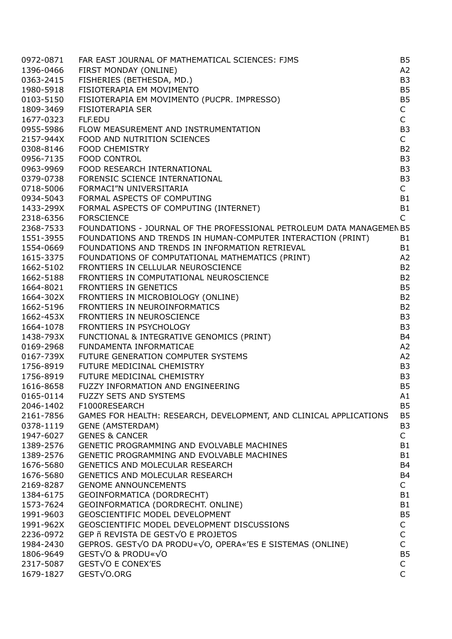| 0972-0871 | FAR EAST JOURNAL OF MATHEMATICAL SCIENCES: FJMS                       | <b>B5</b>      |
|-----------|-----------------------------------------------------------------------|----------------|
| 1396-0466 | FIRST MONDAY (ONLINE)                                                 | A2             |
| 0363-2415 | FISHERIES (BETHESDA, MD.)                                             | B <sub>3</sub> |
| 1980-5918 | FISIOTERAPIA EM MOVIMENTO                                             | <b>B5</b>      |
| 0103-5150 | FISIOTERAPIA EM MOVIMENTO (PUCPR. IMPRESSO)                           | <b>B5</b>      |
| 1809-3469 | <b>FISIOTERAPIA SER</b>                                               | $\mathsf{C}$   |
| 1677-0323 | FLF.EDU                                                               | $\mathsf{C}$   |
| 0955-5986 | FLOW MEASUREMENT AND INSTRUMENTATION                                  | B <sub>3</sub> |
| 2157-944X | FOOD AND NUTRITION SCIENCES                                           | $\mathsf{C}$   |
| 0308-8146 | <b>FOOD CHEMISTRY</b>                                                 | <b>B2</b>      |
| 0956-7135 | <b>FOOD CONTROL</b>                                                   | B <sub>3</sub> |
| 0963-9969 | FOOD RESEARCH INTERNATIONAL                                           | B <sub>3</sub> |
| 0379-0738 | FORENSIC SCIENCE INTERNATIONAL                                        | B <sub>3</sub> |
| 0718-5006 | FORMACI"N UNIVERSITARIA                                               | $\mathsf{C}$   |
| 0934-5043 | FORMAL ASPECTS OF COMPUTING                                           | <b>B1</b>      |
|           | 1433-299X FORMAL ASPECTS OF COMPUTING (INTERNET)                      | <b>B1</b>      |
|           |                                                                       | $\mathsf{C}$   |
| 2318-6356 | <b>FORSCIENCE</b>                                                     |                |
| 2368-7533 | FOUNDATIONS - JOURNAL OF THE PROFESSIONAL PETROLEUM DATA MANAGEMEN B5 |                |
| 1551-3955 | FOUNDATIONS AND TRENDS IN HUMAN-COMPUTER INTERACTION (PRINT)          | <b>B1</b>      |
| 1554-0669 | FOUNDATIONS AND TRENDS IN INFORMATION RETRIEVAL                       | <b>B1</b>      |
| 1615-3375 | FOUNDATIONS OF COMPUTATIONAL MATHEMATICS (PRINT)                      | A2             |
| 1662-5102 | FRONTIERS IN CELLULAR NEUROSCIENCE                                    | <b>B2</b>      |
| 1662-5188 | FRONTIERS IN COMPUTATIONAL NEUROSCIENCE                               | <b>B2</b>      |
| 1664-8021 | FRONTIERS IN GENETICS                                                 | <b>B5</b>      |
| 1664-302X | FRONTIERS IN MICROBIOLOGY (ONLINE)                                    | <b>B2</b>      |
| 1662-5196 | FRONTIERS IN NEUROINFORMATICS                                         | <b>B2</b>      |
| 1662-453X | FRONTIERS IN NEUROSCIENCE                                             | B <sub>3</sub> |
|           | 1664-1078 FRONTIERS IN PSYCHOLOGY                                     | B <sub>3</sub> |
| 1438-793X | FUNCTIONAL & INTEGRATIVE GENOMICS (PRINT)                             | <b>B4</b>      |
| 0169-2968 | FUNDAMENTA INFORMATICAE                                               | A2             |
| 0167-739X | FUTURE GENERATION COMPUTER SYSTEMS                                    | A2             |
| 1756-8919 | FUTURE MEDICINAL CHEMISTRY                                            | B <sub>3</sub> |
|           | 1756-8919 FUTURE MEDICINAL CHEMISTRY                                  | B <sub>3</sub> |
| 1616-8658 | FUZZY INFORMATION AND ENGINEERING                                     | B <sub>5</sub> |
| 0165-0114 | <b>FUZZY SETS AND SYSTEMS</b>                                         | A1             |
| 2046-1402 | F1000RESEARCH                                                         | B <sub>5</sub> |
| 2161-7856 | GAMES FOR HEALTH: RESEARCH, DEVELOPMENT, AND CLINICAL APPLICATIONS    | B <sub>5</sub> |
| 0378-1119 | <b>GENE (AMSTERDAM)</b>                                               | B <sub>3</sub> |
| 1947-6027 | <b>GENES &amp; CANCER</b>                                             | $\mathsf{C}$   |
| 1389-2576 | GENETIC PROGRAMMING AND EVOLVABLE MACHINES                            | B <sub>1</sub> |
| 1389-2576 | GENETIC PROGRAMMING AND EVOLVABLE MACHINES                            | B <sub>1</sub> |
| 1676-5680 | GENETICS AND MOLECULAR RESEARCH                                       | <b>B4</b>      |
| 1676-5680 | GENETICS AND MOLECULAR RESEARCH                                       | <b>B4</b>      |
| 2169-8287 | <b>GENOME ANNOUNCEMENTS</b>                                           | $\mathsf{C}$   |
| 1384-6175 | GEOINFORMATICA (DORDRECHT)                                            | B <sub>1</sub> |
| 1573-7624 | GEOINFORMATICA (DORDRECHT. ONLINE)                                    | B <sub>1</sub> |
| 1991-9603 | GEOSCIENTIFIC MODEL DEVELOPMENT                                       | B <sub>5</sub> |
| 1991-962X | GEOSCIENTIFIC MODEL DEVELOPMENT DISCUSSIONS                           | C              |
| 2236-0972 | GEP ñ REVISTA DE GEST√O E PROJETOS                                    | $\mathsf C$    |
| 1984-2430 | GEPROS. GESTVO DA PRODU«VO, OPERA«'ES E SISTEMAS (ONLINE)             | C              |
| 1806-9649 | GEST√O & PRODU«√O                                                     | B <sub>5</sub> |
| 2317-5087 | GEST√O E CONEX'ES                                                     | $\mathsf C$    |
|           | GEST√O.ORG                                                            | $\mathsf{C}$   |
| 1679-1827 |                                                                       |                |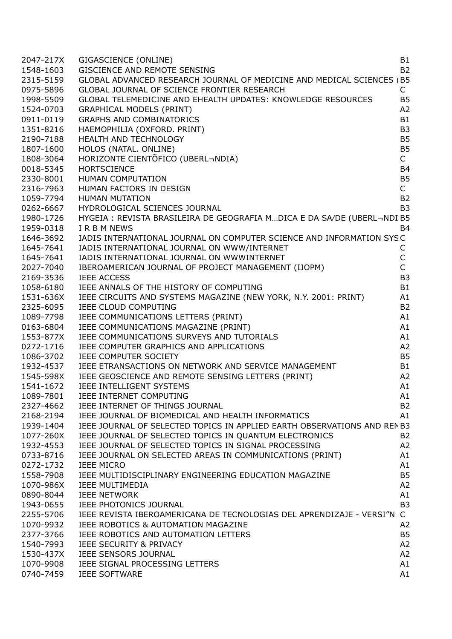| 2047-217X | GIGASCIENCE (ONLINE)                                                                                                                                                                                                                                                                                              | <b>B1</b>         |
|-----------|-------------------------------------------------------------------------------------------------------------------------------------------------------------------------------------------------------------------------------------------------------------------------------------------------------------------|-------------------|
| 1548-1603 | GISCIENCE AND REMOTE SENSING                                                                                                                                                                                                                                                                                      | <b>B2</b>         |
| 2315-5159 | GLOBAL ADVANCED RESEARCH JOURNAL OF MEDICINE AND MEDICAL SCIENCES (B5                                                                                                                                                                                                                                             |                   |
| 0975-5896 | GLOBAL JOURNAL OF SCIENCE FRONTIER RESEARCH                                                                                                                                                                                                                                                                       | $\mathsf{C}$      |
| 1998-5509 | GLOBAL TELEMEDICINE AND EHEALTH UPDATES: KNOWLEDGE RESOURCES                                                                                                                                                                                                                                                      | <b>B5</b>         |
| 1524-0703 | GRAPHICAL MODELS (PRINT)                                                                                                                                                                                                                                                                                          | A2                |
| 0911-0119 | NDIA)<br>India<br>India<br>India<br>India<br>India<br>India<br>India<br>India<br>India<br>India<br>India<br>India<br>India<br>India<br>India<br>India<br>India<br>India<br>India<br>India<br>India<br>India<br>India<br>India<br>India<br>India<br>India<br>India<br>India<br><br><b>GRAPHS AND COMBINATORICS</b> | <b>B1</b>         |
| 1351-8216 | HAEMOPHILIA (OXFORD. PRINT)                                                                                                                                                                                                                                                                                       | B <sub>3</sub>    |
| 2190-7188 | HEALTH AND TECHNOLOGY                                                                                                                                                                                                                                                                                             | B <sub>5</sub>    |
| 1807-1600 | HOLOS (NATAL. ONLINE)                                                                                                                                                                                                                                                                                             | B <sub>5</sub>    |
| 1808-3064 | HORIZONTE CIENTÕFICO (UBERL¬NDIA)                                                                                                                                                                                                                                                                                 | $\mathsf{C}$      |
| 0018-5345 | <b>HORTSCIENCE</b>                                                                                                                                                                                                                                                                                                | <b>B4</b>         |
| 2330-8001 | HUMAN COMPUTATION                                                                                                                                                                                                                                                                                                 | B <sub>5</sub>    |
| 2316-7963 | HUMAN FACTORS IN DESIGN                                                                                                                                                                                                                                                                                           | $\mathsf{C}$      |
| 1059-7794 | HUMAN MUTATION                                                                                                                                                                                                                                                                                                    | <b>B2</b>         |
|           | 0262-6667 HYDROLOGICAL SCIENCES JOURNAL                                                                                                                                                                                                                                                                           | B <sub>3</sub>    |
|           | 1980-1726 HYGEIA: REVISTA BRASILEIRA DE GEOGRAFIA MDICA E DA SA/DE (UBERL-NDI B5                                                                                                                                                                                                                                  |                   |
|           |                                                                                                                                                                                                                                                                                                                   | <b>B4</b>         |
| 1959-0318 | I R B M NEWS<br>IADIS INTERNATIONAL JOURNAL ON COMPUTER SCIENCE AND INFORMATION SYSC                                                                                                                                                                                                                              |                   |
| 1646-3692 |                                                                                                                                                                                                                                                                                                                   |                   |
| 1645-7641 | IADIS INTERNATIONAL JOURNAL ON WWW/INTERNET                                                                                                                                                                                                                                                                       | C<br>$\mathsf{C}$ |
| 1645-7641 | IADIS INTERNATIONAL JOURNAL ON WWWINTERNET<br>IADIS INTERNATIONAL JOURNAL OF PROJECT MANAGEMENT (IJOPM)                                                                                                                                                                                                           | $\mathsf{C}$      |
| 2027-7040 |                                                                                                                                                                                                                                                                                                                   |                   |
| 2169-3536 | <b>IEEE ACCESS</b>                                                                                                                                                                                                                                                                                                | B <sub>3</sub>    |
| 1058-6180 | IEEE ANNALS OF THE HISTORY OF COMPUTING                                                                                                                                                                                                                                                                           | <b>B1</b>         |
|           | 1531-636X IEEE CIRCUITS AND SYSTEMS MAGAZINE (NEW YORK, N.Y. 2001: PRINT)                                                                                                                                                                                                                                         | A1                |
| 2325-6095 | IEEE CLOUD COMPUTING                                                                                                                                                                                                                                                                                              | <b>B2</b>         |
|           | 1089-7798 IEEE COMMUNICATIONS LETTERS (PRINT)                                                                                                                                                                                                                                                                     | A1                |
| 0163-6804 | IEEE COMMUNICATIONS MAGAZINE (PRINT)                                                                                                                                                                                                                                                                              | A1                |
|           | 1553-877X IEEE COMMUNICATIONS SURVEYS AND TUTORIALS                                                                                                                                                                                                                                                               | A1                |
| 0272-1716 | IEEE COMPUTER GRAPHICS AND APPLICATIONS                                                                                                                                                                                                                                                                           | A2                |
| 1086-3702 | IEEE COMPUTER SOCIETY                                                                                                                                                                                                                                                                                             | B <sub>5</sub>    |
|           | 1932-4537 IEEE ETRANSACTIONS ON NETWORK AND SERVICE MANAGEMENT                                                                                                                                                                                                                                                    | B <sub>1</sub>    |
|           | 1545-598X IEEE GEOSCIENCE AND REMOTE SENSING LETTERS (PRINT)                                                                                                                                                                                                                                                      | A2                |
| 1541-1672 | IEEE INTELLIGENT SYSTEMS                                                                                                                                                                                                                                                                                          | A1                |
| 1089-7801 | IEEE INTERNET COMPUTING                                                                                                                                                                                                                                                                                           | A1                |
| 2327-4662 | IEEE INTERNET OF THINGS JOURNAL                                                                                                                                                                                                                                                                                   | B <sub>2</sub>    |
| 2168-2194 | IEEE JOURNAL OF BIOMEDICAL AND HEALTH INFORMATICS                                                                                                                                                                                                                                                                 | A1                |
| 1939-1404 | IEEE JOURNAL OF SELECTED TOPICS IN APPLIED EARTH OBSERVATIONS AND REMB3                                                                                                                                                                                                                                           |                   |
| 1077-260X | IEEE JOURNAL OF SELECTED TOPICS IN QUANTUM ELECTRONICS                                                                                                                                                                                                                                                            | <b>B2</b>         |
| 1932-4553 | IEEE JOURNAL OF SELECTED TOPICS IN SIGNAL PROCESSING                                                                                                                                                                                                                                                              | A2                |
| 0733-8716 | IEEE JOURNAL ON SELECTED AREAS IN COMMUNICATIONS (PRINT)                                                                                                                                                                                                                                                          | A1                |
| 0272-1732 | <b>IEEE MICRO</b>                                                                                                                                                                                                                                                                                                 | A1                |
| 1558-7908 | IEEE MULTIDISCIPLINARY ENGINEERING EDUCATION MAGAZINE                                                                                                                                                                                                                                                             | <b>B5</b>         |
| 1070-986X | <b>IEEE MULTIMEDIA</b>                                                                                                                                                                                                                                                                                            | A2                |
| 0890-8044 | <b>IEEE NETWORK</b>                                                                                                                                                                                                                                                                                               | A1                |
| 1943-0655 | IEEE PHOTONICS JOURNAL                                                                                                                                                                                                                                                                                            | B <sub>3</sub>    |
| 2255-5706 | IEEE REVISTA IBEROAMERICANA DE TECNOLOGIAS DEL APRENDIZAJE - VERSI"N. C                                                                                                                                                                                                                                           |                   |
| 1070-9932 | IEEE ROBOTICS & AUTOMATION MAGAZINE                                                                                                                                                                                                                                                                               | A2                |
| 2377-3766 | IEEE ROBOTICS AND AUTOMATION LETTERS                                                                                                                                                                                                                                                                              | B <sub>5</sub>    |
| 1540-7993 | IEEE SECURITY & PRIVACY                                                                                                                                                                                                                                                                                           | A2                |
| 1530-437X | IEEE SENSORS JOURNAL                                                                                                                                                                                                                                                                                              | A2                |
| 1070-9908 | IEEE SIGNAL PROCESSING LETTERS                                                                                                                                                                                                                                                                                    | A1                |
| 0740-7459 | <b>IEEE SOFTWARE</b>                                                                                                                                                                                                                                                                                              | A1                |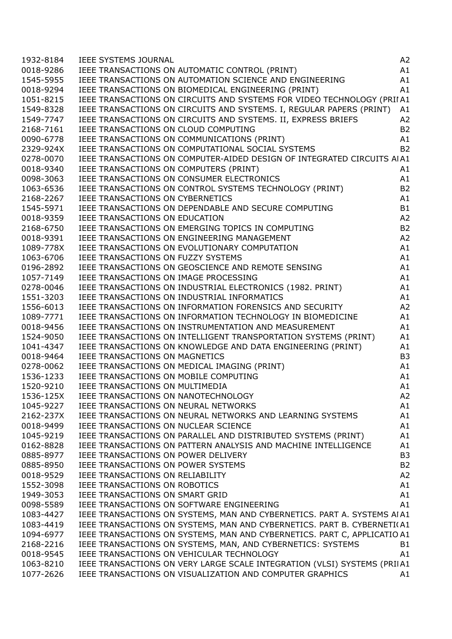| 1932-8184 |                                                                                                                                                                                                                                            | A2             |
|-----------|--------------------------------------------------------------------------------------------------------------------------------------------------------------------------------------------------------------------------------------------|----------------|
| 0018-9286 | IEEE SYSTEMS JOURNAL<br>IEEE TRANSACTIONS ON AUTOMATIC CONTROL (PRINT)<br>IEEE TRANSACTIONS ON AUTOMATION SCIENCE AND ENGINEERING<br>IEEE TRANSACTIONS ON BIOMEDICAL ENGINEERING (PRINT)                                                   | A1             |
| 1545-5955 |                                                                                                                                                                                                                                            | A1             |
| 0018-9294 |                                                                                                                                                                                                                                            | A1             |
| 1051-8215 | IEEE TRANSACTIONS ON CIRCUITS AND SYSTEMS FOR VIDEO TECHNOLOGY (PRIIA1                                                                                                                                                                     |                |
| 1549-8328 | IEEE TRANSACTIONS ON CIRCUITS AND SYSTEMS. I, REGULAR PAPERS (PRINT) A1                                                                                                                                                                    |                |
| 1549-7747 | IEEE TRANSACTIONS ON CIRCUITS AND SYSTEMS. II, EXPRESS BRIEFS                                                                                                                                                                              | A <sub>2</sub> |
| 2168-7161 |                                                                                                                                                                                                                                            | <b>B2</b>      |
| 0090-6778 | IEEE TRANSACTIONS ON CLOUD COMPUTING<br>IEEE TRANSACTIONS ON COMMUNICATIONS (PRINT)<br>IEEE TRANSACTIONS ON COMPUTATIONAL SOCIAL SYSTEMS                                                                                                   | A1             |
| 2329-924X |                                                                                                                                                                                                                                            | <b>B2</b>      |
| 0278-0070 | IEEE TRANSACTIONS ON COMPUTER-AIDED DESIGN OF INTEGRATED CIRCUITS AIA1                                                                                                                                                                     |                |
| 0018-9340 | IEEE TRANSACTIONS ON COMPUTERS (PRINT)                                                                                                                                                                                                     | A1             |
| 0098-3063 |                                                                                                                                                                                                                                            | A1             |
| 1063-6536 |                                                                                                                                                                                                                                            | B <sub>2</sub> |
| 2168-2267 |                                                                                                                                                                                                                                            | A1             |
|           | IEEE TRANSACTIONS ON COMPUTERS (PRINT)<br>IEEE TRANSACTIONS ON CONSUMER ELECTRONICS<br>IEEE TRANSACTIONS ON CONTROL SYSTEMS TECHNOLOGY (PRINT)<br>IEEE TRANSACTIONS ON CYBERNETICS<br>IEEE TRANSACTIONS ON DEPENDABLE AND SECURE COMPUTING | <b>B1</b>      |
| 1545-5971 |                                                                                                                                                                                                                                            |                |
| 0018-9359 |                                                                                                                                                                                                                                            | A2             |
| 2168-6750 |                                                                                                                                                                                                                                            | B <sub>2</sub> |
| 0018-9391 |                                                                                                                                                                                                                                            | A2             |
| 1089-778X |                                                                                                                                                                                                                                            | A1             |
| 1063-6706 |                                                                                                                                                                                                                                            | A1             |
| 0196-2892 |                                                                                                                                                                                                                                            | A1             |
| 1057-7149 |                                                                                                                                                                                                                                            | A1             |
| 0278-0046 |                                                                                                                                                                                                                                            | A1             |
| 1551-3203 |                                                                                                                                                                                                                                            | A1             |
| 1556-6013 |                                                                                                                                                                                                                                            | A <sub>2</sub> |
| 1089-7771 | IEEE TRANSACTIONS ON DEPENDABLE AND SECURE COMPUTING<br>IEEE TRANSACTIONS ON EDUCATION<br>IEEE TRANSACTIONS ON EMERGING TOPICS IN COMPUTING<br>IEEE TRANSACTIONS ON ENGINEERING MANAGEMENT<br>IEEE TRANSACTIONS ON EVOLUTIONARY COMPUTATIO | A1             |
| 0018-9456 | IEEE TRANSACTIONS ON INSTRUMENTATION AND MEASUREMENT                                                                                                                                                                                       | A1             |
| 1524-9050 | IEEE TRANSACTIONS ON INTELLIGENT TRANSPORTATION SYSTEMS (PRINT)                                                                                                                                                                            | A1             |
| 1041-4347 | IEEE TRANSACTIONS ON KNOWLEDGE AND DATA ENGINEERING (PRINT)                                                                                                                                                                                | A1             |
| 0018-9464 | IEEE TRANSACTIONS ON MAGNETICS                                                                                                                                                                                                             | B <sub>3</sub> |
| 0278-0062 | (PRINT)<br>G<br>S<br>IEEE TRANSACTIONS ON MEDICAL IMAGING (PRINT)                                                                                                                                                                          | A1             |
|           | 1536-1233 IEEE TRANSACTIONS ON MOBILE COMPUTING                                                                                                                                                                                            | A1             |
| 1520-9210 | IEEE TRANSACTIONS ON MULTIMEDIA                                                                                                                                                                                                            | A1             |
|           | 1536-125X IEEE TRANSACTIONS ON NANOTECHNOLOGY                                                                                                                                                                                              | A2             |
| 1045-9227 | IEEE TRANSACTIONS ON NEURAL NETWORKS                                                                                                                                                                                                       | A1             |
| 2162-237X | IEEE TRANSACTIONS ON NEURAL NETWORKS AND LEARNING SYSTEMS                                                                                                                                                                                  | A1             |
| 0018-9499 | IEEE TRANSACTIONS ON NUCLEAR SCIENCE                                                                                                                                                                                                       | A1             |
| 1045-9219 | IEEE TRANSACTIONS ON PARALLEL AND DISTRIBUTED SYSTEMS (PRINT)                                                                                                                                                                              | A1             |
| 0162-8828 | IEEE TRANSACTIONS ON PATTERN ANALYSIS AND MACHINE INTELLIGENCE                                                                                                                                                                             | A1             |
| 0885-8977 | IEEE TRANSACTIONS ON POWER DELIVERY                                                                                                                                                                                                        | B <sub>3</sub> |
| 0885-8950 | IEEE TRANSACTIONS ON POWER SYSTEMS                                                                                                                                                                                                         | <b>B2</b>      |
| 0018-9529 | IEEE TRANSACTIONS ON RELIABILITY                                                                                                                                                                                                           | A2             |
| 1552-3098 | IEEE TRANSACTIONS ON ROBOTICS                                                                                                                                                                                                              | A1             |
| 1949-3053 | IEEE TRANSACTIONS ON SMART GRID                                                                                                                                                                                                            | A1             |
| 0098-5589 | IEEE TRANSACTIONS ON SOFTWARE ENGINEERING                                                                                                                                                                                                  | A1             |
| 1083-4427 | IEEE TRANSACTIONS ON SYSTEMS, MAN AND CYBERNETICS. PART A. SYSTEMS AIA1                                                                                                                                                                    |                |
| 1083-4419 | IEEE TRANSACTIONS ON SYSTEMS, MAN AND CYBERNETICS. PART B. CYBERNETI(A1                                                                                                                                                                    |                |
| 1094-6977 | IEEE TRANSACTIONS ON SYSTEMS, MAN AND CYBERNETICS. PART C, APPLICATIO A1                                                                                                                                                                   |                |
| 2168-2216 | IEEE TRANSACTIONS ON SYSTEMS, MAN, AND CYBERNETICS: SYSTEMS                                                                                                                                                                                | B1             |
| 0018-9545 | IEEE TRANSACTIONS ON VEHICULAR TECHNOLOGY                                                                                                                                                                                                  | A1             |
| 1063-8210 | IEEE TRANSACTIONS ON VERY LARGE SCALE INTEGRATION (VLSI) SYSTEMS (PRIIA1                                                                                                                                                                   |                |
| 1077-2626 | IEEE TRANSACTIONS ON VISUALIZATION AND COMPUTER GRAPHICS                                                                                                                                                                                   | A1             |
|           |                                                                                                                                                                                                                                            |                |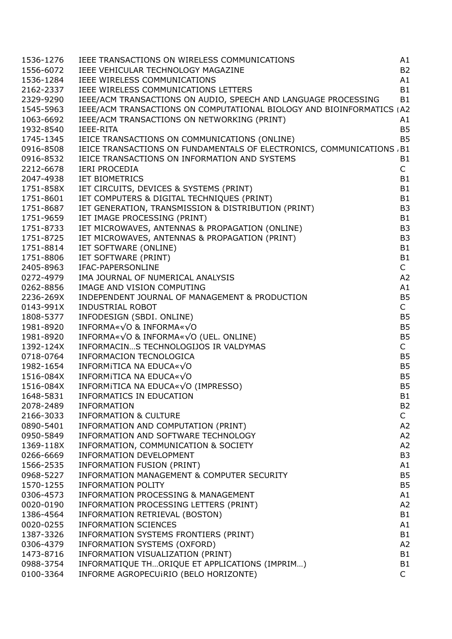| 1536-1276 | IEEE TRANSACTIONS ON WIRELESS COMMUNICATIONS                                                                                                                   | A1             |
|-----------|----------------------------------------------------------------------------------------------------------------------------------------------------------------|----------------|
| 1556-6072 | IEEE VEHICULAR TECHNOLOGY MAGAZINE                                                                                                                             | <b>B2</b>      |
| 1536-1284 | IEEE WIRELESS COMMUNICATIONS                                                                                                                                   | A1             |
| 2162-2337 | IEEE WIRELESS COMMUNICATIONS LETTERS                                                                                                                           | <b>B1</b>      |
| 2329-9290 | IEEE/ACM TRANSACTIONS ON AUDIO, SPEECH AND LANGUAGE PROCESSING                                                                                                 | <b>B1</b>      |
| 1545-5963 | IEEE/ACM TRANSACTIONS ON COMPUTATIONAL BIOLOGY AND BIOINFORMATICS (A2                                                                                          |                |
| 1063-6692 | IEEE/ACM TRANSACTIONS ON NETWORKING (PRINT)                                                                                                                    | A1             |
| 1932-8540 | <b>IEEE-RITA</b>                                                                                                                                               | <b>B5</b>      |
| 1745-1345 | IEICE TRANSACTIONS ON COMMUNICATIONS (ONLINE)                                                                                                                  | <b>B5</b>      |
| 0916-8508 | IEICE TRANSACTIONS ON FUNDAMENTALS OF ELECTRONICS, COMMUNICATIONS / B1                                                                                         |                |
| 0916-8532 | IEICE TRANSACTIONS ON INFORMATION AND SYSTEMS                                                                                                                  | <b>B1</b>      |
|           |                                                                                                                                                                | $\mathsf{C}$   |
| 2212-6678 | <b>IERI PROCEDIA</b>                                                                                                                                           |                |
| 2047-4938 | <b>IET BIOMETRICS</b>                                                                                                                                          | B <sub>1</sub> |
| 1751-858X |                                                                                                                                                                | B <sub>1</sub> |
| 1751-8601 | IET BIOMETRICS<br>IET CIRCUITS, DEVICES & SYSTEMS (PRINT)<br>IET COMPUTERS & DIGITAL TECHNIQUES (PRINT)<br>IET GENERATION, TRANSMISSION & DISTRIBUTION (PRINT) | B <sub>1</sub> |
| 1751-8687 |                                                                                                                                                                | B <sub>3</sub> |
| 1751-9659 | IET IMAGE PROCESSING (PRINT)                                                                                                                                   | B <sub>1</sub> |
| 1751-8733 | IET MICROWAVES, ANTENNAS & PROPAGATION (ONLINE)                                                                                                                | B <sub>3</sub> |
| 1751-8725 | IET MICROWAVES, ANTENNAS & PROPAGATION (PRINT)                                                                                                                 | B <sub>3</sub> |
| 1751-8814 | IET SOFTWARE (ONLINE)                                                                                                                                          | B <sub>1</sub> |
| 1751-8806 | IET SOFTWARE (PRINT)                                                                                                                                           | B <sub>1</sub> |
| 2405-8963 | IFAC-PAPERSONLINE                                                                                                                                              | $\mathsf{C}$   |
| 0272-4979 | IMA JOURNAL OF NUMERICAL ANALYSIS                                                                                                                              | A2             |
| 0262-8856 | IMAGE AND VISION COMPUTING                                                                                                                                     | A1             |
| 2236-269X | INDEPENDENT JOURNAL OF MANAGEMENT & PRODUCTION                                                                                                                 | <b>B5</b>      |
| 0143-991X | <b>INDUSTRIAL ROBOT</b>                                                                                                                                        | $\mathsf{C}$   |
| 1808-5377 | INFODESIGN (SBDI. ONLINE)                                                                                                                                      | B <sub>5</sub> |
| 1981-8920 | INFORMA«√O & INFORMA«√O                                                                                                                                        | <b>B5</b>      |
| 1981-8920 | INFORMA«√O & INFORMA«√O (UEL. ONLINE)                                                                                                                          | B <sub>5</sub> |
| 1392-124X | INFORMACINS TECHNOLOGIJOS IR VALDYMAS                                                                                                                          | $\mathsf{C}$   |
| 0718-0764 | INFORMACION TECNOLOGICA                                                                                                                                        | B <sub>5</sub> |
| 1982-1654 |                                                                                                                                                                | B <sub>5</sub> |
|           | INFORMITICA NA EDUCA $\ll \sqrt{O}$                                                                                                                            |                |
| 1516-084X | INFORMITICA NA EDUCA $*\sqrt{0}$                                                                                                                               | B <sub>5</sub> |
| 1516-084X | INFORMITICA NA EDUCA« $\sqrt{O}$ (IMPRESSO)                                                                                                                    | <b>B5</b>      |
| 1648-5831 | INFORMATICS IN EDUCATION                                                                                                                                       | B1             |
| 2078-2489 | <b>INFORMATION</b>                                                                                                                                             | B <sub>2</sub> |
| 2166-3033 | <b>INFORMATION &amp; CULTURE</b>                                                                                                                               | $\mathsf{C}$   |
| 0890-5401 | INFORMATION AND COMPUTATION (PRINT)                                                                                                                            | A2             |
| 0950-5849 | INFORMATION AND SOFTWARE TECHNOLOGY                                                                                                                            | A2             |
| 1369-118X | INFORMATION, COMMUNICATION & SOCIETY                                                                                                                           | A2             |
| 0266-6669 | INFORMATION DEVELOPMENT                                                                                                                                        | B <sub>3</sub> |
| 1566-2535 | INFORMATION FUSION (PRINT)                                                                                                                                     | A1             |
| 0968-5227 | INFORMATION MANAGEMENT & COMPUTER SECURITY                                                                                                                     | <b>B5</b>      |
| 1570-1255 | <b>INFORMATION POLITY</b>                                                                                                                                      | B <sub>5</sub> |
| 0306-4573 | INFORMATION PROCESSING & MANAGEMENT                                                                                                                            | A1             |
| 0020-0190 | INFORMATION PROCESSING LETTERS (PRINT)                                                                                                                         | A2             |
| 1386-4564 | INFORMATION RETRIEVAL (BOSTON)                                                                                                                                 | B <sub>1</sub> |
| 0020-0255 | <b>INFORMATION SCIENCES</b>                                                                                                                                    | A1             |
| 1387-3326 | INFORMATION SYSTEMS FRONTIERS (PRINT)                                                                                                                          | B <sub>1</sub> |
| 0306-4379 | INFORMATION SYSTEMS (OXFORD)                                                                                                                                   | A2             |
| 1473-8716 | INFORMATION VISUALIZATION (PRINT)                                                                                                                              | B <sub>1</sub> |
| 0988-3754 | INFORMATIQUE THORIQUE ET APPLICATIONS (IMPRIM)                                                                                                                 | B <sub>1</sub> |
| 0100-3364 | INFORME AGROPECUIRIO (BELO HORIZONTE)                                                                                                                          | $\mathsf{C}$   |
|           |                                                                                                                                                                |                |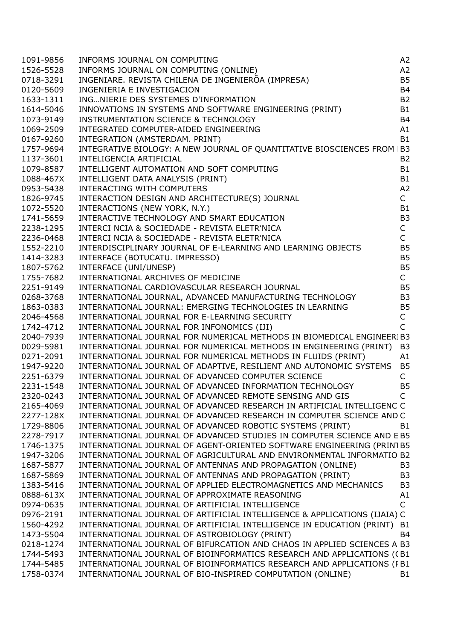| 1091-9856 |                                                                                                                                                                                                                                                 | A <sub>2</sub> |
|-----------|-------------------------------------------------------------------------------------------------------------------------------------------------------------------------------------------------------------------------------------------------|----------------|
| 1526-5528 |                                                                                                                                                                                                                                                 | A2             |
| 0718-3291 |                                                                                                                                                                                                                                                 | <b>B5</b>      |
| 0120-5609 | INFORMS JOURNAL ON COMPUTING<br>INFORMS JOURNAL ON COMPUTING (ONLINE)<br>INGENIARE. REVISTA CHILENA DE INGENIERÕA (IMPRESA)                                                                                                                     | <b>B4</b>      |
| 1633-1311 | INGNIERIE DES SYSTEMES D'INFORMATION                                                                                                                                                                                                            | <b>B2</b>      |
| 1614-5046 | INGNIENIE DES STSTERES D'INFONDATION<br>INNOVATIONS IN SYSTEMS AND SOFTWARE ENGINEERING (PRINT)<br>INSTRUMENTATION SCIENCE & TECHNOLOGY<br>INTEGRATED COMPUTER-AIDED ENGINEERING                                                                | B <sub>1</sub> |
| 1073-9149 |                                                                                                                                                                                                                                                 | <b>B4</b>      |
| 1069-2509 |                                                                                                                                                                                                                                                 | A1             |
| 0167-9260 | INTEGRATION (AMSTERDAM. PRINT)                                                                                                                                                                                                                  | <b>B1</b>      |
| 1757-9694 | INTEGRATIVE BIOLOGY: A NEW JOURNAL OF QUANTITATIVE BIOSCIENCES FROM IB3                                                                                                                                                                         |                |
| 1137-3601 | INTELIGENCIA ARTIFICIAL                                                                                                                                                                                                                         | <b>B2</b>      |
| 1079-8587 | INTELIGENCIA ARTIFICIAL<br>INTELLIGENT AUTOMATION AND SOFT COMPUTING<br>INTELLIGENT DATA ANALYSIS (PRINT)<br>INTERACTING WITH COMPUTERS<br>INTERACTION DESIGN AND ARCHITECTURE(S) JOURNAL<br>INTERACTIONS (NEW YORK, N.Y.)<br>INTERACTIONS (NEW | <b>B1</b>      |
| 1088-467X |                                                                                                                                                                                                                                                 | B1             |
| 0953-5438 |                                                                                                                                                                                                                                                 | A2             |
| 1826-9745 |                                                                                                                                                                                                                                                 | $\mathsf{C}$   |
| 1072-5520 |                                                                                                                                                                                                                                                 | <b>B1</b>      |
| 1741-5659 |                                                                                                                                                                                                                                                 | B <sub>3</sub> |
| 2238-1295 | INTERCI NCIA & SOCIEDADE - REVISTA ELETR'NICA                                                                                                                                                                                                   | $\mathsf C$    |
| 2236-0468 | INTERCI NCIA & SOCIEDADE - REVISTA ELETR'NICA                                                                                                                                                                                                   | $\mathsf{C}$   |
| 1552-2210 | INTERDISCIPLINARY JOURNAL OF E-LEARNING AND LEARNING OBJECTS                                                                                                                                                                                    | <b>B5</b>      |
| 1414-3283 |                                                                                                                                                                                                                                                 | <b>B5</b>      |
| 1807-5762 | INTERNATIONAL ARCHIVES OF MEDICINE<br>INTERNATIONAL CARDIOVASCULAR RESEARCH JOURNAL<br>INTERNATIONAL JOURNAL, ADVANCED MANUFACTURY                                                                                                              | <b>B5</b>      |
| 1755-7682 |                                                                                                                                                                                                                                                 | $\mathsf{C}$   |
| 2251-9149 | INTERNATIONAL UNIVERSIONAL RESEARCH JOURNAL<br>INTERNATIONAL JOURNAL, ADVANCED MANUFACTURING TECHNOLOGY<br>INTERNATIONAL JOURNAL: EMERGING TECHNOLOGIES IN LEARNING<br>INTERNATIONAL JOURNAL FOR E-LEARNING SECURITY                            | <b>B5</b>      |
| 0268-3768 |                                                                                                                                                                                                                                                 | B <sub>3</sub> |
| 1863-0383 |                                                                                                                                                                                                                                                 | <b>B5</b>      |
| 2046-4568 |                                                                                                                                                                                                                                                 | $\mathsf{C}$   |
| 1742-4712 | INTERNATIONAL JOURNAL FOR INFONOMICS (IJI)                                                                                                                                                                                                      | Ċ              |
| 2040-7939 | INTERNATIONAL JOURNAL FOR NUMERICAL METHODS IN BIOMEDICAL ENGINEERIB3                                                                                                                                                                           |                |
| 0029-5981 | INTERNATIONAL JOURNAL FOR NUMERICAL METHODS IN ENGINEERING (PRINT)                                                                                                                                                                              | B <sub>3</sub> |
| 0271-2091 | INTERNATIONAL JOURNAL FOR NUMERICAL METHODS IN FLUIDS (PRINT)                                                                                                                                                                                   | A1             |
| 1947-9220 | INTERNATIONAL JOURNAL OF ADAPTIVE, RESILIENT AND AUTONOMIC SYSTEMS                                                                                                                                                                              | B <sub>5</sub> |
| 2251-6379 | INTERNATIONAL JOURNAL OF ADVANCED COMPUTER SCIENCE                                                                                                                                                                                              | $\mathsf{C}$   |
| 2231-1548 | INTERNATIONAL JOURNAL OF ADVANCED INFORMATION TECHNOLOGY                                                                                                                                                                                        | B <sub>5</sub> |
| 2320-0243 | INTERNATIONAL JOURNAL OF ADVANCED REMOTE SENSING AND GIS                                                                                                                                                                                        | $\sqrt{ }$     |
| 2165-4069 | INTERNATIONAL JOURNAL OF ADVANCED RESEARCH IN ARTIFICIAL INTELLIGENCIC                                                                                                                                                                          |                |
| 2277-128X | INTERNATIONAL JOURNAL OF ADVANCED RESEARCH IN COMPUTER SCIENCE AND C                                                                                                                                                                            |                |
| 1729-8806 | INTERNATIONAL JOURNAL OF ADVANCED ROBOTIC SYSTEMS (PRINT)                                                                                                                                                                                       | <b>B1</b>      |
| 2278-7917 | INTERNATIONAL JOURNAL OF ADVANCED STUDIES IN COMPUTER SCIENCE AND E B5                                                                                                                                                                          |                |
| 1746-1375 | INTERNATIONAL JOURNAL OF AGENT-ORIENTED SOFTWARE ENGINEERING (PRIN1B5                                                                                                                                                                           |                |
| 1947-3206 | INTERNATIONAL JOURNAL OF AGRICULTURAL AND ENVIRONMENTAL INFORMATIO B2                                                                                                                                                                           |                |
| 1687-5877 | INTERNATIONAL JOURNAL OF ANTENNAS AND PROPAGATION (ONLINE)                                                                                                                                                                                      | B <sub>3</sub> |
| 1687-5869 | INTERNATIONAL JOURNAL OF ANTENNAS AND PROPAGATION (PRINT)                                                                                                                                                                                       | B <sub>3</sub> |
| 1383-5416 | INTERNATIONAL JOURNAL OF APPLIED ELECTROMAGNETICS AND MECHANICS                                                                                                                                                                                 | B <sub>3</sub> |
| 0888-613X | INTERNATIONAL JOURNAL OF APPROXIMATE REASONING                                                                                                                                                                                                  | A1             |
| 0974-0635 | INTERNATIONAL JOURNAL OF ARTIFICIAL INTELLIGENCE                                                                                                                                                                                                | $\mathsf{C}$   |
| 0976-2191 | INTERNATIONAL JOURNAL OF ARTIFICIAL INTELLIGENCE & APPLICATIONS (IJAIA) C                                                                                                                                                                       |                |
| 1560-4292 | INTERNATIONAL JOURNAL OF ARTIFICIAL INTELLIGENCE IN EDUCATION (PRINT) B1                                                                                                                                                                        |                |
| 1473-5504 | INTERNATIONAL JOURNAL OF ASTROBIOLOGY (PRINT)                                                                                                                                                                                                   | B <sub>4</sub> |
| 0218-1274 | INTERNATIONAL JOURNAL OF BIFURCATION AND CHAOS IN APPLIED SCIENCES AIB3                                                                                                                                                                         |                |
| 1744-5493 | INTERNATIONAL JOURNAL OF BIOINFORMATICS RESEARCH AND APPLICATIONS (CB1                                                                                                                                                                          |                |
| 1744-5485 | INTERNATIONAL JOURNAL OF BIOINFORMATICS RESEARCH AND APPLICATIONS (FB1                                                                                                                                                                          |                |
| 1758-0374 | INTERNATIONAL JOURNAL OF BIO-INSPIRED COMPUTATION (ONLINE)                                                                                                                                                                                      | B <sub>1</sub> |
|           |                                                                                                                                                                                                                                                 |                |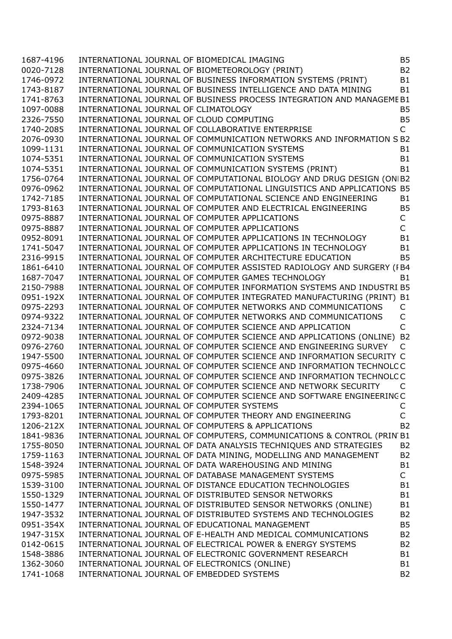| 1687-4196 | INTERNATIONAL JOURNAL OF BIOMEDICAL IMAGING                            |              | B <sub>5</sub> |
|-----------|------------------------------------------------------------------------|--------------|----------------|
|           |                                                                        |              |                |
| 0020-7128 | INTERNATIONAL JOURNAL OF BIOMETEOROLOGY (PRINT)                        |              | <b>B2</b>      |
| 1746-0972 | INTERNATIONAL JOURNAL OF BUSINESS INFORMATION SYSTEMS (PRINT)          |              | B1             |
| 1743-8187 | INTERNATIONAL JOURNAL OF BUSINESS INTELLIGENCE AND DATA MINING         |              | <b>B1</b>      |
| 1741-8763 | INTERNATIONAL JOURNAL OF BUSINESS PROCESS INTEGRATION AND MANAGEME B1  |              |                |
| 1097-0088 | INTERNATIONAL JOURNAL OF CLIMATOLOGY                                   |              | <b>B5</b>      |
| 2326-7550 | INTERNATIONAL JOURNAL OF CLOUD COMPUTING                               |              | B <sub>5</sub> |
| 1740-2085 | INTERNATIONAL JOURNAL OF COLLABORATIVE ENTERPRISE                      | $\mathsf{C}$ |                |
| 2076-0930 | INTERNATIONAL JOURNAL OF COMMUNICATION NETWORKS AND INFORMATION S B2   |              |                |
| 1099-1131 | INTERNATIONAL JOURNAL OF COMMUNICATION SYSTEMS                         |              | B <sub>1</sub> |
| 1074-5351 | INTERNATIONAL JOURNAL OF COMMUNICATION SYSTEMS                         |              | <b>B1</b>      |
| 1074-5351 | INTERNATIONAL JOURNAL OF COMMUNICATION SYSTEMS (PRINT)                 |              | B1             |
| 1756-0764 | INTERNATIONAL JOURNAL OF COMPUTATIONAL BIOLOGY AND DRUG DESIGN (ON B2  |              |                |
| 0976-0962 | INTERNATIONAL JOURNAL OF COMPUTATIONAL LINGUISTICS AND APPLICATIONS B5 |              |                |
| 1742-7185 | INTERNATIONAL JOURNAL OF COMPUTATIONAL SCIENCE AND ENGINEERING         |              | B <sub>1</sub> |
| 1793-8163 | INTERNATIONAL JOURNAL OF COMPUTER AND ELECTRICAL ENGINEERING           |              | <b>B5</b>      |
| 0975-8887 | INTERNATIONAL JOURNAL OF COMPUTER APPLICATIONS                         | $\mathsf{C}$ |                |
| 0975-8887 | INTERNATIONAL JOURNAL OF COMPUTER APPLICATIONS                         | C            |                |
| 0952-8091 | INTERNATIONAL JOURNAL OF COMPUTER APPLICATIONS IN TECHNOLOGY           |              | B1             |
|           |                                                                        |              |                |
| 1741-5047 | INTERNATIONAL JOURNAL OF COMPUTER APPLICATIONS IN TECHNOLOGY           |              | B1             |
| 2316-9915 | INTERNATIONAL JOURNAL OF COMPUTER ARCHITECTURE EDUCATION               |              | <b>B5</b>      |
| 1861-6410 | INTERNATIONAL JOURNAL OF COMPUTER ASSISTED RADIOLOGY AND SURGERY (FB4  |              |                |
| 1687-7047 | INTERNATIONAL JOURNAL OF COMPUTER GAMES TECHNOLOGY                     |              | B1             |
| 2150-7988 | INTERNATIONAL JOURNAL OF COMPUTER INFORMATION SYSTEMS AND INDUSTRI B5  |              |                |
| 0951-192X | INTERNATIONAL JOURNAL OF COMPUTER INTEGRATED MANUFACTURING (PRINT) B1  |              |                |
| 0975-2293 | INTERNATIONAL JOURNAL OF COMPUTER NETWORKS AND COMMUNICATIONS          | C            |                |
| 0974-9322 | INTERNATIONAL JOURNAL OF COMPUTER NETWORKS AND COMMUNICATIONS          | $\mathsf{C}$ |                |
| 2324-7134 | INTERNATIONAL JOURNAL OF COMPUTER SCIENCE AND APPLICATION              | C            |                |
| 0972-9038 | INTERNATIONAL JOURNAL OF COMPUTER SCIENCE AND APPLICATIONS (ONLINE) B2 |              |                |
| 0976-2760 | INTERNATIONAL JOURNAL OF COMPUTER SCIENCE AND ENGINEERING SURVEY       |              |                |
| 1947-5500 | INTERNATIONAL JOURNAL OF COMPUTER SCIENCE AND INFORMATION SECURITY C   |              |                |
| 0975-4660 | INTERNATIONAL JOURNAL OF COMPUTER SCIENCE AND INFORMATION TECHNOLC C   |              |                |
| 0975-3826 | INTERNATIONAL JOURNAL OF COMPUTER SCIENCE AND INFORMATION TECHNOLC C   |              |                |
| 1738-7906 | INTERNATIONAL JOURNAL OF COMPUTER SCIENCE AND NETWORK SECURITY         |              |                |
| 2409-4285 | INTERNATIONAL JOURNAL OF COMPUTER SCIENCE AND SOFTWARE ENGINEERING C   |              |                |
| 2394-1065 | INTERNATIONAL JOURNAL OF COMPUTER SYSTEMS                              | C            |                |
| 1793-8201 | INTERNATIONAL JOURNAL OF COMPUTER THEORY AND ENGINEERING               | C            |                |
| 1206-212X | INTERNATIONAL JOURNAL OF COMPUTERS & APPLICATIONS                      |              | <b>B2</b>      |
| 1841-9836 | INTERNATIONAL JOURNAL OF COMPUTERS, COMMUNICATIONS & CONTROL (PRIN B1  |              |                |
| 1755-8050 |                                                                        |              | <b>B2</b>      |
|           | INTERNATIONAL JOURNAL OF DATA ANALYSIS TECHNIQUES AND STRATEGIES       |              |                |
| 1759-1163 | INTERNATIONAL JOURNAL OF DATA MINING, MODELLING AND MANAGEMENT         |              | <b>B2</b>      |
| 1548-3924 | INTERNATIONAL JOURNAL OF DATA WAREHOUSING AND MINING                   |              | <b>B1</b>      |
| 0975-5985 | INTERNATIONAL JOURNAL OF DATABASE MANAGEMENT SYSTEMS                   | $\mathsf{C}$ |                |
| 1539-3100 | INTERNATIONAL JOURNAL OF DISTANCE EDUCATION TECHNOLOGIES               |              | B <sub>1</sub> |
| 1550-1329 | INTERNATIONAL JOURNAL OF DISTRIBUTED SENSOR NETWORKS                   |              | <b>B1</b>      |
| 1550-1477 | INTERNATIONAL JOURNAL OF DISTRIBUTED SENSOR NETWORKS (ONLINE)          |              | B <sub>1</sub> |
| 1947-3532 | INTERNATIONAL JOURNAL OF DISTRIBUTED SYSTEMS AND TECHNOLOGIES          |              | <b>B2</b>      |
| 0951-354X | INTERNATIONAL JOURNAL OF EDUCATIONAL MANAGEMENT                        |              | <b>B5</b>      |
| 1947-315X | INTERNATIONAL JOURNAL OF E-HEALTH AND MEDICAL COMMUNICATIONS           |              | <b>B2</b>      |
| 0142-0615 | INTERNATIONAL JOURNAL OF ELECTRICAL POWER & ENERGY SYSTEMS             |              | <b>B2</b>      |
| 1548-3886 | INTERNATIONAL JOURNAL OF ELECTRONIC GOVERNMENT RESEARCH                |              | <b>B1</b>      |
| 1362-3060 | INTERNATIONAL JOURNAL OF ELECTRONICS (ONLINE)                          |              | <b>B1</b>      |
| 1741-1068 | INTERNATIONAL JOURNAL OF EMBEDDED SYSTEMS                              |              | <b>B2</b>      |
|           |                                                                        |              |                |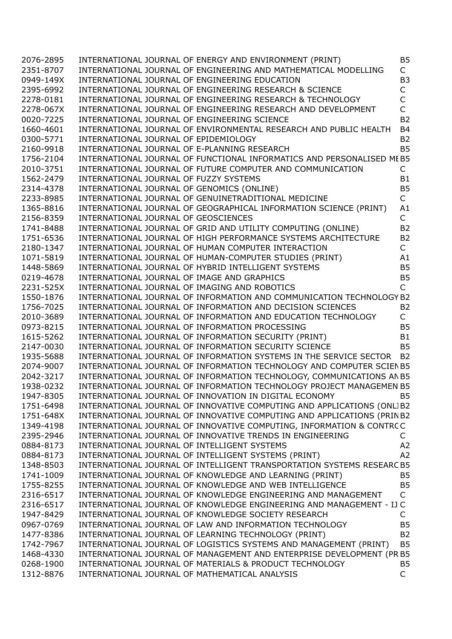| 2076-2895 | INTERNATIONAL JOURNAL OF ENERGY AND ENVIRONMENT (PRINT)                                                                                           | <b>B5</b>      |
|-----------|---------------------------------------------------------------------------------------------------------------------------------------------------|----------------|
| 2351-8707 | INTERNATIONAL JOURNAL OF ENGINEERING AND MATHEMATICAL MODELLING                                                                                   | $\mathsf{C}$   |
| 0949-149X | INTERNATIONAL JOURNAL OF ENGINEERING EDUCATION                                                                                                    | B <sub>3</sub> |
| 2395-6992 | INTERNATIONAL JOURNAL OF ENGINEERING RESEARCH & SCIENCE                                                                                           | $\mathsf C$    |
| 2278-0181 | INTERNATIONAL JOURNAL OF ENGINEERING RESEARCH & TECHNOLOGY                                                                                        | $\mathsf C$    |
| 2278-067X | INTERNATIONAL JOURNAL OF ENGINEERING RESEARCH AND DEVELOPMENT                                                                                     | $\overline{C}$ |
| 0020-7225 | INTERNATIONAL JOURNAL OF ENGINEERING SCIENCE                                                                                                      | <b>B2</b>      |
| 1660-4601 | INTERNATIONAL JOURNAL OF ENVIRONMENTAL RESEARCH AND PUBLIC HEALTH                                                                                 | <b>B4</b>      |
| 0300-5771 | INTERNATIONAL JOURNAL OF EPIDEMIOLOGY                                                                                                             | <b>B2</b>      |
| 2160-9918 | INTERNATIONAL JOURNAL OF E-PLANNING RESEARCH                                                                                                      | <b>B5</b>      |
| 1756-2104 | INTERNATIONAL JOURNAL OF FUNCTIONAL INFORMATICS AND PERSONALISED MEB5                                                                             |                |
| 2010-3751 | INTERNATIONAL JOURNAL OF FUTURE COMPUTER AND COMMUNICATION                                                                                        | C              |
| 1562-2479 | INTERNATIONAL JOURNAL OF FUZZY SYSTEMS                                                                                                            | <b>B1</b>      |
| 2314-4378 | INTERNATIONAL JOURNAL OF GENOMICS (ONLINE)                                                                                                        | <b>B5</b>      |
| 2233-8985 | INTERNATIONAL JOURNAL OF GENUINETRADITIONAL MEDICINE                                                                                              | $\mathsf{C}$   |
| 1365-8816 | INTERNATIONAL JOURNAL OF GEOGRAPHICAL INFORMATION SCIENCE (PRINT)                                                                                 | A1             |
| 2156-8359 | INTERNATIONAL JOURNAL OF GEOSCIENCES                                                                                                              | $\mathsf{C}$   |
| 1741-8488 | INTERNATIONAL JOURNAL OF GRID AND UTILITY COMPUTING (ONLINE)                                                                                      | <b>B2</b>      |
| 1751-6536 | INTERNATIONAL JOURNAL OF HIGH PERFORMANCE SYSTEMS ARCHITECTURE                                                                                    | <b>B2</b>      |
| 2180-1347 | INTERNATIONAL JOURNAL OF HUMAN COMPUTER INTERACTION                                                                                               | $\mathsf{C}$   |
| 1071-5819 | INTERNATIONAL JOURNAL OF HUMAN-COMPUTER STUDIES (PRINT)                                                                                           | A1             |
| 1448-5869 |                                                                                                                                                   | <b>B5</b>      |
| 0219-4678 | INTERNATIONAL JOURNAL OF HYBRID INTELLIGENT SYSTEMS<br>INTERNATIONAL JOURNAL OF IMAGE AND GRAPHICS<br>INTERNATIONAL JOURNAL OF IMAGE AND GRAPHICS | <b>B5</b>      |
| 2231-525X | INTERNATIONAL JOURNAL OF IMAGING AND ROBOTICS                                                                                                     | $\mathsf{C}$   |
| 1550-1876 | INTERNATIONAL JOURNAL OF INFORMATION AND COMMUNICATION TECHNOLOGY B2                                                                              |                |
| 1756-7025 | INTERNATIONAL JOURNAL OF INFORMATION AND DECISION SCIENCES                                                                                        | <b>B2</b>      |
| 2010-3689 | INTERNATIONAL JOURNAL OF INFORMATION AND EDUCATION TECHNOLOGY                                                                                     | $\mathsf{C}$   |
| 0973-8215 | INTERNATIONAL JOURNAL OF INFORMATION PROCESSING                                                                                                   | <b>B5</b>      |
|           |                                                                                                                                                   | <b>B1</b>      |
| 1615-5262 | INTERNATIONAL JOURNAL OF INFORMATION SECURITY (PRINT)                                                                                             |                |
| 2147-0030 | INTERNATIONAL JOURNAL OF INFORMATION SECURITY SCIENCE                                                                                             | <b>B5</b>      |
| 1935-5688 | INTERNATIONAL JOURNAL OF INFORMATION SYSTEMS IN THE SERVICE SECTOR B2                                                                             |                |
| 2074-9007 | INTERNATIONAL JOURNAL OF INFORMATION TECHNOLOGY AND COMPUTER SCIEN B5                                                                             |                |
| 2042-3217 | INTERNATIONAL JOURNAL OF INFORMATION TECHNOLOGY, COMMUNICATIONS AN B5                                                                             |                |
| 1938-0232 | INTERNATIONAL JOURNAL OF INFORMATION TECHNOLOGY PROJECT MANAGEMEN B5                                                                              |                |
| 1947-8305 | INTERNATIONAL JOURNAL OF INNOVATION IN DIGITAL ECONOMY                                                                                            | <b>B5</b>      |
| 1751-6498 | INTERNATIONAL JOURNAL OF INNOVATIVE COMPUTING AND APPLICATIONS (ONLIB2                                                                            |                |
| 1751-648X | INTERNATIONAL JOURNAL OF INNOVATIVE COMPUTING AND APPLICATIONS (PRIN B2                                                                           |                |
| 1349-4198 | INTERNATIONAL JOURNAL OF INNOVATIVE COMPUTING, INFORMATION & CONTRCC                                                                              |                |
| 2395-2946 | INTERNATIONAL JOURNAL OF INNOVATIVE TRENDS IN ENGINEERING                                                                                         | C              |
| 0884-8173 | INTERNATIONAL JOURNAL OF INTELLIGENT SYSTEMS                                                                                                      | A2             |
| 0884-8173 | INTERNATIONAL JOURNAL OF INTELLIGENT SYSTEMS (PRINT)                                                                                              | A2             |
| 1348-8503 | INTERNATIONAL JOURNAL OF INTELLIGENT TRANSPORTATION SYSTEMS RESEARC B5                                                                            |                |
| 1741-1009 | INTERNATIONAL JOURNAL OF KNOWLEDGE AND LEARNING (PRINT)                                                                                           | <b>B5</b>      |
| 1755-8255 | INTERNATIONAL JOURNAL OF KNOWLEDGE AND WEB INTELLIGENCE                                                                                           | <b>B5</b>      |
| 2316-6517 | INTERNATIONAL JOURNAL OF KNOWLEDGE ENGINEERING AND MANAGEMENT                                                                                     | $\mathsf{C}$   |
| 2316-6517 | INTERNATIONAL JOURNAL OF KNOWLEDGE ENGINEERING AND MANAGEMENT - IJ C                                                                              |                |
| 1947-8429 | INTERNATIONAL JOURNAL OF KNOWLEDGE SOCIETY RESEARCH                                                                                               | $\mathsf{C}$   |
| 0967-0769 | INTERNATIONAL JOURNAL OF LAW AND INFORMATION TECHNOLOGY                                                                                           | <b>B5</b>      |
| 1477-8386 | INTERNATIONAL JOURNAL OF LEARNING TECHNOLOGY (PRINT)                                                                                              | <b>B2</b>      |
| 1742-7967 | INTERNATIONAL JOURNAL OF LOGISTICS SYSTEMS AND MANAGEMENT (PRINT)                                                                                 | <b>B5</b>      |
| 1468-4330 | INTERNATIONAL JOURNAL OF MANAGEMENT AND ENTERPRISE DEVELOPMENT (PR B5                                                                             |                |
| 0268-1900 | INTERNATIONAL JOURNAL OF MATERIALS & PRODUCT TECHNOLOGY                                                                                           | <b>B5</b>      |
| 1312-8876 | INTERNATIONAL JOURNAL OF MATHEMATICAL ANALYSIS                                                                                                    | $\mathsf C$    |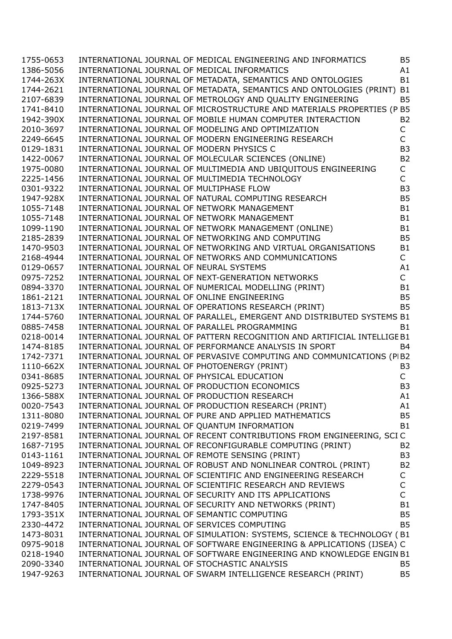| 1755-0653 | INTERNATIONAL JOURNAL OF MEDICAL ENGINEERING AND INFORMATICS             | <b>B5</b>      |
|-----------|--------------------------------------------------------------------------|----------------|
| 1386-5056 | INTERNATIONAL JOURNAL OF MEDICAL INFORMATICS                             | A1             |
| 1744-263X | INTERNATIONAL JOURNAL OF METADATA, SEMANTICS AND ONTOLOGIES              | <b>B1</b>      |
| 1744-2621 | INTERNATIONAL JOURNAL OF METADATA, SEMANTICS AND ONTOLOGIES (PRINT)      | B <sub>1</sub> |
| 2107-6839 | INTERNATIONAL JOURNAL OF METROLOGY AND QUALITY ENGINEERING               | <b>B5</b>      |
| 1741-8410 | INTERNATIONAL JOURNAL OF MICROSTRUCTURE AND MATERIALS PROPERTIES (P B5   |                |
| 1942-390X | INTERNATIONAL JOURNAL OF MOBILE HUMAN COMPUTER INTERACTION               | <b>B2</b>      |
| 2010-3697 | INTERNATIONAL JOURNAL OF MODELING AND OPTIMIZATION                       | $\mathsf{C}$   |
| 2249-6645 | INTERNATIONAL JOURNAL OF MODERN ENGINEERING RESEARCH                     | $\mathsf{C}$   |
| 0129-1831 | INTERNATIONAL JOURNAL OF MODERN PHYSICS C                                | B <sub>3</sub> |
| 1422-0067 | INTERNATIONAL JOURNAL OF MOLECULAR SCIENCES (ONLINE)                     | <b>B2</b>      |
| 1975-0080 | INTERNATIONAL JOURNAL OF MULTIMEDIA AND UBIQUITOUS ENGINEERING           | C              |
| 2225-1456 | INTERNATIONAL JOURNAL OF MULTIMEDIA TECHNOLOGY                           | $\mathsf{C}$   |
| 0301-9322 | INTERNATIONAL JOURNAL OF MULTIPHASE FLOW                                 | B <sub>3</sub> |
| 1947-928X | INTERNATIONAL JOURNAL OF NATURAL COMPUTING RESEARCH                      | <b>B5</b>      |
| 1055-7148 | INTERNATIONAL JOURNAL OF NETWORK MANAGEMENT                              | <b>B1</b>      |
| 1055-7148 | INTERNATIONAL JOURNAL OF NETWORK MANAGEMENT                              | <b>B1</b>      |
| 1099-1190 | INTERNATIONAL JOURNAL OF NETWORK MANAGEMENT (ONLINE)                     | <b>B1</b>      |
| 2185-2839 | INTERNATIONAL JOURNAL OF NETWORKING AND COMPUTING                        | <b>B5</b>      |
| 1470-9503 | INTERNATIONAL JOURNAL OF NETWORKING AND VIRTUAL ORGANISATIONS            | B1             |
| 2168-4944 | INTERNATIONAL JOURNAL OF NETWORKS AND COMMUNICATIONS                     | $\mathsf{C}$   |
| 0129-0657 | INTERNATIONAL JOURNAL OF NEURAL SYSTEMS                                  | A1             |
| 0975-7252 | INTERNATIONAL JOURNAL OF NEXT-GENERATION NETWORKS                        | $\mathsf{C}$   |
| 0894-3370 | INTERNATIONAL JOURNAL OF NUMERICAL MODELLING (PRINT)                     | B1             |
| 1861-2121 | INTERNATIONAL JOURNAL OF ONLINE ENGINEERING                              | <b>B5</b>      |
| 1813-713X | INTERNATIONAL JOURNAL OF OPERATIONS RESEARCH (PRINT)                     | <b>B5</b>      |
| 1744-5760 | INTERNATIONAL JOURNAL OF PARALLEL, EMERGENT AND DISTRIBUTED SYSTEMS B1   |                |
| 0885-7458 | INTERNATIONAL JOURNAL OF PARALLEL PROGRAMMING                            | <b>B1</b>      |
| 0218-0014 | INTERNATIONAL JOURNAL OF PATTERN RECOGNITION AND ARTIFICIAL INTELLIGE B1 |                |
| 1474-8185 | INTERNATIONAL JOURNAL OF PERFORMANCE ANALYSIS IN SPORT                   | B <sub>4</sub> |
| 1742-7371 | INTERNATIONAL JOURNAL OF PERVASIVE COMPUTING AND COMMUNICATIONS (PIB2    |                |
| 1110-662X | INTERNATIONAL JOURNAL OF PHOTOENERGY (PRINT)                             | B <sub>3</sub> |
| 0341-8685 | INTERNATIONAL JOURNAL OF PHYSICAL EDUCATION                              | $\mathsf{C}$   |
| 0925-5273 | INTERNATIONAL JOURNAL OF PRODUCTION ECONOMICS                            | B <sub>3</sub> |
| 1366-588X | INTERNATIONAL JOURNAL OF PRODUCTION RESEARCH                             | A1             |
| 0020-7543 | INTERNATIONAL JOURNAL OF PRODUCTION RESEARCH (PRINT)                     | A1             |
| 1311-8080 | INTERNATIONAL JOURNAL OF PURE AND APPLIED MATHEMATICS                    | <b>B5</b>      |
| 0219-7499 | INTERNATIONAL JOURNAL OF QUANTUM INFORMATION                             | <b>B1</b>      |
| 2197-8581 | INTERNATIONAL JOURNAL OF RECENT CONTRIBUTIONS FROM ENGINEERING, SCI C    |                |
| 1687-7195 | INTERNATIONAL JOURNAL OF RECONFIGURABLE COMPUTING (PRINT)                | <b>B2</b>      |
| 0143-1161 | INTERNATIONAL JOURNAL OF REMOTE SENSING (PRINT)                          | B <sub>3</sub> |
| 1049-8923 | INTERNATIONAL JOURNAL OF ROBUST AND NONLINEAR CONTROL (PRINT)            | <b>B2</b>      |
| 2229-5518 | INTERNATIONAL JOURNAL OF SCIENTIFIC AND ENGINEERING RESEARCH             | C              |
| 2279-0543 | INTERNATIONAL JOURNAL OF SCIENTIFIC RESEARCH AND REVIEWS                 | C              |
| 1738-9976 | INTERNATIONAL JOURNAL OF SECURITY AND ITS APPLICATIONS                   | C              |
| 1747-8405 | INTERNATIONAL JOURNAL OF SECURITY AND NETWORKS (PRINT)                   | B1             |
| 1793-351X | INTERNATIONAL JOURNAL OF SEMANTIC COMPUTING                              | <b>B5</b>      |
| 2330-4472 | INTERNATIONAL JOURNAL OF SERVICES COMPUTING                              | <b>B5</b>      |
| 1473-8031 | INTERNATIONAL JOURNAL OF SIMULATION: SYSTEMS, SCIENCE & TECHNOLOGY (B1   |                |
| 0975-9018 | INTERNATIONAL JOURNAL OF SOFTWARE ENGINEERING & APPLICATIONS (IJSEA) C   |                |
| 0218-1940 | INTERNATIONAL JOURNAL OF SOFTWARE ENGINEERING AND KNOWLEDGE ENGIN B1     |                |
| 2090-3340 | INTERNATIONAL JOURNAL OF STOCHASTIC ANALYSIS                             | <b>B5</b>      |
| 1947-9263 | INTERNATIONAL JOURNAL OF SWARM INTELLIGENCE RESEARCH (PRINT)             | <b>B5</b>      |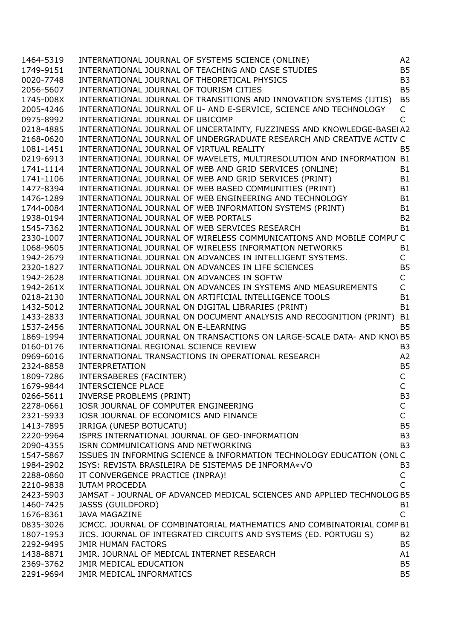| 1464-5319 | INTERNATIONAL JOURNAL OF SYSTEMS SCIENCE (ONLINE)                                                                   | A <sub>2</sub> |
|-----------|---------------------------------------------------------------------------------------------------------------------|----------------|
| 1749-9151 | INTERNATIONAL JOURNAL OF TEACHING AND CASE STUDIES                                                                  | <b>B5</b>      |
| 0020-7748 | INTERNATIONAL JOURNAL OF THEORETICAL PHYSICS                                                                        | B <sub>3</sub> |
| 2056-5607 | INTERNATIONAL JOURNAL OF TOURISM CITIES                                                                             | <b>B5</b>      |
| 1745-008X | INTERNATIONAL JOURNAL OF TRANSITIONS AND INNOVATION SYSTEMS (IJTIS)                                                 | B <sub>5</sub> |
| 2005-4246 | INTERNATIONAL JOURNAL OF U- AND E-SERVICE, SCIENCE AND TECHNOLOGY                                                   | C              |
| 0975-8992 | INTERNATIONAL JOURNAL OF UBICOMP                                                                                    | C              |
| 0218-4885 | INTERNATIONAL JOURNAL OF UNCERTAINTY, FUZZINESS AND KNOWLEDGE-BASEIA2                                               |                |
| 2168-0620 | INTERNATIONAL JOURNAL OF UNDERGRADUATE RESEARCH AND CREATIVE ACTIV C                                                |                |
| 1081-1451 | INTERNATIONAL JOURNAL OF VIRTUAL REALITY                                                                            | <b>B5</b>      |
| 0219-6913 | INTERNATIONAL JOURNAL OF WAVELETS, MULTIRESOLUTION AND INFORMATION B1                                               |                |
| 1741-1114 | INTERNATIONAL JOURNAL OF WEB AND GRID SERVICES (ONLINE)                                                             | <b>B1</b>      |
| 1741-1106 | INTERNATIONAL JOURNAL OF WEB AND GRID SERVICES (PRINT)                                                              | <b>B1</b>      |
| 1477-8394 | INTERNATIONAL JOURNAL OF WEB BASED COMMUNITIES (PRINT)                                                              | <b>B1</b>      |
| 1476-1289 |                                                                                                                     | <b>B1</b>      |
| 1744-0084 | INTERNATIONAL JOURNAL OF WEB ENGINEERING AND TECHNOLOGY<br>INTERNATIONAL JOURNAL OF WEB INFORMATION SYSTEMS (PRINT) | B <sub>1</sub> |
|           |                                                                                                                     | <b>B2</b>      |
| 1938-0194 | INTERNATIONAL JOURNAL OF WEB PORTALS                                                                                |                |
| 1545-7362 | INTERNATIONAL JOURNAL OF WEB SERVICES RESEARCH                                                                      | <b>B1</b>      |
| 2330-1007 | INTERNATIONAL JOURNAL OF WIRELESS COMMUNICATIONS AND MOBILE COMPU'C                                                 |                |
| 1068-9605 | INTERNATIONAL JOURNAL OF WIRELESS INFORMATION NETWORKS                                                              | B <sub>1</sub> |
| 1942-2679 | INTERNATIONAL JOURNAL ON ADVANCES IN INTELLIGENT SYSTEMS.                                                           | $\mathsf{C}$   |
| 2320-1827 | INTERNATIONAL JOURNAL ON ADVANCES IN LIFE SCIENCES                                                                  | <b>B5</b>      |
| 1942-2628 | INTERNATIONAL JOURNAL ON ADVANCES IN SOFTW                                                                          | C              |
| 1942-261X | INTERNATIONAL JOURNAL ON ADVANCES IN SYSTEMS AND MEASUREMENTS                                                       | $\mathsf{C}$   |
| 0218-2130 | INTERNATIONAL JOURNAL ON ARTIFICIAL INTELLIGENCE TOOLS                                                              | <b>B1</b>      |
| 1432-5012 | INTERNATIONAL JOURNAL ON DIGITAL LIBRARIES (PRINT)                                                                  | <b>B1</b>      |
| 1433-2833 | INTERNATIONAL JOURNAL ON DOCUMENT ANALYSIS AND RECOGNITION (PRINT) B1                                               |                |
| 1537-2456 | INTERNATIONAL JOURNAL ON E-LEARNING                                                                                 | <b>B5</b>      |
| 1869-1994 | INTERNATIONAL JOURNAL ON TRANSACTIONS ON LARGE-SCALE DATA- AND KNO\ B5                                              |                |
| 0160-0176 | INTERNATIONAL REGIONAL SCIENCE REVIEW                                                                               | B <sub>3</sub> |
| 0969-6016 | INTERNATIONAL TRANSACTIONS IN OPERATIONAL RESEARCH                                                                  | A2             |
| 2324-8858 | <b>INTERPRETATION</b>                                                                                               | B <sub>5</sub> |
| 1809-7286 | INTERSABERES (FACINTER)                                                                                             | С              |
| 1679-9844 | INTERSCIENCE PLACE                                                                                                  | $\mathsf C$    |
| 0266-5611 | INVERSE PROBLEMS (PRINT)                                                                                            | B <sub>3</sub> |
| 2278-0661 | IOSR JOURNAL OF COMPUTER ENGINEERING                                                                                | С              |
| 2321-5933 | IOSR JOURNAL OF ECONOMICS AND FINANCE                                                                               | C              |
| 1413-7895 | IRRIGA (UNESP BOTUCATU)                                                                                             | B <sub>5</sub> |
| 2220-9964 | ISPRS INTERNATIONAL JOURNAL OF GEO-INFORMATION                                                                      | B <sub>3</sub> |
| 2090-4355 | ISRN COMMUNICATIONS AND NETWORKING                                                                                  | B <sub>3</sub> |
| 1547-5867 | ISSUES IN INFORMING SCIENCE & INFORMATION TECHNOLOGY EDUCATION (ONLC                                                |                |
| 1984-2902 | ISYS: REVISTA BRASILEIRA DE SISTEMAS DE INFORMA«VO                                                                  | B3             |
| 2288-0860 | IT CONVERGENCE PRACTICE (INPRA)!                                                                                    | С              |
| 2210-9838 | <b>IUTAM PROCEDIA</b>                                                                                               | C              |
| 2423-5903 | JAMSAT - JOURNAL OF ADVANCED MEDICAL SCIENCES AND APPLIED TECHNOLOG B5                                              |                |
| 1460-7425 | JASSS (GUILDFORD)                                                                                                   | B <sub>1</sub> |
| 1676-8361 | <b>JAVA MAGAZINE</b>                                                                                                | C              |
| 0835-3026 | JCMCC. JOURNAL OF COMBINATORIAL MATHEMATICS AND COMBINATORIAL COMP B1                                               |                |
| 1807-1953 | JICS. JOURNAL OF INTEGRATED CIRCUITS AND SYSTEMS (ED. PORTUGU S)                                                    | <b>B2</b>      |
| 2292-9495 | JMIR HUMAN FACTORS                                                                                                  | B <sub>5</sub> |
| 1438-8871 | JMIR. JOURNAL OF MEDICAL INTERNET RESEARCH                                                                          | A1             |
| 2369-3762 | JMIR MEDICAL EDUCATION                                                                                              | B <sub>5</sub> |
| 2291-9694 | JMIR MEDICAL INFORMATICS                                                                                            | B <sub>5</sub> |
|           |                                                                                                                     |                |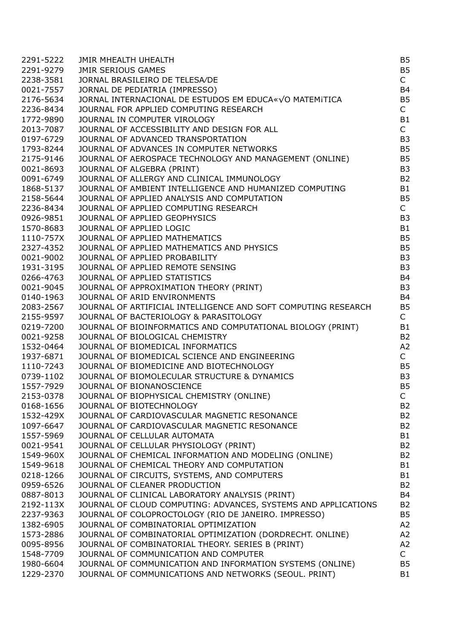| 2291-5222 | <b>JMIR MHEALTH UHEALTH</b>                                    | B <sub>5</sub> |
|-----------|----------------------------------------------------------------|----------------|
| 2291-9279 | <b>JMIR SERIOUS GAMES</b>                                      | <b>B5</b>      |
| 2238-3581 | JORNAL BRASILEIRO DE TELESA/DE                                 | $\mathsf{C}$   |
| 0021-7557 | JORNAL DE PEDIATRIA (IMPRESSO)                                 | <b>B4</b>      |
| 2176-5634 | JORNAL INTERNACIONAL DE ESTUDOS EM EDUCA«VO MATEMITICA         | B <sub>5</sub> |
| 2236-8434 | JOURNAL FOR APPLIED COMPUTING RESEARCH                         | $\mathsf{C}$   |
| 1772-9890 | JOURNAL IN COMPUTER VIROLOGY                                   | B1             |
| 2013-7087 | JOURNAL OF ACCESSIBILITY AND DESIGN FOR ALL                    | $\mathsf{C}$   |
| 0197-6729 | JOURNAL OF ADVANCED TRANSPORTATION                             | B <sub>3</sub> |
| 1793-8244 | JOURNAL OF ADVANCES IN COMPUTER NETWORKS                       | B <sub>5</sub> |
| 2175-9146 | JOURNAL OF AEROSPACE TECHNOLOGY AND MANAGEMENT (ONLINE)        | B <sub>5</sub> |
|           |                                                                |                |
| 0021-8693 | JOURNAL OF ALGEBRA (PRINT)                                     | B <sub>3</sub> |
| 0091-6749 | JOURNAL OF ALLERGY AND CLINICAL IMMUNOLOGY                     | B <sub>2</sub> |
| 1868-5137 | JOURNAL OF AMBIENT INTELLIGENCE AND HUMANIZED COMPUTING        | <b>B1</b>      |
| 2158-5644 | JOURNAL OF APPLIED ANALYSIS AND COMPUTATION                    | B <sub>5</sub> |
| 2236-8434 | JOURNAL OF APPLIED COMPUTING RESEARCH                          | $\mathsf{C}$   |
| 0926-9851 | JOURNAL OF APPLIED GEOPHYSICS                                  | B <sub>3</sub> |
| 1570-8683 | JOURNAL OF APPLIED LOGIC                                       | <b>B1</b>      |
| 1110-757X | JOURNAL OF APPLIED MATHEMATICS                                 | <b>B5</b>      |
| 2327-4352 | JOURNAL OF APPLIED MATHEMATICS AND PHYSICS                     | B <sub>5</sub> |
| 0021-9002 | JOURNAL OF APPLIED PROBABILITY                                 | B <sub>3</sub> |
| 1931-3195 | JOURNAL OF APPLIED REMOTE SENSING                              | B <sub>3</sub> |
| 0266-4763 | JOURNAL OF APPLIED STATISTICS                                  | B <sub>4</sub> |
| 0021-9045 | JOURNAL OF APPROXIMATION THEORY (PRINT)                        | B <sub>3</sub> |
| 0140-1963 | JOURNAL OF ARID ENVIRONMENTS                                   | <b>B4</b>      |
| 2083-2567 | JOURNAL OF ARTIFICIAL INTELLIGENCE AND SOFT COMPUTING RESEARCH | <b>B5</b>      |
| 2155-9597 | JOURNAL OF BACTERIOLOGY & PARASITOLOGY                         | $\mathsf{C}$   |
| 0219-7200 | JOURNAL OF BIOINFORMATICS AND COMPUTATIONAL BIOLOGY (PRINT)    | <b>B1</b>      |
| 0021-9258 | JOURNAL OF BIOLOGICAL CHEMISTRY                                | <b>B2</b>      |
| 1532-0464 | JOURNAL OF BIOMEDICAL INFORMATICS                              | A2             |
| 1937-6871 | JOURNAL OF BIOMEDICAL SCIENCE AND ENGINEERING                  | $\mathsf{C}$   |
| 1110-7243 | JOURNAL OF BIOMEDICINE AND BIOTECHNOLOGY                       | B <sub>5</sub> |
| 0739-1102 | JOURNAL OF BIOMOLECULAR STRUCTURE & DYNAMICS                   | B <sub>3</sub> |
| 1557-7929 | JOURNAL OF BIONANOSCIENCE                                      | B <sub>5</sub> |
| 2153-0378 | JOURNAL OF BIOPHYSICAL CHEMISTRY (ONLINE)                      | $\mathsf{C}$   |
| 0168-1656 | JOURNAL OF BIOTECHNOLOGY                                       | B <sub>2</sub> |
| 1532-429X | JOURNAL OF CARDIOVASCULAR MAGNETIC RESONANCE                   | <b>B2</b>      |
| 1097-6647 | JOURNAL OF CARDIOVASCULAR MAGNETIC RESONANCE                   | B <sub>2</sub> |
| 1557-5969 | JOURNAL OF CELLULAR AUTOMATA                                   | B <sub>1</sub> |
|           | JOURNAL OF CELLULAR PHYSIOLOGY (PRINT)                         |                |
| 0021-9541 |                                                                | B <sub>2</sub> |
| 1549-960X | JOURNAL OF CHEMICAL INFORMATION AND MODELING (ONLINE)          | <b>B2</b>      |
| 1549-9618 | JOURNAL OF CHEMICAL THEORY AND COMPUTATION                     | B <sub>1</sub> |
| 0218-1266 | JOURNAL OF CIRCUITS, SYSTEMS, AND COMPUTERS                    | <b>B1</b>      |
| 0959-6526 | JOURNAL OF CLEANER PRODUCTION                                  | B <sub>2</sub> |
| 0887-8013 | JOURNAL OF CLINICAL LABORATORY ANALYSIS (PRINT)                | <b>B4</b>      |
| 2192-113X | JOURNAL OF CLOUD COMPUTING: ADVANCES, SYSTEMS AND APPLICATIONS | <b>B2</b>      |
| 2237-9363 | JOURNAL OF COLOPROCTOLOGY (RIO DE JANEIRO. IMPRESSO)           | <b>B5</b>      |
| 1382-6905 | JOURNAL OF COMBINATORIAL OPTIMIZATION                          | A2             |
| 1573-2886 | JOURNAL OF COMBINATORIAL OPTIMIZATION (DORDRECHT. ONLINE)      | A2             |
| 0095-8956 | JOURNAL OF COMBINATORIAL THEORY. SERIES B (PRINT)              | A2             |
| 1548-7709 | JOURNAL OF COMMUNICATION AND COMPUTER                          | $\mathsf{C}$   |
| 1980-6604 | JOURNAL OF COMMUNICATION AND INFORMATION SYSTEMS (ONLINE)      | B <sub>5</sub> |
| 1229-2370 | JOURNAL OF COMMUNICATIONS AND NETWORKS (SEOUL. PRINT)          | B <sub>1</sub> |
|           |                                                                |                |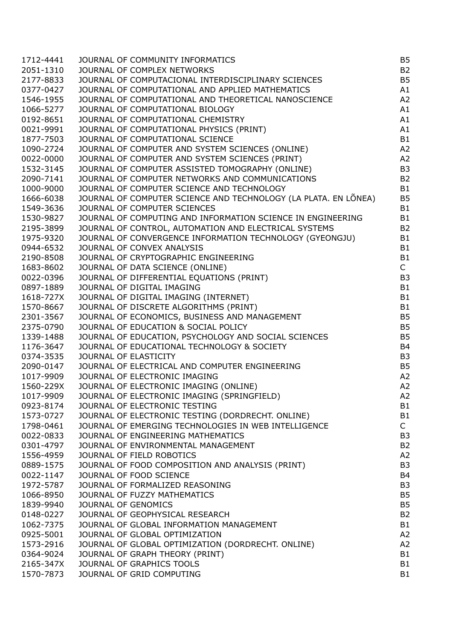| 1712-4441 | JOURNAL OF COMMUNITY INFORMATICS                                | <b>B5</b>      |
|-----------|-----------------------------------------------------------------|----------------|
| 2051-1310 | JOURNAL OF COMPLEX NETWORKS                                     | B <sub>2</sub> |
| 2177-8833 | JOURNAL OF COMPUTACIONAL INTERDISCIPLINARY SCIENCES             | <b>B5</b>      |
| 0377-0427 | JOURNAL OF COMPUTATIONAL AND APPLIED MATHEMATICS                | A1             |
| 1546-1955 | JOURNAL OF COMPUTATIONAL AND THEORETICAL NANOSCIENCE            | A <sub>2</sub> |
| 1066-5277 | JOURNAL OF COMPUTATIONAL BIOLOGY                                | A1             |
| 0192-8651 | JOURNAL OF COMPUTATIONAL CHEMISTRY                              | A1             |
| 0021-9991 | JOURNAL OF COMPUTATIONAL PHYSICS (PRINT)                        | A1             |
| 1877-7503 | JOURNAL OF COMPUTATIONAL SCIENCE                                | B1             |
| 1090-2724 | JOURNAL OF COMPUTER AND SYSTEM SCIENCES (ONLINE)                | A <sub>2</sub> |
| 0022-0000 | JOURNAL OF COMPUTER AND SYSTEM SCIENCES (PRINT)                 | A <sub>2</sub> |
| 1532-3145 | JOURNAL OF COMPUTER ASSISTED TOMOGRAPHY (ONLINE)                | B <sub>3</sub> |
| 2090-7141 | JOURNAL OF COMPUTER NETWORKS AND COMMUNICATIONS                 | B <sub>2</sub> |
| 1000-9000 | JOURNAL OF COMPUTER SCIENCE AND TECHNOLOGY                      | B1             |
| 1666-6038 | JOURNAL OF COMPUTER SCIENCE AND TECHNOLOGY (LA PLATA. EN LÕNEA) | <b>B5</b>      |
| 1549-3636 | JOURNAL OF COMPUTER SCIENCES                                    | B1             |
| 1530-9827 | JOURNAL OF COMPUTING AND INFORMATION SCIENCE IN ENGINEERING     | B1             |
| 2195-3899 | JOURNAL OF CONTROL, AUTOMATION AND ELECTRICAL SYSTEMS           | B <sub>2</sub> |
| 1975-9320 | JOURNAL OF CONVERGENCE INFORMATION TECHNOLOGY (GYEONGJU)        | B1             |
| 0944-6532 | JOURNAL OF CONVEX ANALYSIS                                      | B1             |
| 2190-8508 | JOURNAL OF CRYPTOGRAPHIC ENGINEERING                            | B1             |
| 1683-8602 | JOURNAL OF DATA SCIENCE (ONLINE)                                | $\mathsf{C}^-$ |
| 0022-0396 | JOURNAL OF DIFFERENTIAL EQUATIONS (PRINT)                       | B <sub>3</sub> |
| 0897-1889 | JOURNAL OF DIGITAL IMAGING                                      | B1             |
| 1618-727X | JOURNAL OF DIGITAL IMAGING (INTERNET)                           | B1             |
| 1570-8667 | JOURNAL OF DISCRETE ALGORITHMS (PRINT)                          | B1             |
| 2301-3567 | JOURNAL OF ECONOMICS, BUSINESS AND MANAGEMENT                   | <b>B5</b>      |
| 2375-0790 | JOURNAL OF EDUCATION & SOCIAL POLICY                            | <b>B5</b>      |
| 1339-1488 | JOURNAL OF EDUCATION, PSYCHOLOGY AND SOCIAL SCIENCES            | <b>B5</b>      |
| 1176-3647 | JOURNAL OF EDUCATIONAL TECHNOLOGY & SOCIETY                     | B <sub>4</sub> |
| 0374-3535 | JOURNAL OF ELASTICITY                                           | B <sub>3</sub> |
| 2090-0147 | JOURNAL OF ELECTRICAL AND COMPUTER ENGINEERING                  | <b>B5</b>      |
| 1017-9909 | JOURNAL OF ELECTRONIC IMAGING                                   | A <sub>2</sub> |
| 1560-229X | JOURNAL OF ELECTRONIC IMAGING (ONLINE)                          | A <sub>2</sub> |
| 1017-9909 | JOURNAL OF ELECTRONIC IMAGING (SPRINGFIELD)                     | A2             |
| 0923-8174 | JOURNAL OF ELECTRONIC TESTING                                   | <b>B1</b>      |
| 1573-0727 | JOURNAL OF ELECTRONIC TESTING (DORDRECHT. ONLINE)               | <b>B1</b>      |
| 1798-0461 | JOURNAL OF EMERGING TECHNOLOGIES IN WEB INTELLIGENCE            | C              |
| 0022-0833 | JOURNAL OF ENGINEERING MATHEMATICS                              | B <sub>3</sub> |
| 0301-4797 | JOURNAL OF ENVIRONMENTAL MANAGEMENT                             | B <sub>2</sub> |
| 1556-4959 | JOURNAL OF FIELD ROBOTICS                                       | A <sub>2</sub> |
| 0889-1575 | JOURNAL OF FOOD COMPOSITION AND ANALYSIS (PRINT)                | B <sub>3</sub> |
| 0022-1147 | JOURNAL OF FOOD SCIENCE                                         | B <sub>4</sub> |
| 1972-5787 | JOURNAL OF FORMALIZED REASONING                                 | B <sub>3</sub> |
| 1066-8950 | JOURNAL OF FUZZY MATHEMATICS                                    | <b>B5</b>      |
| 1839-9940 | JOURNAL OF GENOMICS                                             | <b>B5</b>      |
|           |                                                                 |                |
| 0148-0227 | JOURNAL OF GEOPHYSICAL RESEARCH                                 | B <sub>2</sub> |
| 1062-7375 | JOURNAL OF GLOBAL INFORMATION MANAGEMENT                        | B1             |
| 0925-5001 | JOURNAL OF GLOBAL OPTIMIZATION                                  | A <sub>2</sub> |
| 1573-2916 | JOURNAL OF GLOBAL OPTIMIZATION (DORDRECHT. ONLINE)              | A <sub>2</sub> |
| 0364-9024 | JOURNAL OF GRAPH THEORY (PRINT)                                 | <b>B1</b>      |
| 2165-347X | JOURNAL OF GRAPHICS TOOLS                                       | <b>B1</b>      |
| 1570-7873 | JOURNAL OF GRID COMPUTING                                       | B1             |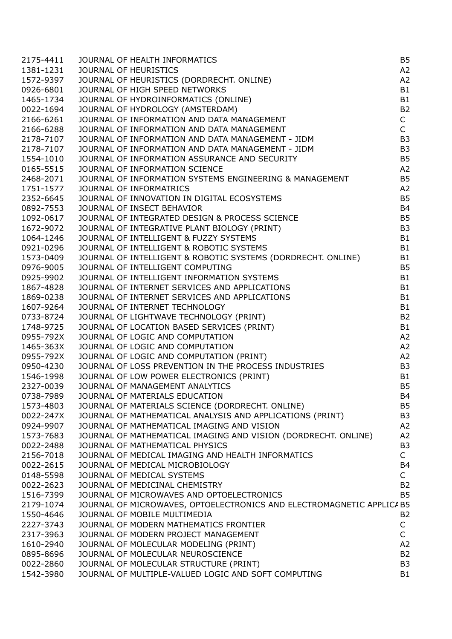| 2175-4411 | JOURNAL OF HEALTH INFORMATICS                                         | B <sub>5</sub> |
|-----------|-----------------------------------------------------------------------|----------------|
| 1381-1231 | JOURNAL OF HEURISTICS                                                 | A2             |
| 1572-9397 | JOURNAL OF HEURISTICS (DORDRECHT. ONLINE)                             | A <sub>2</sub> |
| 0926-6801 | JOURNAL OF HIGH SPEED NETWORKS                                        | <b>B1</b>      |
| 1465-1734 | JOURNAL OF HYDROINFORMATICS (ONLINE)                                  | <b>B1</b>      |
| 0022-1694 | JOURNAL OF HYDROLOGY (AMSTERDAM)                                      | <b>B2</b>      |
| 2166-6261 | JOURNAL OF INFORMATION AND DATA MANAGEMENT                            | $\mathsf{C}$   |
| 2166-6288 | JOURNAL OF INFORMATION AND DATA MANAGEMENT                            | $\mathsf{C}$   |
| 2178-7107 | JOURNAL OF INFORMATION AND DATA MANAGEMENT - JIDM                     | B <sub>3</sub> |
| 2178-7107 | JOURNAL OF INFORMATION AND DATA MANAGEMENT - JIDM                     | B <sub>3</sub> |
| 1554-1010 | JOURNAL OF INFORMATION ASSURANCE AND SECURITY                         | <b>B5</b>      |
| 0165-5515 | JOURNAL OF INFORMATION SCIENCE                                        | A <sub>2</sub> |
| 2468-2071 | JOURNAL OF INFORMATION SYSTEMS ENGINEERING & MANAGEMENT               | <b>B5</b>      |
| 1751-1577 | JOURNAL OF INFORMATRICS                                               | A <sub>2</sub> |
| 2352-6645 | JOURNAL OF INNOVATION IN DIGITAL ECOSYSTEMS                           | <b>B5</b>      |
| 0892-7553 | JOURNAL OF INSECT BEHAVIOR                                            | <b>B4</b>      |
| 1092-0617 | JOURNAL OF INTEGRATED DESIGN & PROCESS SCIENCE                        | <b>B5</b>      |
| 1672-9072 | JOURNAL OF INTEGRATIVE PLANT BIOLOGY (PRINT)                          | B <sub>3</sub> |
| 1064-1246 | JOURNAL OF INTELLIGENT & FUZZY SYSTEMS                                | <b>B1</b>      |
| 0921-0296 | JOURNAL OF INTELLIGENT & ROBOTIC SYSTEMS                              | <b>B1</b>      |
| 1573-0409 | JOURNAL OF INTELLIGENT & ROBOTIC SYSTEMS (DORDRECHT. ONLINE)          | <b>B1</b>      |
| 0976-9005 | JOURNAL OF INTELLIGENT COMPUTING                                      | <b>B5</b>      |
| 0925-9902 | JOURNAL OF INTELLIGENT INFORMATION SYSTEMS                            | <b>B1</b>      |
| 1867-4828 | JOURNAL OF INTERNET SERVICES AND APPLICATIONS                         | <b>B1</b>      |
| 1869-0238 | JOURNAL OF INTERNET SERVICES AND APPLICATIONS                         | <b>B1</b>      |
| 1607-9264 | JOURNAL OF INTERNET TECHNOLOGY                                        | <b>B1</b>      |
| 0733-8724 | JOURNAL OF LIGHTWAVE TECHNOLOGY (PRINT)                               | <b>B2</b>      |
| 1748-9725 | JOURNAL OF LOCATION BASED SERVICES (PRINT)                            | <b>B1</b>      |
| 0955-792X | JOURNAL OF LOGIC AND COMPUTATION                                      | A <sub>2</sub> |
| 1465-363X | JOURNAL OF LOGIC AND COMPUTATION                                      | A2             |
| 0955-792X | JOURNAL OF LOGIC AND COMPUTATION (PRINT)                              | A2             |
| 0950-4230 | JOURNAL OF LOSS PREVENTION IN THE PROCESS INDUSTRIES                  | B <sub>3</sub> |
| 1546-1998 | JOURNAL OF LOW POWER ELECTRONICS (PRINT)                              | <b>B1</b>      |
| 2327-0039 | JOURNAL OF MANAGEMENT ANALYTICS                                       | <b>B5</b>      |
| 0738-7989 | JOURNAL OF MATERIALS EDUCATION                                        | <b>B4</b>      |
| 1573-4803 | JOURNAL OF MATERIALS SCIENCE (DORDRECHT. ONLINE)                      | B <sub>5</sub> |
| 0022-247X | JOURNAL OF MATHEMATICAL ANALYSIS AND APPLICATIONS (PRINT)             | B <sub>3</sub> |
| 0924-9907 | JOURNAL OF MATHEMATICAL IMAGING AND VISION                            | A2             |
| 1573-7683 | JOURNAL OF MATHEMATICAL IMAGING AND VISION (DORDRECHT. ONLINE)        | A2             |
| 0022-2488 | JOURNAL OF MATHEMATICAL PHYSICS                                       | B <sub>3</sub> |
| 2156-7018 | JOURNAL OF MEDICAL IMAGING AND HEALTH INFORMATICS                     | $\mathsf{C}$   |
| 0022-2615 | JOURNAL OF MEDICAL MICROBIOLOGY                                       | <b>B4</b>      |
| 0148-5598 | JOURNAL OF MEDICAL SYSTEMS                                            | $\mathsf{C}$   |
| 0022-2623 | JOURNAL OF MEDICINAL CHEMISTRY                                        | <b>B2</b>      |
| 1516-7399 | JOURNAL OF MICROWAVES AND OPTOELECTRONICS                             | B <sub>5</sub> |
| 2179-1074 | JOURNAL OF MICROWAVES, OPTOELECTRONICS AND ELECTROMAGNETIC APPLICA B5 |                |
| 1550-4646 | JOURNAL OF MOBILE MULTIMEDIA                                          | <b>B2</b>      |
| 2227-3743 | JOURNAL OF MODERN MATHEMATICS FRONTIER                                | C              |
| 2317-3963 | JOURNAL OF MODERN PROJECT MANAGEMENT                                  | $\mathsf{C}$   |
| 1610-2940 | JOURNAL OF MOLECULAR MODELING (PRINT)                                 | A2             |
| 0895-8696 | JOURNAL OF MOLECULAR NEUROSCIENCE                                     | <b>B2</b>      |
| 0022-2860 | JOURNAL OF MOLECULAR STRUCTURE (PRINT)                                | B <sub>3</sub> |
| 1542-3980 | JOURNAL OF MULTIPLE-VALUED LOGIC AND SOFT COMPUTING                   | <b>B1</b>      |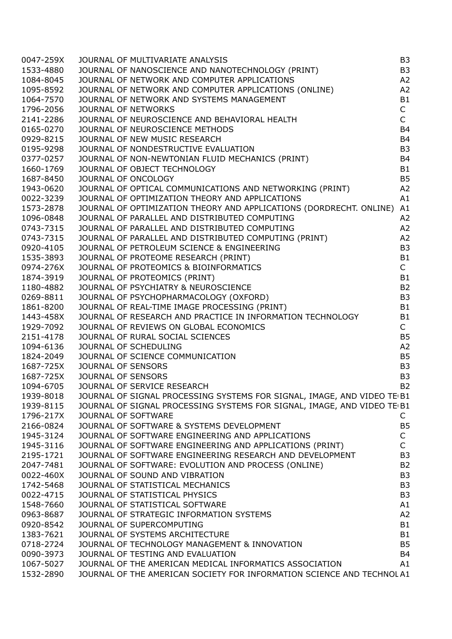| 0047-259X | JOURNAL OF MULTIVARIATE ANALYSIS<br>JOURNAL OF NANOSCIENCE AND NANOTECHNOLOGY (PRINT)<br>JOURNAL OF NETWORK AND COMPUTER APPLICATIONS<br>JOURNAL OF NETWORK AND COMPUTER APPLICATIONS<br>JOURNAL OF NETWORK AND SYSTEMS MANAGEMENT<br>JOURNAL | B <sub>3</sub> |
|-----------|-----------------------------------------------------------------------------------------------------------------------------------------------------------------------------------------------------------------------------------------------|----------------|
| 1533-4880 |                                                                                                                                                                                                                                               | B <sub>3</sub> |
| 1084-8045 |                                                                                                                                                                                                                                               | A2             |
| 1095-8592 |                                                                                                                                                                                                                                               | A <sub>2</sub> |
| 1064-7570 |                                                                                                                                                                                                                                               | B1             |
| 1796-2056 |                                                                                                                                                                                                                                               | $\mathsf{C}$   |
| 2141-2286 |                                                                                                                                                                                                                                               | $\mathsf{C}$   |
| 0165-0270 |                                                                                                                                                                                                                                               | <b>B4</b>      |
| 0929-8215 |                                                                                                                                                                                                                                               | <b>B4</b>      |
| 0195-9298 |                                                                                                                                                                                                                                               | B <sub>3</sub> |
| 0377-0257 |                                                                                                                                                                                                                                               | <b>B4</b>      |
| 1660-1769 |                                                                                                                                                                                                                                               | <b>B1</b>      |
| 1687-8450 |                                                                                                                                                                                                                                               | <b>B5</b>      |
| 1943-0620 | JOURNAL OF ONCOLOGY<br>JOURNAL OF OPTICAL COMMUNICATIONS AND NETWORKING (PRINT)                                                                                                                                                               | A2             |
| 0022-3239 | JOURNAL OF OPTIMIZATION THEORY AND APPLICATIONS                                                                                                                                                                                               | A1             |
| 1573-2878 | JOURNAL OF OPTIMIZATION THEORY AND APPLICATIONS (DORDRECHT. ONLINE) A1                                                                                                                                                                        |                |
| 1096-0848 |                                                                                                                                                                                                                                               | A2             |
|           |                                                                                                                                                                                                                                               |                |
| 0743-7315 | JOURNAL OF OPTIMIZATION THEORY AND APPLICATIONS (DORDRECHT. ONLINE)<br>JOURNAL OF PARALLEL AND DISTRIBUTED COMPUTING<br>JOURNAL OF PARALLEL AND DISTRIBUTED COMPUTING<br>JOURNAL OF PETROLEUM SCIENCE & ENGINEERING<br>JOURNAL OF PETROLEU    | A2             |
| 0743-7315 |                                                                                                                                                                                                                                               | A2             |
| 0920-4105 |                                                                                                                                                                                                                                               | B <sub>3</sub> |
| 1535-3893 |                                                                                                                                                                                                                                               | <b>B1</b>      |
| 0974-276X |                                                                                                                                                                                                                                               | $\mathsf{C}$   |
| 1874-3919 |                                                                                                                                                                                                                                               | <b>B1</b>      |
| 1180-4882 |                                                                                                                                                                                                                                               | <b>B2</b>      |
| 0269-8811 |                                                                                                                                                                                                                                               | B <sub>3</sub> |
| 1861-8200 |                                                                                                                                                                                                                                               | <b>B1</b>      |
| 1443-458X |                                                                                                                                                                                                                                               | <b>B1</b>      |
| 1929-7092 |                                                                                                                                                                                                                                               | $\mathsf{C}$   |
| 2151-4178 |                                                                                                                                                                                                                                               | <b>B5</b>      |
| 1094-6136 |                                                                                                                                                                                                                                               | A2             |
| 1824-2049 |                                                                                                                                                                                                                                               | <b>B5</b>      |
| 1687-725X |                                                                                                                                                                                                                                               | B <sub>3</sub> |
|           | 1687-725X JOURNAL OF SENSORS                                                                                                                                                                                                                  | B <sub>3</sub> |
| 1094-6705 | JOURNAL OF SERVICE RESEARCH                                                                                                                                                                                                                   | <b>B2</b>      |
| 1939-8018 | JOURNAL OF SIGNAL PROCESSING SYSTEMS FOR SIGNAL, IMAGE, AND VIDEO TE B1                                                                                                                                                                       |                |
| 1939-8115 | JOURNAL OF SIGNAL PROCESSING SYSTEMS FOR SIGNAL, IMAGE, AND VIDEO TE B1                                                                                                                                                                       |                |
| 1796-217X | <b>JOURNAL OF SOFTWARE</b>                                                                                                                                                                                                                    | C              |
| 2166-0824 | JOURNAL OF SOFTWARE & SYSTEMS DEVELOPMENT                                                                                                                                                                                                     | <b>B5</b>      |
| 1945-3124 | JOURNAL OF SOFTWARE ENGINEERING AND APPLICATIONS                                                                                                                                                                                              | $\mathsf C$    |
| 1945-3116 | JOURNAL OF SOFTWARE ENGINEERING AND APPLICATIONS (PRINT)                                                                                                                                                                                      | $\mathsf{C}$   |
| 2195-1721 | JOURNAL OF SOFTWARE ENGINEERING RESEARCH AND DEVELOPMENT                                                                                                                                                                                      | B <sub>3</sub> |
| 2047-7481 | JOURNAL OF SOFTWARE: EVOLUTION AND PROCESS (ONLINE)                                                                                                                                                                                           | <b>B2</b>      |
| 0022-460X | JOURNAL OF SOUND AND VIBRATION                                                                                                                                                                                                                | B <sub>3</sub> |
| 1742-5468 | JOURNAL OF STATISTICAL MECHANICS                                                                                                                                                                                                              | B <sub>3</sub> |
| 0022-4715 | JOURNAL OF STATISTICAL PHYSICS                                                                                                                                                                                                                | B <sub>3</sub> |
| 1548-7660 | JOURNAL OF STATISTICAL SOFTWARE                                                                                                                                                                                                               | A1             |
| 0963-8687 | JOURNAL OF STRATEGIC INFORMATION SYSTEMS                                                                                                                                                                                                      | A <sub>2</sub> |
| 0920-8542 | JOURNAL OF SUPERCOMPUTING                                                                                                                                                                                                                     | <b>B1</b>      |
| 1383-7621 | JOURNAL OF SYSTEMS ARCHITECTURE                                                                                                                                                                                                               | <b>B1</b>      |
| 0718-2724 | JOURNAL OF TECHNOLOGY MANAGEMENT & INNOVATION                                                                                                                                                                                                 | B <sub>5</sub> |
| 0090-3973 | JOURNAL OF TESTING AND EVALUATION                                                                                                                                                                                                             | <b>B4</b>      |
| 1067-5027 | JOURNAL OF THE AMERICAN MEDICAL INFORMATICS ASSOCIATION                                                                                                                                                                                       | A1             |
| 1532-2890 | JOURNAL OF THE AMERICAN SOCIETY FOR INFORMATION SCIENCE AND TECHNOL A1                                                                                                                                                                        |                |
|           |                                                                                                                                                                                                                                               |                |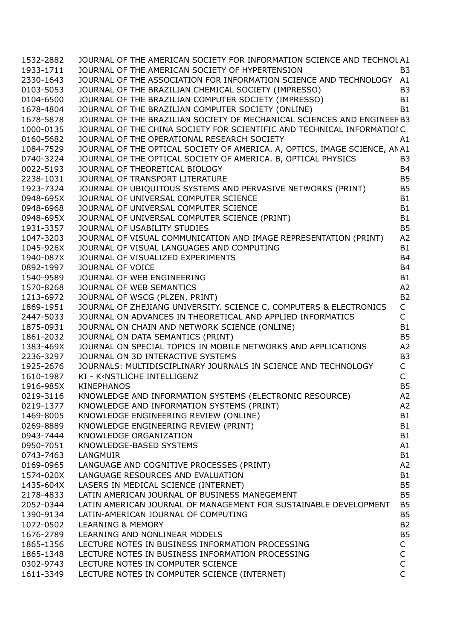| 1532-2882 | JOURNAL OF THE AMERICAN SOCIETY FOR INFORMATION SCIENCE AND TECHNOL A1             |                               |
|-----------|------------------------------------------------------------------------------------|-------------------------------|
| 1933-1711 | JOURNAL OF THE AMERICAN SOCIETY OF HYPERTENSION                                    | B <sub>3</sub>                |
| 2330-1643 | JOURNAL OF THE ASSOCIATION FOR INFORMATION SCIENCE AND TECHNOLOGY A1               |                               |
| 0103-5053 | JOURNAL OF THE BRAZILIAN CHEMICAL SOCIETY (IMPRESSO)                               | B <sub>3</sub>                |
| 0104-6500 | JOURNAL OF THE BRAZILIAN COMPUTER SOCIETY (IMPRESSO)                               | <b>B1</b>                     |
| 1678-4804 | JOURNAL OF THE BRAZILIAN COMPUTER SOCIETY (ONLINE)                                 | <b>B1</b>                     |
| 1678-5878 | JOURNAL OF THE BRAZILIAN SOCIETY OF MECHANICAL SCIENCES AND ENGINEEF B3            |                               |
| 1000-0135 | JOURNAL OF THE CHINA SOCIETY FOR SCIENTIFIC AND TECHNICAL INFORMATIOIC             |                               |
| 0160-5682 | JOURNAL OF THE OPERATIONAL RESEARCH SOCIETY                                        | A1                            |
| 1084-7529 | JOURNAL OF THE OPTICAL SOCIETY OF AMERICA. A, OPTICS, IMAGE SCIENCE, ANA1          |                               |
| 0740-3224 | JOURNAL OF THE OPTICAL SOCIETY OF AMERICA. B, OPTICAL PHYSICS                      | B <sub>3</sub>                |
| 0022-5193 | JOURNAL OF THEORETICAL BIOLOGY                                                     | <b>B4</b>                     |
| 2238-1031 | JOURNAL OF TRANSPORT LITERATURE                                                    | <b>B5</b>                     |
| 1923-7324 | JOURNAL OF UBIQUITOUS SYSTEMS AND PERVASIVE NETWORKS (PRINT)                       | <b>B5</b>                     |
| 0948-695X | JOURNAL OF UNIVERSAL COMPUTER SCIENCE                                              | <b>B1</b>                     |
| 0948-6968 | JOURNAL OF UNIVERSAL COMPUTER SCIENCE                                              | <b>B1</b>                     |
| 0948-695X | JOURNAL OF UNIVERSAL COMPUTER SCIENCE (PRINT)                                      | <b>B1</b>                     |
| 1931-3357 | JOURNAL OF USABILITY STUDIES                                                       | <b>B5</b>                     |
| 1047-3203 | JOURNAL OF VISUAL COMMUNICATION AND IMAGE REPRESENTATION (PRINT)                   | A2                            |
| 1045-926X | JOURNAL OF VISUAL LANGUAGES AND COMPUTING                                          | <b>B1</b>                     |
| 1940-087X | JOURNAL OF VISUALIZED EXPERIMENTS                                                  | <b>B4</b>                     |
| 0892-1997 | JOURNAL OF VOICE                                                                   | <b>B4</b>                     |
| 1540-9589 | JOURNAL OF WEB ENGINEERING                                                         | <b>B1</b>                     |
| 1570-8268 | JOURNAL OF WEB SEMANTICS                                                           | A2                            |
| 1213-6972 | JOURNAL OF WSCG (PLZEN, PRINT)                                                     | <b>B2</b>                     |
| 1869-1951 | JOURNAL OF ZHEJIANG UNIVERSITY. SCIENCE C, COMPUTERS & ELECTRONICS                 | $\mathsf C$                   |
| 2447-5033 | JOURNAL ON ADVANCES IN THEORETICAL AND APPLIED INFORMATICS                         | $\mathsf{C}$                  |
| 1875-0931 | JOURNAL ON CHAIN AND NETWORK SCIENCE (ONLINE)                                      | <b>B1</b>                     |
| 1861-2032 | JOURNAL ON DATA SEMANTICS (PRINT)                                                  | <b>B5</b>                     |
| 1383-469X | JOURNAL ON SPECIAL TOPICS IN MOBILE NETWORKS AND APPLICATIONS                      | A2                            |
| 2236-3297 | JOURNAL ON 3D INTERACTIVE SYSTEMS                                                  | B <sub>3</sub>                |
| 1925-2676 | JOURNALS: MULTIDISCIPLINARY JOURNALS IN SCIENCE AND TECHNOLOGY                     | $\mathsf C$                   |
| 1610-1987 | KI - K <nstliche intelligenz<="" td=""><td><math>\mathsf{C}</math></td></nstliche> | $\mathsf{C}$                  |
| 1916-985X | <b>KINEPHANOS</b>                                                                  | <b>B5</b>                     |
| 0219-3116 | KNOWLEDGE AND INFORMATION SYSTEMS (ELECTRONIC RESOURCE)                            | A <sub>2</sub>                |
| 0219-1377 | KNOWLEDGE AND INFORMATION SYSTEMS (PRINT)                                          | A2                            |
| 1469-8005 | KNOWLEDGE ENGINEERING REVIEW (ONLINE)                                              | <b>B1</b>                     |
| 0269-8889 | KNOWLEDGE ENGINEERING REVIEW (PRINT)                                               | <b>B1</b>                     |
| 0943-7444 | KNOWLEDGE ORGANIZATION                                                             | <b>B1</b>                     |
| 0950-7051 | KNOWLEDGE-BASED SYSTEMS                                                            | A1                            |
| 0743-7463 | LANGMUIR                                                                           | <b>B1</b>                     |
| 0169-0965 | LANGUAGE AND COGNITIVE PROCESSES (PRINT)                                           | A2                            |
| 1574-020X | LANGUAGE RESOURCES AND EVALUATION                                                  | B <sub>1</sub>                |
| 1435-604X | LASERS IN MEDICAL SCIENCE (INTERNET)                                               | B <sub>5</sub>                |
| 2178-4833 | LATIN AMERICAN JOURNAL OF BUSINESS MANEGEMENT                                      | B <sub>5</sub>                |
| 2052-0344 | LATIN AMERICAN JOURNAL OF MANAGEMENT FOR SUSTAINABLE DEVELOPMENT                   | B <sub>5</sub>                |
| 1390-9134 | LATIN-AMERICAN JOURNAL OF COMPUTING                                                | B <sub>5</sub>                |
| 1072-0502 | <b>LEARNING &amp; MEMORY</b>                                                       | <b>B2</b>                     |
| 1676-2789 | LEARNING AND NONLINEAR MODELS                                                      | B <sub>5</sub>                |
|           | LECTURE NOTES IN BUSINESS INFORMATION PROCESSING                                   |                               |
| 1865-1356 | LECTURE NOTES IN BUSINESS INFORMATION PROCESSING                                   | C                             |
| 1865-1348 |                                                                                    | $\mathsf C$                   |
| 0302-9743 | LECTURE NOTES IN COMPUTER SCIENCE                                                  | $\mathsf C$<br>$\overline{C}$ |
| 1611-3349 | LECTURE NOTES IN COMPUTER SCIENCE (INTERNET)                                       |                               |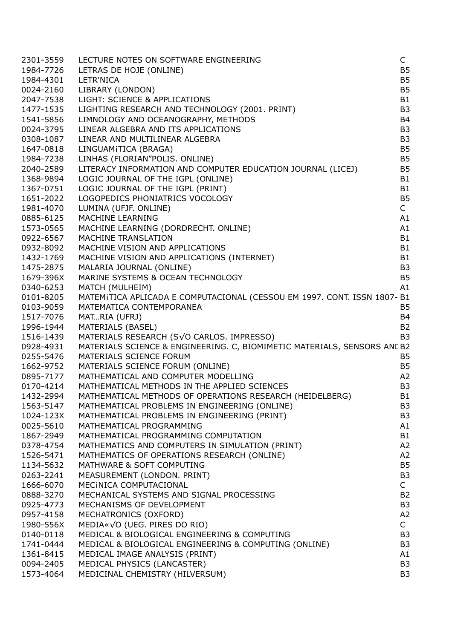| 2301-3559 | LECTURE NOTES ON SOFTWARE ENGINEERING                                               | $\mathsf{C}$   |
|-----------|-------------------------------------------------------------------------------------|----------------|
| 1984-7726 | LETRAS DE HOJE (ONLINE)                                                             | B <sub>5</sub> |
| 1984-4301 | LETR'NICA                                                                           | <b>B5</b>      |
|           | 0024-2160 LIBRARY (LONDON)                                                          | B <sub>5</sub> |
|           | 2047-7538 LIGHT: SCIENCE & APPLICATIONS                                             | <b>B1</b>      |
|           | 1477-1535 LIGHTING RESEARCH AND TECHNOLOGY (2001. PRINT)                            | B <sub>3</sub> |
| 1541-5856 | LIMNOLOGY AND OCEANOGRAPHY, METHODS                                                 | <b>B4</b>      |
| 0024-3795 | LINEAR ALGEBRA AND ITS APPLICATIONS                                                 | B <sub>3</sub> |
| 0308-1087 | LINEAR AND MULTILINEAR ALGEBRA                                                      | B <sub>3</sub> |
| 1647-0818 | LINGUAMITICA (BRAGA)                                                                | B <sub>5</sub> |
|           |                                                                                     |                |
| 1984-7238 | LINHAS (FLORIAN"POLIS. ONLINE)                                                      | B <sub>5</sub> |
| 2040-2589 | LITERACY INFORMATION AND COMPUTER EDUCATION JOURNAL (LICEJ)                         | <b>B5</b>      |
| 1368-9894 | LOGIC JOURNAL OF THE IGPL (ONLINE)                                                  | <b>B1</b>      |
| 1367-0751 | LOGIC JOURNAL OF THE IGPL (PRINT)                                                   | <b>B1</b>      |
| 1651-2022 | LOGOPEDICS PHONIATRICS VOCOLOGY                                                     | <b>B5</b>      |
|           | 1981-4070 LUMINA (UFJF. ONLINE)                                                     | $\mathsf{C}$   |
|           | 0885-6125 MACHINE LEARNING                                                          | A1             |
| 1573-0565 | MACHINE LEARNING (DORDRECHT. ONLINE)                                                | A1             |
| 0922-6567 | MACHINE TRANSLATION                                                                 | <b>B1</b>      |
| 0932-8092 | MACHINE VISION AND APPLICATIONS                                                     | <b>B1</b>      |
| 1432-1769 | MACHINE VISION AND APPLICATIONS (INTERNET)                                          | <b>B1</b>      |
| 1475-2875 | MALARIA JOURNAL (ONLINE)                                                            | B <sub>3</sub> |
| 1679-396X | MARINE SYSTEMS & OCEAN TECHNOLOGY                                                   | B <sub>5</sub> |
| 0340-6253 | MATCH (MULHEIM)                                                                     | A1             |
| 0101-8205 | MATEMITICA APLICADA E COMPUTACIONAL (CESSOU EM 1997. CONT. ISSN 1807-B1             |                |
| 0103-9059 | MATEMATICA CONTEMPORANEA                                                            | B <sub>5</sub> |
| 1517-7076 | MATRIA (UFRJ)                                                                       | <b>B4</b>      |
| 1996-1944 | <b>MATERIALS (BASEL)</b>                                                            | <b>B2</b>      |
|           | 1516-1439 MATERIALS RESEARCH (SVO CARLOS. IMPRESSO)                                 | B <sub>3</sub> |
| 0928-4931 | MATERIALS SCIENCE & ENGINEERING. C, BIOMIMETIC MATERIALS, SENSORS ANL B2            |                |
| 0255-5476 | MATERIALS SCIENCE FORUM                                                             | <b>B5</b>      |
|           |                                                                                     |                |
| 1662-9752 | MATERIALS SCIENCE FORUM (ONLINE)                                                    | B <sub>5</sub> |
| 0895-7177 | MATHEMATICAL AND COMPUTER MODELLING<br>MATHEMATICAL METHODS IN THE APPLIED SCIENCES | A2             |
| 0170-4214 |                                                                                     | B <sub>3</sub> |
| 1432-2994 | MATHEMATICAL METHODS OF OPERATIONS RESEARCH (HEIDELBERG)                            | B1             |
| 1563-5147 | MATHEMATICAL PROBLEMS IN ENGINEERING (ONLINE)                                       | B <sub>3</sub> |
| 1024-123X | MATHEMATICAL PROBLEMS IN ENGINEERING (PRINT)                                        | B <sub>3</sub> |
| 0025-5610 | MATHEMATICAL PROGRAMMING                                                            | A <sub>1</sub> |
| 1867-2949 | MATHEMATICAL PROGRAMMING COMPUTATION                                                | B <sub>1</sub> |
| 0378-4754 | MATHEMATICS AND COMPUTERS IN SIMULATION (PRINT)                                     | A2             |
| 1526-5471 | MATHEMATICS OF OPERATIONS RESEARCH (ONLINE)                                         | A2             |
| 1134-5632 | MATHWARE & SOFT COMPUTING                                                           | B <sub>5</sub> |
| 0263-2241 | MEASUREMENT (LONDON. PRINT)                                                         | B <sub>3</sub> |
| 1666-6070 | MECINICA COMPUTACIONAL                                                              | $\mathsf{C}$   |
| 0888-3270 | MECHANICAL SYSTEMS AND SIGNAL PROCESSING                                            | <b>B2</b>      |
| 0925-4773 | MECHANISMS OF DEVELOPMENT                                                           | B <sub>3</sub> |
| 0957-4158 | MECHATRONICS (OXFORD)                                                               | A2             |
| 1980-556X | MEDIA« $\sqrt{0}$ (UEG. PIRES DO RIO)                                               | $\mathsf{C}$   |
| 0140-0118 | MEDICAL & BIOLOGICAL ENGINEERING & COMPUTING                                        | B <sub>3</sub> |
| 1741-0444 | MEDICAL & BIOLOGICAL ENGINEERING & COMPUTING (ONLINE)                               | B <sub>3</sub> |
| 1361-8415 | MEDICAL IMAGE ANALYSIS (PRINT)                                                      | A1             |
|           |                                                                                     |                |
| 0094-2405 | MEDICAL PHYSICS (LANCASTER)                                                         | B <sub>3</sub> |
| 1573-4064 | MEDICINAL CHEMISTRY (HILVERSUM)                                                     | B <sub>3</sub> |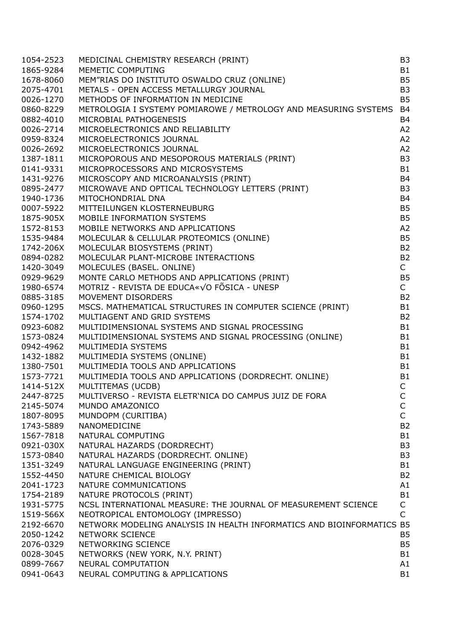| 1054-2523              | MEDICINAL CHEMISTRY RESEARCH (PRINT)                               | B <sub>3</sub> |
|------------------------|--------------------------------------------------------------------|----------------|
| 1865-9284              | MEMETIC COMPUTING                                                  | <b>B1</b>      |
| 1678-8060              | MEM"RIAS DO INSTITUTO OSWALDO CRUZ (ONLINE)                        | <b>B5</b>      |
| 2075-4701              | METALS - OPEN ACCESS METALLURGY JOURNAL                            | B <sub>3</sub> |
| 0026-1270              | METHODS OF INFORMATION IN MEDICINE                                 | <b>B5</b>      |
| 0860-8229              | METROLOGIA I SYSTEMY POMIAROWE / METROLOGY AND MEASURING SYSTEMS   | <b>B4</b>      |
| 0882-4010              | MICROBIAL PATHOGENESIS                                             | <b>B4</b>      |
| 0026-2714              | MICROELECTRONICS AND RELIABILITY                                   | A2             |
| 0959-8324              | MICROELECTRONICS JOURNAL                                           | A2             |
| 0026-2692              | MICROELECTRONICS JOURNAL                                           | A2             |
| 1387-1811              | MICROPOROUS AND MESOPOROUS MATERIALS (PRINT)                       | B <sub>3</sub> |
| 0141-9331              | MICROPROCESSORS AND MICROSYSTEMS                                   | B <sub>1</sub> |
| 1431-9276              | MICROSCOPY AND MICROANALYSIS (PRINT)                               | <b>B4</b>      |
|                        |                                                                    | B <sub>3</sub> |
| 0895-2477              | MICROWAVE AND OPTICAL TECHNOLOGY LETTERS (PRINT)                   |                |
| 1940-1736              | MITOCHONDRIAL DNA                                                  | B <sub>4</sub> |
| 0007-5922              | MITTEILUNGEN KLOSTERNEUBURG                                        | <b>B5</b>      |
| 1875-905X              | MOBILE INFORMATION SYSTEMS                                         | B <sub>5</sub> |
| 1572-8153              | MOBILE NETWORKS AND APPLICATIONS                                   | A2             |
| 1535-9484              | MOLECULAR & CELLULAR PROTEOMICS (ONLINE)                           | <b>B5</b>      |
| 1742-206X              | MOLECULAR BIOSYSTEMS (PRINT)                                       | <b>B2</b>      |
| 0894-0282              | MOLECULAR PLANT-MICROBE INTERACTIONS                               | <b>B2</b>      |
| 1420-3049              | MOLECULES (BASEL. ONLINE)                                          | $\mathsf{C}$   |
| 0929-9629              | MONTE CARLO METHODS AND APPLICATIONS (PRINT)                       | <b>B5</b>      |
| 1980-6574              | MOTRIZ - REVISTA DE EDUCA«√O FÕSICA - UNESP                        | $\mathsf{C}$   |
| 0885-3185              | MOVEMENT DISORDERS                                                 | <b>B2</b>      |
| 0960-1295              | MSCS. MATHEMATICAL STRUCTURES IN COMPUTER SCIENCE (PRINT)          | B <sub>1</sub> |
| 1574-1702              | MULTIAGENT AND GRID SYSTEMS                                        | <b>B2</b>      |
| 0923-6082              | MULTIDIMENSIONAL SYSTEMS AND SIGNAL PROCESSING                     | B <sub>1</sub> |
| 1573-0824              | MULTIDIMENSIONAL SYSTEMS AND SIGNAL PROCESSING (ONLINE)            | <b>B1</b>      |
| 0942-4962              | MULTIMEDIA SYSTEMS                                                 | B <sub>1</sub> |
| 1432-1882              | MULTIMEDIA SYSTEMS (ONLINE)                                        | B <sub>1</sub> |
| 1380-7501              | MULTIMEDIA TOOLS AND APPLICATIONS                                  | B <sub>1</sub> |
| 1573-7721              | MULTIMEDIA TOOLS AND APPLICATIONS (DORDRECHT. ONLINE)              | B <sub>1</sub> |
| 1414-512X              | MULTITEMAS (UCDB)                                                  | $\mathsf{C}$   |
| 2447-8725              | MULTIVERSO - REVISTA ELETR'NICA DO CAMPUS JUIZ DE FORA             | $\mathsf{C}$   |
| 2145-5074              | MUNDO AMAZONICO                                                    | C              |
| 1807-8095              | MUNDOPM (CURITIBA)                                                 | $\mathsf{C}$   |
| 1743-5889              | <b>NANOMEDICINE</b>                                                | <b>B2</b>      |
| 1567-7818              | NATURAL COMPUTING                                                  | B <sub>1</sub> |
| 0921-030X              | NATURAL HAZARDS (DORDRECHT)                                        | B <sub>3</sub> |
| 1573-0840              | NATURAL HAZARDS (DORDRECHT. ONLINE)                                | B <sub>3</sub> |
| 1351-3249              | NATURAL LANGUAGE ENGINEERING (PRINT)                               | B <sub>1</sub> |
| 1552-4450              | NATURE CHEMICAL BIOLOGY                                            | <b>B2</b>      |
| 2041-1723              | NATURE COMMUNICATIONS                                              | A1             |
| 1754-2189              | NATURE PROTOCOLS (PRINT)                                           | <b>B1</b>      |
| 1931-5775              | NCSL INTERNATIONAL MEASURE: THE JOURNAL OF MEASUREMENT SCIENCE     | $\mathsf{C}$   |
| 1519-566X              | NEOTROPICAL ENTOMOLOGY (IMPRESSO)                                  | $\mathsf{C}$   |
|                        | NETWORK MODELING ANALYSIS IN HEALTH INFORMATICS AND BIOINFORMATICS | B <sub>5</sub> |
| 2192-6670<br>2050-1242 | <b>NETWORK SCIENCE</b>                                             | <b>B5</b>      |
| 2076-0329              | NETWORKING SCIENCE                                                 | B <sub>5</sub> |
|                        |                                                                    |                |
| 0028-3045              | NETWORKS (NEW YORK, N.Y. PRINT)                                    | B1             |
| 0899-7667              | NEURAL COMPUTATION                                                 | A1             |
| 0941-0643              | NEURAL COMPUTING & APPLICATIONS                                    | B1             |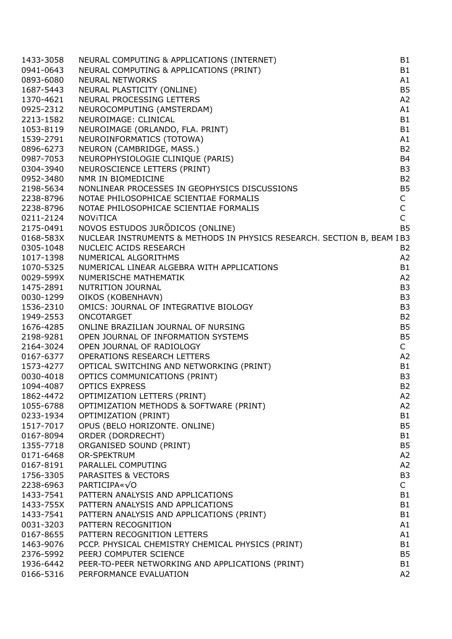| 1433-3058 | NEURAL COMPUTING & APPLICATIONS (INTERNET)                                              | <b>B1</b>      |
|-----------|-----------------------------------------------------------------------------------------|----------------|
| 0941-0643 | NEURAL COMPUTING & APPLICATIONS (PRINT)                                                 | <b>B1</b>      |
| 0893-6080 | <b>NEURAL NETWORKS</b>                                                                  | A1             |
| 1687-5443 | NEURAL PLASTICITY (ONLINE)                                                              | B <sub>5</sub> |
| 1370-4621 | NEURAL PROCESSING LETTERS                                                               | A2             |
| 0925-2312 | NEUROCOMPUTING (AMSTERDAM)                                                              | A1             |
| 2213-1582 | NEUROIMAGE: CLINICAL                                                                    | <b>B1</b>      |
| 1053-8119 | NEUROIMAGE (ORLANDO, FLA. PRINT)                                                        | <b>B1</b>      |
| 1539-2791 | NEUROINFORMATICS (TOTOWA)                                                               | A1             |
| 0896-6273 | NEURON (CAMBRIDGE, MASS.)                                                               | <b>B2</b>      |
| 0987-7053 | NEUROPHYSIOLOGIE CLINIQUE (PARIS)                                                       | <b>B4</b>      |
|           |                                                                                         | B <sub>3</sub> |
| 0304-3940 | NEUROSCIENCE LETTERS (PRINT)                                                            |                |
| 0952-3480 | NMR IN BIOMEDICINE                                                                      | <b>B2</b>      |
| 2198-5634 | NONLINEAR PROCESSES IN GEOPHYSICS DISCUSSIONS<br>NOTAE PHILOSOPHICAE SCIENTIAE FORMALIS | <b>B5</b>      |
| 2238-8796 | NOTAE PHILOSOPHICAE SCIENTIAE FORMALIS                                                  | $\mathsf C$    |
| 2238-8796 | NOTAE PHILOSOPHICAE SCIENTIAE FORMALIS                                                  | $\mathsf C$    |
| 0211-2124 | <b>NOVITICA</b>                                                                         | $\mathsf C$    |
| 2175-0491 | NOVOS ESTUDOS JURÕDICOS (ONLINE)                                                        | <b>B5</b>      |
| 0168-583X | NUCLEAR INSTRUMENTS & METHODS IN PHYSICS RESEARCH. SECTION B, BEAM IB3                  |                |
| 0305-1048 | NUCLEIC ACIDS RESEARCH                                                                  | B <sub>2</sub> |
| 1017-1398 | NUMERICAL ALGORITHMS                                                                    | A2             |
| 1070-5325 | NUMERICAL ALSONATIONS<br>NUMERICAL LINEAR ALGEBRA WITH APPLICATIONS                     | <b>B1</b>      |
| 0029-599X | NUMERISCHE MATHEMATIK                                                                   | A2             |
| 1475-2891 | NUTRITION JOURNAL                                                                       | B <sub>3</sub> |
| 0030-1299 | OIKOS (KOBENHAVN)                                                                       | B <sub>3</sub> |
| 1536-2310 | OMICS: JOURNAL OF INTEGRATIVE BIOLOGY                                                   | B <sub>3</sub> |
| 1949-2553 | ONCOTARGET                                                                              | B <sub>2</sub> |
| 1676-4285 | ONLINE BRAZILIAN JOURNAL OF NURSING                                                     | B <sub>5</sub> |
| 2198-9281 | OPEN JOURNAL OF INFORMATION SYSTEMS                                                     | B <sub>5</sub> |
| 2164-3024 | OPEN JOURNAL OF RADIOLOGY                                                               | $\mathsf{C}$   |
| 0167-6377 | OPERATIONS RESEARCH LETTERS                                                             | A2             |
| 1573-4277 | OPTICAL SWITCHING AND NETWORKING (PRINT)                                                | <b>B1</b>      |
| 0030-4018 | OPTICS COMMUNICATIONS (PRINT)                                                           | B <sub>3</sub> |
| 1094-4087 | <b>OPTICS EXPRESS</b>                                                                   | <b>B2</b>      |
| 1862-4472 | OPTIMIZATION LETTERS (PRINT)                                                            | A2             |
| 1055-6788 | OPTIMIZATION METHODS & SOFTWARE (PRINT)                                                 | A2             |
| 0233-1934 | OPTIMIZATION (PRINT)                                                                    | B1             |
| 1517-7017 | OPUS (BELO HORIZONTE. ONLINE)                                                           | <b>B5</b>      |
| 0167-8094 | ORDER (DORDRECHT)                                                                       | B <sub>1</sub> |
| 1355-7718 | ORGANISED SOUND (PRINT)                                                                 | B <sub>5</sub> |
|           | OR-SPEKTRUM                                                                             |                |
| 0171-6468 |                                                                                         | A2             |
| 0167-8191 | PARALLEL COMPUTING                                                                      | A2             |
| 1756-3305 | PARASITES & VECTORS                                                                     | B <sub>3</sub> |
| 2238-6963 | PARTICIPA« $\sqrt{0}$                                                                   | C              |
| 1433-7541 | PATTERN ANALYSIS AND APPLICATIONS                                                       | B <sub>1</sub> |
| 1433-755X | PATTERN ANALYSIS AND APPLICATIONS                                                       | B1             |
| 1433-7541 | PATTERN ANALYSIS AND APPLICATIONS (PRINT)                                               | B <sub>1</sub> |
| 0031-3203 | PATTERN RECOGNITION                                                                     | A1             |
| 0167-8655 | PATTERN RECOGNITION LETTERS                                                             | A1             |
| 1463-9076 | PCCP. PHYSICAL CHEMISTRY CHEMICAL PHYSICS (PRINT)                                       | B <sub>1</sub> |
| 2376-5992 | PEERJ COMPUTER SCIENCE                                                                  | B <sub>5</sub> |
| 1936-6442 | PEER-TO-PEER NETWORKING AND APPLICATIONS (PRINT)                                        | B <sub>1</sub> |
| 0166-5316 | PERFORMANCE EVALUATION                                                                  | A2             |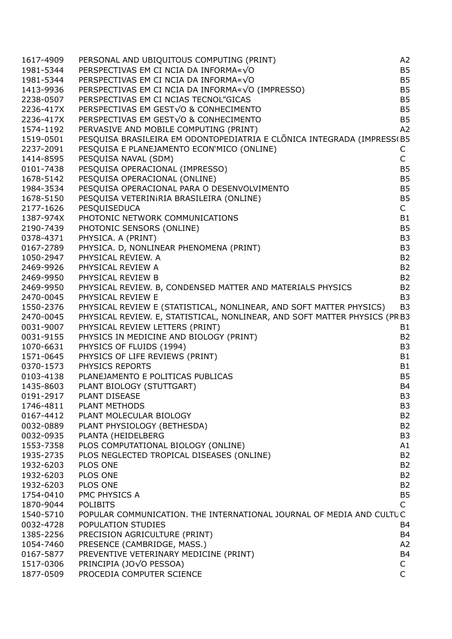| 1617-4909 | PERSONAL AND UBIQUITOUS COMPUTING (PRINT)                                 | A2             |
|-----------|---------------------------------------------------------------------------|----------------|
| 1981-5344 | PERSPECTIVAS EM CI NCIA DA INFORMA«√O                                     | <b>B5</b>      |
| 1981-5344 | PERSPECTIVAS EM CI NCIA DA INFORMA«√O                                     | <b>B5</b>      |
| 1413-9936 | PERSPECTIVAS EM CI NCIA DA INFORMA«√O (IMPRESSO)                          | <b>B5</b>      |
| 2238-0507 | PERSPECTIVAS EM CI NCIAS TECNOL"GICAS                                     | B <sub>5</sub> |
| 2236-417X | PERSPECTIVAS EM GEST√O & CONHECIMENTO                                     | B <sub>5</sub> |
| 2236-417X | PERSPECTIVAS EM GEST√O & CONHECIMENTO                                     | <b>B5</b>      |
| 1574-1192 | PERVASIVE AND MOBILE COMPUTING (PRINT)                                    | A2             |
| 1519-0501 | PESQUISA BRASILEIRA EM ODONTOPEDIATRIA E CLÕNICA INTEGRADA (IMPRESS(B5    |                |
| 2237-2091 | PESQUISA E PLANEJAMENTO ECON'MICO (ONLINE)                                | С              |
| 1414-8595 | PESQUISA NAVAL (SDM)                                                      | $\mathsf{C}$   |
| 0101-7438 | PESQUISA OPERACIONAL (IMPRESSO)                                           | B <sub>5</sub> |
| 1678-5142 | PESQUISA OPERACIONAL (ONLINE)                                             | B <sub>5</sub> |
| 1984-3534 | PESQUISA OPERACIONAL PARA O DESENVOLVIMENTO                               | B <sub>5</sub> |
|           |                                                                           |                |
| 1678-5150 | PESQUISA VETERINIRIA BRASILEIRA (ONLINE)                                  | B <sub>5</sub> |
| 2177-1626 | PESQUISEDUCA                                                              | $\mathsf{C}$   |
| 1387-974X | PHOTONIC NETWORK COMMUNICATIONS                                           | <b>B1</b>      |
| 2190-7439 | PHOTONIC SENSORS (ONLINE)                                                 | <b>B5</b>      |
| 0378-4371 | PHYSICA. A (PRINT)                                                        | B <sub>3</sub> |
| 0167-2789 | PHYSICA. D, NONLINEAR PHENOMENA (PRINT)                                   | B <sub>3</sub> |
| 1050-2947 | PHYSICAL REVIEW. A                                                        | <b>B2</b>      |
| 2469-9926 | PHYSICAL REVIEW A                                                         | <b>B2</b>      |
| 2469-9950 | PHYSICAL REVIEW B                                                         | <b>B2</b>      |
| 2469-9950 | PHYSICAL REVIEW. B, CONDENSED MATTER AND MATERIALS PHYSICS                | <b>B2</b>      |
| 2470-0045 | PHYSICAL REVIEW E                                                         | B <sub>3</sub> |
| 1550-2376 | PHYSICAL REVIEW E (STATISTICAL, NONLINEAR, AND SOFT MATTER PHYSICS)       | B <sub>3</sub> |
| 2470-0045 | PHYSICAL REVIEW. E, STATISTICAL, NONLINEAR, AND SOFT MATTER PHYSICS (PRB3 |                |
| 0031-9007 | PHYSICAL REVIEW LETTERS (PRINT)                                           | <b>B1</b>      |
| 0031-9155 | PHYSICS IN MEDICINE AND BIOLOGY (PRINT)                                   | <b>B2</b>      |
| 1070-6631 | PHYSICS OF FLUIDS (1994)                                                  | B <sub>3</sub> |
| 1571-0645 | PHYSICS OF LIFE REVIEWS (PRINT)                                           | <b>B1</b>      |
| 0370-1573 | PHYSICS REPORTS                                                           | <b>B1</b>      |
| 0103-4138 | PLANEJAMENTO E POLITICAS PUBLICAS                                         | B <sub>5</sub> |
| 1435-8603 | PLANT BIOLOGY (STUTTGART)                                                 | <b>B4</b>      |
| 0191-2917 | PLANT DISEASE                                                             | B <sub>3</sub> |
| 1746-4811 | PLANT METHODS                                                             | B3             |
| 0167-4412 | PLANT MOLECULAR BIOLOGY                                                   | <b>B2</b>      |
| 0032-0889 | PLANT PHYSIOLOGY (BETHESDA)                                               | <b>B2</b>      |
| 0032-0935 | PLANTA (HEIDELBERG                                                        | B <sub>3</sub> |
| 1553-7358 | PLOS COMPUTATIONAL BIOLOGY (ONLINE)                                       | A1             |
| 1935-2735 | PLOS NEGLECTED TROPICAL DISEASES (ONLINE)                                 | <b>B2</b>      |
| 1932-6203 | PLOS ONE                                                                  | B <sub>2</sub> |
| 1932-6203 | PLOS ONE                                                                  | B <sub>2</sub> |
| 1932-6203 | PLOS ONE                                                                  | <b>B2</b>      |
| 1754-0410 | PMC PHYSICS A                                                             | <b>B5</b>      |
| 1870-9044 | <b>POLIBITS</b>                                                           | C              |
| 1540-5710 | POPULAR COMMUNICATION. THE INTERNATIONAL JOURNAL OF MEDIA AND CULTUC      |                |
| 0032-4728 | POPULATION STUDIES                                                        | B4             |
| 1385-2256 | PRECISION AGRICULTURE (PRINT)                                             | B4             |
| 1054-7460 | PRESENCE (CAMBRIDGE, MASS.)                                               | A2             |
| 0167-5877 | PREVENTIVE VETERINARY MEDICINE (PRINT)                                    | B4             |
| 1517-0306 | PRINCIPIA (JO√O PESSOA)                                                   | $\mathsf{C}$   |
| 1877-0509 | PROCEDIA COMPUTER SCIENCE                                                 | $\mathsf{C}$   |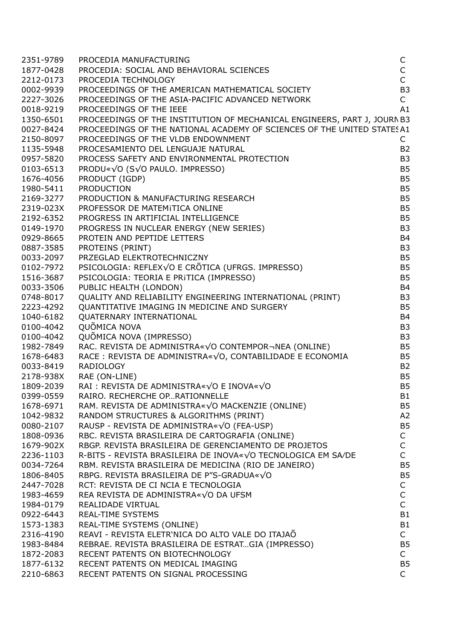| 2351-9789 | PROCEDIA MANUFACTURING                                                                                                                | C              |
|-----------|---------------------------------------------------------------------------------------------------------------------------------------|----------------|
| 1877-0428 | PROCEDIA: SOCIAL AND BEHAVIORAL SCIENCES                                                                                              | $\mathsf{C}$   |
| 2212-0173 | PROCEDIA TECHNOLOGY                                                                                                                   | $\overline{C}$ |
| 0002-9939 | PROCEEDINGS OF THE AMERICAN MATHEMATICAL SOCIETY                                                                                      | B <sub>3</sub> |
| 2227-3026 | PROCEEDINGS OF THE ASIA-PACIFIC ADVANCED NETWORK                                                                                      | $\mathsf{C}$   |
| 0018-9219 | PROCEEDINGS OF THE IEEE                                                                                                               | A1             |
| 1350-6501 | PROCEEDINGS OF THE INSTITUTION OF MECHANICAL ENGINEERS, PART J, JOURN B3                                                              |                |
| 0027-8424 | PROCEEDINGS OF THE NATIONAL ACADEMY OF SCIENCES OF THE UNITED STATES A1                                                               |                |
| 2150-8097 | PROCEEDINGS OF THE VLDB ENDOWNMENT                                                                                                    | C              |
| 1135-5948 | PROCESAMIENTO DEL LENGUAJE NATURAL                                                                                                    | <b>B2</b>      |
| 0957-5820 | PROCESAMIENTO DEL LENGUAJE NATURAL<br>PROCESS SAFETY AND ENVIRONMENTAL PROTECTION                                                     | B <sub>3</sub> |
| 0103-6513 | PRODU«√O (S√O PAULO. IMPRESSO)                                                                                                        | <b>B5</b>      |
| 1676-4056 | PRODUCT (IGDP)                                                                                                                        | <b>B5</b>      |
| 1980-5411 | <b>PRODUCTION</b>                                                                                                                     | <b>B5</b>      |
|           | PRODUCTION & MANUFACTURING RESEARCH                                                                                                   | <b>B5</b>      |
| 2169-3277 |                                                                                                                                       |                |
| 2319-023X | PROFESSOR DE MATEMITICA ONLINE                                                                                                        | B <sub>5</sub> |
| 2192-6352 | PROGRESS IN ARTIFICIAL INTELLIGENCE                                                                                                   | <b>B5</b>      |
| 0149-1970 | PROGRESS IN NUCLEAR ENERGY (NEW SERIES)                                                                                               | B <sub>3</sub> |
| 0929-8665 | PROTEIN AND PEPTIDE LETTERS                                                                                                           | <b>B4</b>      |
| 0887-3585 | PROTEINS (PRINT)                                                                                                                      | B <sub>3</sub> |
| 0033-2097 | PRZEGLAD ELEKTROTECHNICZNY                                                                                                            | <b>B5</b>      |
| 0102-7972 | PSICOLOGIA: REFLEX√O E CRÕTICA (UFRGS. IMPRESSO)                                                                                      | B <sub>5</sub> |
| 1516-3687 | PSICOLOGIA: TEORIA E PRITICA (IMPRESSO)                                                                                               | <b>B5</b>      |
| 0033-3506 | PUBLIC HEALTH (LONDON)                                                                                                                | <b>B4</b>      |
| 0748-8017 |                                                                                                                                       | B <sub>3</sub> |
| 2223-4292 | QUALITY AND RELIABILITY ENGINEERING INTERNATIONAL (PRINT)<br>QUANTITATIVE IMAGING IN MEDICINE AND SURGERY<br>OUATERNARY INTERNATIONAL | <b>B5</b>      |
| 1040-6182 | QUATERNARY INTERNATIONAL                                                                                                              | <b>B4</b>      |
| 0100-4042 | QUÕMICA NOVA                                                                                                                          | B <sub>3</sub> |
| 0100-4042 | QUÕMICA NOVA (IMPRESSO)                                                                                                               | B <sub>3</sub> |
| 1982-7849 | RAC. REVISTA DE ADMINISTRA«√O CONTEMPOR¬NEA (ONLINE)                                                                                  | B <sub>5</sub> |
| 1678-6483 | RACE : REVISTA DE ADMINISTRA«√O, CONTABILIDADE E ECONOMIA                                                                             | <b>B5</b>      |
| 0033-8419 | <b>RADIOLOGY</b>                                                                                                                      | <b>B2</b>      |
| 2178-938X | RAE (ON-LINE)                                                                                                                         | B <sub>5</sub> |
| 1809-2039 | RAI : REVISTA DE ADMINISTRA«√O E INOVA«√O                                                                                             | <b>B5</b>      |
| 0399-0559 | RAIRO. RECHERCHE OPRATIONNELLE                                                                                                        | B1             |
| 1678-6971 | RAM. REVISTA DE ADMINISTRA«√O MACKENZIE (ONLINE)                                                                                      | B <sub>5</sub> |
| 1042-9832 | RANDOM STRUCTURES & ALGORITHMS (PRINT)                                                                                                | A2             |
| 0080-2107 | RAUSP - REVISTA DE ADMINISTRA« $\sqrt{0}$ (FEA-USP)                                                                                   | B <sub>5</sub> |
| 1808-0936 | RBC. REVISTA BRASILEIRA DE CARTOGRAFIA (ONLINE)                                                                                       | $\mathsf{C}$   |
| 1679-902X | RBGP. REVISTA BRASILEIRA DE GERENCIAMENTO DE PROJETOS                                                                                 | C              |
| 2236-1103 | R-BITS - REVISTA BRASILEIRA DE INOVA«VO TECNOLOGICA EM SA/DE                                                                          | $\mathsf{C}$   |
| 0034-7264 | RBM. REVISTA BRASILEIRA DE MEDICINA (RIO DE JANEIRO)                                                                                  | B <sub>5</sub> |
| 1806-8405 | RBPG. REVISTA BRASILEIRA DE P"S-GRADUA«√O                                                                                             | <b>B5</b>      |
| 2447-7028 | RCT: REVISTA DE CI NCIA E TECNOLOGIA                                                                                                  | С              |
| 1983-4659 | REA REVISTA DE ADMINISTRA«√O DA UFSM                                                                                                  | C              |
| 1984-0179 | REALIDADE VIRTUAL                                                                                                                     | $\mathsf C$    |
| 0922-6443 | <b>REAL-TIME SYSTEMS</b>                                                                                                              | <b>B1</b>      |
| 1573-1383 | REAL-TIME SYSTEMS (ONLINE)                                                                                                            | <b>B1</b>      |
| 2316-4190 | REAVI - REVISTA ELETR'NICA DO ALTO VALE DO ITAJAÕ                                                                                     | $\mathsf{C}$   |
| 1983-8484 | REBRAE. REVISTA BRASILEIRA DE ESTRATGIA (IMPRESSO)                                                                                    | B <sub>5</sub> |
| 1872-2083 | RECENT PATENTS ON BIOTECHNOLOGY                                                                                                       | $\mathsf{C}$   |
| 1877-6132 | RECENT PATENTS ON MEDICAL IMAGING                                                                                                     | B <sub>5</sub> |
| 2210-6863 | RECENT PATENTS ON SIGNAL PROCESSING                                                                                                   | C              |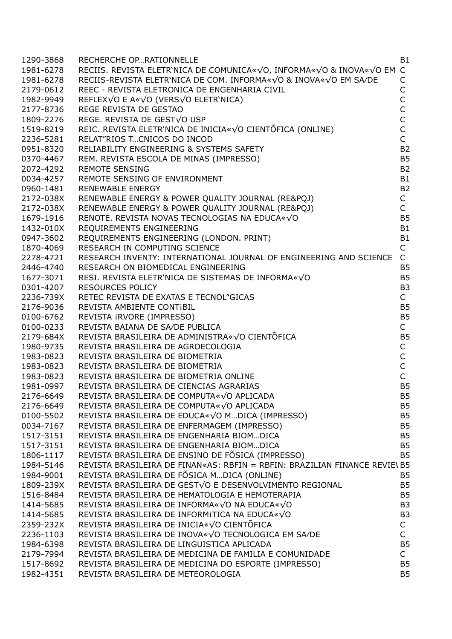| 1290-3868 | RECHERCHE OPRATIONNELLE                                                                                                                                                                                                                          | <b>B1</b>                      |
|-----------|--------------------------------------------------------------------------------------------------------------------------------------------------------------------------------------------------------------------------------------------------|--------------------------------|
| 1981-6278 | RECIIS. REVISTA ELETR'NICA DE COMUNICA«√O, INFORMA«√O & INOVA«√O EM C                                                                                                                                                                            |                                |
| 1981-6278 | RECIIS-REVISTA ELETR'NICA DE COM. INFORMA«VO & INOVA«VO EM SA/DE                                                                                                                                                                                 | C                              |
| 2179-0612 | REEC - REVISTA ELETRONICA DE ENGENHARIA CIVIL                                                                                                                                                                                                    |                                |
| 1982-9949 | REFLEX√O E A«√O (VERS√O ELETR'NICA)                                                                                                                                                                                                              | C<br>C                         |
| 2177-8736 | REGE REVISTA DE GESTAO                                                                                                                                                                                                                           | $\mathsf{C}$                   |
| 1809-2276 | REGE. REVISTA DE GEST√O USP                                                                                                                                                                                                                      | $\mathsf{C}$                   |
| 1519-8219 | REIC. REVISTA ELETR'NICA DE INICIA«√O CIENTÕFICA (ONLINE)                                                                                                                                                                                        | $\mathsf{C}$                   |
| 2236-5281 | RELAT"RIOS TCNICOS DO INCOD                                                                                                                                                                                                                      | $\overline{C}$                 |
| 0951-8320 |                                                                                                                                                                                                                                                  | B <sub>2</sub>                 |
| 0370-4467 |                                                                                                                                                                                                                                                  | B <sub>5</sub>                 |
| 2072-4292 |                                                                                                                                                                                                                                                  | <b>B2</b>                      |
| 0034-4257 |                                                                                                                                                                                                                                                  | <b>B1</b>                      |
| 0960-1481 |                                                                                                                                                                                                                                                  | B <sub>2</sub>                 |
| 2172-038X |                                                                                                                                                                                                                                                  | $\mathsf C$                    |
| 2172-038X |                                                                                                                                                                                                                                                  | $\mathsf{C}$                   |
|           |                                                                                                                                                                                                                                                  | B <sub>5</sub>                 |
| 1679-1916 | NELIABILITY ENGINEERING & SYSTEMS SAFETY<br>RELIABILITY ENGINEERING & SYSTEMS SAFETY<br>REMOTE SENSING<br>REMOTE SENSING OF ENVIRONMENT<br>REMOTE SENSING OF ENVIRONMENT<br>RENEWABLE ENERGY & POWER QUALITY JOURNAL (RE&PQJ)<br>RENEWABLE ENERG | <b>B1</b>                      |
| 1432-010X |                                                                                                                                                                                                                                                  |                                |
| 0947-3602 | REQUIREMENTS ENGINEERING (LONDON. PRINT)                                                                                                                                                                                                         | <b>B1</b><br>C                 |
| 1870-4069 | RESEARCH IN COMPUTING SCIENCE                                                                                                                                                                                                                    |                                |
| 2278-4721 | RESEARCH INVENTY: INTERNATIONAL JOURNAL OF ENGINEERING AND SCIENCE                                                                                                                                                                               | $\mathsf{C}$                   |
| 2446-4740 |                                                                                                                                                                                                                                                  | B <sub>5</sub>                 |
| 1677-3071 | RESEARCH ON BIOMEDICAL ENGINERIALS<br>RESI. REVISTA ELETR'NICA DE SISTEMAS DE INFORMA«√O                                                                                                                                                         | B <sub>5</sub>                 |
| 0301-4207 |                                                                                                                                                                                                                                                  | B <sub>3</sub><br>$\mathsf{C}$ |
| 2236-739X | RETEC REVISTA DE EXATAS E TECNOL"GICAS                                                                                                                                                                                                           |                                |
| 2176-9036 | REVISTA AMBIENTE CONTIBIL                                                                                                                                                                                                                        | B <sub>5</sub>                 |
| 0100-6762 | REVISTA IRVORE (IMPRESSO)                                                                                                                                                                                                                        | B <sub>5</sub>                 |
| 0100-0233 | REVISTA BAIANA DE SA/DE PUBLICA                                                                                                                                                                                                                  | $\mathsf{C}$                   |
| 2179-684X | REVISTA BRASILEIRA DE ADMINISTRA«√O CIENTÕFICA                                                                                                                                                                                                   | B <sub>5</sub>                 |
| 1980-9735 | REVISTA BRASILEIRA DE AGROECOLOGIA                                                                                                                                                                                                               | $\mathsf C$                    |
| 1983-0823 | REVISTA BRASILEIRA DE BIOMETRIA                                                                                                                                                                                                                  | $\mathsf{C}$                   |
| 1983-0823 | REVISTA BRASILEIRA DE BIOMETRIA                                                                                                                                                                                                                  | $\mathsf{C}$                   |
| 1983-0823 | REVISTA BRASILEIRA DE BIOMETRIA ONLINE                                                                                                                                                                                                           | $\mathsf{C}$                   |
| 1981-0997 | REVISTA BRASILEIRA DE CIENCIAS AGRARIAS                                                                                                                                                                                                          | <b>B5</b>                      |
| 2176-6649 | REVISTA BRASILEIRA DE COMPUTA«√O APLICADA                                                                                                                                                                                                        | <b>B5</b>                      |
| 2176-6649 | REVISTA BRASILEIRA DE COMPUTA«VO APLICADA                                                                                                                                                                                                        | B <sub>5</sub>                 |
| 0100-5502 | REVISTA BRASILEIRA DE EDUCA«√O MDICA (IMPRESSO)                                                                                                                                                                                                  | B <sub>5</sub>                 |
| 0034-7167 | REVISTA BRASILEIRA DE ENFERMAGEM (IMPRESSO)                                                                                                                                                                                                      | B <sub>5</sub>                 |
| 1517-3151 | REVISTA BRASILEIRA DE ENGENHARIA BIOMDICA                                                                                                                                                                                                        | B <sub>5</sub>                 |
| 1517-3151 | REVISTA BRASILEIRA DE ENGENHARIA BIOMDICA                                                                                                                                                                                                        | B <sub>5</sub>                 |
| 1806-1117 | REVISTA BRASILEIRA DE ENSINO DE FÕSICA (IMPRESSO)                                                                                                                                                                                                | <b>B5</b>                      |
| 1984-5146 | REVISTA BRASILEIRA DE FINAN«AS: RBFIN = RBFIN: BRAZILIAN FINANCE REVIE\ B5                                                                                                                                                                       |                                |
| 1984-9001 | REVISTA BRASILEIRA DE FÕSICA MDICA (ONLINE)                                                                                                                                                                                                      | <b>B5</b>                      |
| 1809-239X | REVISTA BRASILEIRA DE GESTVO E DESENVOLVIMENTO REGIONAL                                                                                                                                                                                          | B <sub>5</sub>                 |
| 1516-8484 | REVISTA BRASILEIRA DE HEMATOLOGIA E HEMOTERAPIA                                                                                                                                                                                                  | B <sub>5</sub>                 |
| 1414-5685 | REVISTA BRASILEIRA DE INFORMA«√O NA EDUCA«√O                                                                                                                                                                                                     | B <sub>3</sub>                 |
| 1414-5685 | REVISTA BRASILEIRA DE INFORMITICA NA EDUCA«VO                                                                                                                                                                                                    | B <sub>3</sub>                 |
| 2359-232X | REVISTA BRASILEIRA DE INICIA«√O CIENTÕFICA                                                                                                                                                                                                       | $\mathsf C$                    |
| 2236-1103 | REVISTA BRASILEIRA DE INOVA«√O TECNOLOGICA EM SA/DE                                                                                                                                                                                              | C                              |
| 1984-6398 | REVISTA BRASILEIRA DE LINGUISTICA APLICADA                                                                                                                                                                                                       | <b>B5</b>                      |
| 2179-7994 | REVISTA BRASILEIRA DE MEDICINA DE FAMILIA E COMUNIDADE                                                                                                                                                                                           | $\mathsf{C}$                   |
| 1517-8692 | REVISTA BRASILEIRA DE MEDICINA DO ESPORTE (IMPRESSO)                                                                                                                                                                                             | <b>B5</b>                      |
| 1982-4351 | REVISTA BRASILEIRA DE METEOROLOGIA                                                                                                                                                                                                               | <b>B5</b>                      |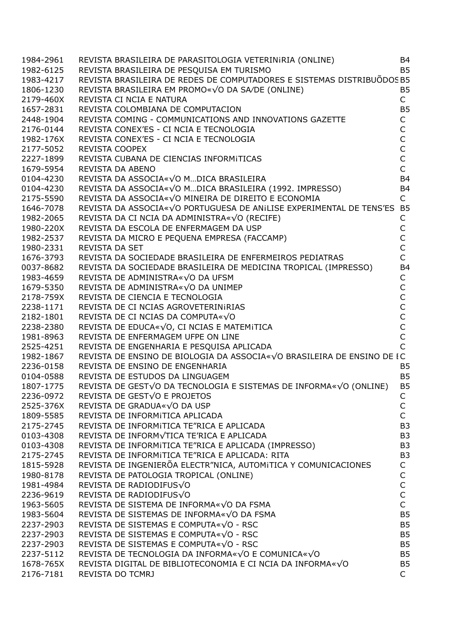| 1984-2961 |                                                                                                                                                           | <b>B4</b>      |
|-----------|-----------------------------------------------------------------------------------------------------------------------------------------------------------|----------------|
| 1982-6125 | REVISTA BRASILEIRA DE PARASITOLOGIA VETERINIRIA (ONLINE)<br>REVISTA BRASILEIRA DE PESQUISA EM TURISMO<br>REVISTA BRASILEIRA DE PESQUISA EM TURISMO        | <b>B5</b>      |
| 1983-4217 | REVISTA BRASILEIRA DE REDES DE COMPUTADORES E SISTEMAS DISTRIBUÕDOS B5                                                                                    |                |
| 1806-1230 | REVISTA BRASILEIRA EM PROMO«√O DA SA/DE (ONLINE)                                                                                                          | <b>B5</b>      |
| 2179-460X | REVISTA CI NCIA E NATURA                                                                                                                                  | $\mathsf{C}$   |
| 1657-2831 | REVISTA COLOMBIANA DE COMPUTACION                                                                                                                         | <b>B5</b>      |
| 2448-1904 | REVISTA COMING - COMMUNICATIONS AND INNOVATIONS GAZETTE                                                                                                   | $\mathsf{C}$   |
| 2176-0144 | REVISTA CONEX'ES - CI NCIA E TECNOLOGIA                                                                                                                   | $\overline{C}$ |
| 1982-176X | REVISTA CONEX'ES - CI NCIA E TECNOLOGIA                                                                                                                   |                |
| 2177-5052 | <b>REVISTA COOPEX</b>                                                                                                                                     | C<br>C         |
| 2227-1899 | REVISTA CUBANA DE CIENCIAS INFORMITICAS                                                                                                                   | $\mathsf{C}$   |
| 1679-5954 | REVISTA DA ABENO                                                                                                                                          | $\overline{C}$ |
|           |                                                                                                                                                           | <b>B4</b>      |
| 0104-4230 | REVISTA DA ASSOCIA«VO MDICA BRASILEIRA                                                                                                                    |                |
| 0104-4230 | REVISTA DA ASSOCIA« VO MDICA BRASILEIRA<br>REVISTA DA ASSOCIA«√O MDICA BRASILEIRA (1992. IMPRESSO)<br>REVISTA DA ASSOCIA«√O MINEIRA DE DIREITO E ECONOMIA | <b>B4</b>      |
| 2175-5590 | REVISTA DA ASSOCIA«√O MINEIRA DE DIREITO E ECONOMIA                                                                                                       | $\mathsf{C}$   |
| 1646-7078 | REVISTA DA ASSOCIA«√O PORTUGUESA DE ANILISE EXPERIMENTAL DE TENS'ES B5                                                                                    |                |
| 1982-2065 | REVISTA DA CI NCIA DA ADMINISTRA«VO (RECIFE)                                                                                                              | C              |
| 1980-220X | REVISTA DA ESCOLA DE ENFERMAGEM DA USP                                                                                                                    | $\mathsf C$    |
| 1982-2537 | REVISTA DA MICRO E PEQUENA EMPRESA (FACCAMP)                                                                                                              | Ċ              |
| 1980-2331 | <b>REVISTA DA SET</b>                                                                                                                                     | Ċ              |
| 1676-3793 | REVISTA DA SOCIEDADE BRASILEIRA DE ENFERMEIROS PEDIATRAS                                                                                                  |                |
| 0037-8682 | REVISTA DA SOCIEDADE BRASILEIRA DE MEDICINA TROPICAL (IMPRESSO)                                                                                           | <b>B4</b>      |
| 1983-4659 | REVISTA DE ADMINISTRA«VO DA UFSM                                                                                                                          | $\mathsf C$    |
| 1679-5350 | REVISTA DE ADMINISTRA«VO DA UNIMEP                                                                                                                        | $\mathsf C$    |
| 2178-759X | REVISTA DE CIENCIA E TECNOLOGIA                                                                                                                           | C              |
| 2238-1171 | REVISTA DE CI NCIAS AGROVETERINIRIAS                                                                                                                      |                |
| 2182-1801 | REVISTA DE CI NCIAS DA COMPUTA«√O                                                                                                                         | $C$<br>$C$     |
| 2238-2380 | REVISTA DE EDUCA«√O, CI NCIAS E MATEMITICA                                                                                                                |                |
| 1981-8963 | REVISTA DE ENFERMAGEM UFPE ON LINE                                                                                                                        | $\mathsf{C}$   |
| 2525-4251 | REVISTA DE ENGENHARIA E PESQUISA APLICADA                                                                                                                 | $\overline{C}$ |
| 1982-1867 | REVISTA DE ENSINO DE BIOLOGIA DA ASSOCIA«√O BRASILEIRA DE ENSINO DE IC                                                                                    |                |
| 2236-0158 | REVISTA DE ENSINO DE ENGENHARIA                                                                                                                           | <b>B5</b>      |
| 0104-0588 | REVISTA DE ESTUDOS DA LINGUAGEM                                                                                                                           | <b>B5</b>      |
| 1807-1775 | REVISTA DE GEST√O DA TECNOLOGIA E SISTEMAS DE INFORMA«√O (ONLINE)                                                                                         | <b>B5</b>      |
| 2236-0972 | REVISTA DE GEST√O E PROJETOS                                                                                                                              | $\mathsf{C}$   |
| 2525-376X | REVISTA DE GRADUA«√O DA USP                                                                                                                               | С              |
| 1809-5585 | REVISTA DE INFORMITICA APLICADA                                                                                                                           | $\mathsf{C}$   |
| 2175-2745 | REVISTA DE INFORMITICA TE"RICA E APLICADA                                                                                                                 | B <sub>3</sub> |
| 0103-4308 | REVISTA DE INFORMVTICA TE'RICA E APLICADA                                                                                                                 | B <sub>3</sub> |
| 0103-4308 | REVISTA DE INFORMITICA TE"RICA E APLICADA (IMPRESSO)                                                                                                      | B <sub>3</sub> |
| 2175-2745 | REVISTA DE INFORMITICA TE"RICA E APLICADA: RITA                                                                                                           | B <sub>3</sub> |
| 1815-5928 | REVISTA DE INGENIERÕA ELECTR"NICA, AUTOMITICA Y COMUNICACIONES                                                                                            | C              |
|           |                                                                                                                                                           | C              |
| 1980-8178 | REVISTA DE PATOLOGIA TROPICAL (ONLINE)<br>REVISTA DE RADIODIFUS√O                                                                                         | $\mathsf{C}$   |
| 1981-4984 |                                                                                                                                                           | $\mathsf{C}$   |
| 2236-9619 | REVISTA DE RADIODIFUS√O                                                                                                                                   | $\mathsf{C}$   |
| 1963-5605 | REVISTA DE SISTEMA DE INFORMA«√O DA FSMA                                                                                                                  |                |
| 1983-5604 | REVISTA DE SISTEMAS DE INFORMA«VO DA FSMA                                                                                                                 | <b>B5</b>      |
| 2237-2903 | REVISTA DE SISTEMAS E COMPUTA«√O - RSC                                                                                                                    | <b>B5</b>      |
| 2237-2903 | REVISTA DE SISTEMAS E COMPUTA«√O - RSC                                                                                                                    | B <sub>5</sub> |
| 2237-2903 | REVISTA DE SISTEMAS E COMPUTA«√O - RSC                                                                                                                    | B <sub>5</sub> |
| 2237-5112 | REVISTA DE TECNOLOGIA DA INFORMA«√O E COMUNICA«√O                                                                                                         | B <sub>5</sub> |
| 1678-765X | REVISTA DIGITAL DE BIBLIOTECONOMIA E CI NCIA DA INFORMA«VO                                                                                                | B <sub>5</sub> |
| 2176-7181 | REVISTA DO TCMRJ                                                                                                                                          | $\mathsf{C}$   |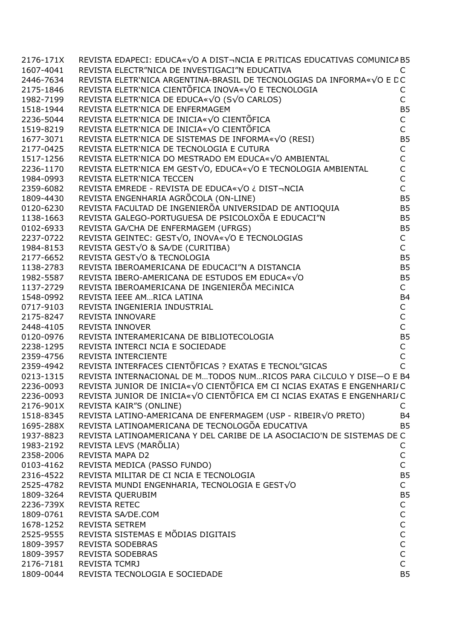| 1607-4041<br>REVISTA ELECTR"NICA DE INVESTIGACI"N EDUCATIVA<br>REVISTA ELETR'NICA ARGENTINA-BRASIL DE TECNOLOGIAS DA INFORMA«VO E DC<br>REVISTA ELETR`NICA CIENTÕFICA INOVA«√O E TECNOLOGIA<br>C<br>$\mathsf{C}$<br>REVISTA ELETR'NICA DE EDUCA«√O (S√O CARLOS)<br><b>B5</b><br>REVISTA ELETR'NICA DE ENFERMAGEM<br>REVISTA ELETR'NICA DE INICIA«VO CIENTÕFICA<br>$\mathsf{C}$<br>$\overline{C}$<br>REVISTA ELETR'NICA DE INICIA«√O CIENTÕFICA<br>REVISTA ELETR'NICA DE SISTEMAS DE INFORMA«√O (RESI)<br>B <sub>5</sub><br>$\mathsf C$<br>REVISTA ELETR'NICA DE TECNOLOGIA E CUTURA<br>REVISTA ELETR'NICA DO MESTRADO EM EDUCA«√O AMBIENTAL<br>$\mathsf{C}$<br>$\overline{C}$<br>REVISTA ELETR'NICA EM GEST√O, EDUCA«√O E TECNOLOGIA AMBIENTAL<br>$\mathsf{C}$<br>REVISTA ELETR'NICA TECCEN<br>$\overline{C}$<br>REVISTA EMREDE - REVISTA DE EDUCA«VO ¿ DIST¬NCIA<br><b>B5</b><br>REVISTA ENGENHARIA AGRÕCOLA (ON-LINE)<br>REVISTA ENGENITANTA AGNOCOLA (ON LINE)<br>REVISTA FACULTAD DE INGENIERÕA UNIVERSIDAD DE ANTIOQUIA<br>REVISTA GALEGO-PORTUGUESA DE PSICOLOXÕA E EDUCACI"N<br><b>B5</b><br><b>B5</b><br>REVISTA GALEGO-PORTUGUESA DE PSICOLOXOA E EDUCACI"N<br>REVISTA GA/CHA DE ENFERMAGEM (UFRGS)<br>REVISTA GEINTEC: GEST√O, INOVA«√O E TECNOLOGIAS<br>REVISTA GEST√O & SA/DE (CURITIBA)<br>REVISTA GEST√O & TECNOLOGIA<br>REVISTA GEST√O & TECNOL<br><b>B5</b><br>$\mathsf C$<br>$\mathsf{C}$<br><b>B5</b><br><b>B5</b><br><b>B5</b><br>$\mathsf{C}$<br><b>B4</b><br>$\mathsf C$<br>$\mathsf C$<br>$\mathsf C$<br><b>B5</b><br>$\mathsf C$<br>$\overline{C}$<br>REVISTA INTERCIENTE<br>REVISTA INTERFACES CIENTÕFICAS ? EXATAS E TECNOL"GICAS<br>REVISTA INTERNACIONAL DE MTODOS NUMRICOS PARA CILCULO Y DISE-O E B4<br>REVISTA JUNIOR DE INICIA«VO CIENTÕFICA EM CI NCIAS EXATAS E ENGENHARI/C<br>REVISTA JUNIOR DE INICIA«√O CIENTÕFICA EM CI NCIAS EXATAS E ENGENHARI/C<br>REVISTA KAIR"S (ONLINE)<br>C<br>REVISTA LATINO-AMERICANA DE ENFERMAGEM (USP - RIBEIRVO PRETO)<br><b>B4</b><br>REVISTA LATINOAMERICANA DE TECNOLOGÕA EDUCATIVA<br><b>B5</b><br>REVISTA LATINOAMERICANA Y DEL CARIBE DE LA ASOCIACIO'N DE SISTEMAS DE C<br>REVISTA LEVS (MARÕLIA)<br>C<br>REVISTA MAPA D2<br>С<br>$\mathsf{C}$<br>REVISTA MEDICA (PASSO FUNDO) | 2176-171X | REVISTA EDAPECI: EDUCA«VO A DIST-NCIA E PRITICAS EDUCATIVAS COMUNICA B5 |                |
|---------------------------------------------------------------------------------------------------------------------------------------------------------------------------------------------------------------------------------------------------------------------------------------------------------------------------------------------------------------------------------------------------------------------------------------------------------------------------------------------------------------------------------------------------------------------------------------------------------------------------------------------------------------------------------------------------------------------------------------------------------------------------------------------------------------------------------------------------------------------------------------------------------------------------------------------------------------------------------------------------------------------------------------------------------------------------------------------------------------------------------------------------------------------------------------------------------------------------------------------------------------------------------------------------------------------------------------------------------------------------------------------------------------------------------------------------------------------------------------------------------------------------------------------------------------------------------------------------------------------------------------------------------------------------------------------------------------------------------------------------------------------------------------------------------------------------------------------------------------------------------------------------------------------------------------------------------------------------------------------------------------------------------------------------------------------------------------------------------------------------------------------------------------------------------------------------------------------------------------------------------|-----------|-------------------------------------------------------------------------|----------------|
| 2446-7634<br>2175-1846<br>1982-7199<br>1518-1944<br>2236-5044<br>1519-8219<br>1677-3071<br>2177-0425<br>1517-1256<br>0120-6230<br>1138-1663<br>0102-6933<br>2237-0722<br>1138-2783<br>1982-5587<br>1137-2729<br>1548-0992<br>0717-9103<br>2175-8247<br>2448-4105<br>0120-0976<br>2238-1295<br>2359-4756<br>2359-4942<br>0213-1315<br>2236-0093<br>2176-901X<br>1518-8345<br>1695-288X<br>1937-8823<br>1983-2192<br>2358-2006<br>0103-4162                                                                                                                                                                                                                                                                                                                                                                                                                                                                                                                                                                                                                                                                                                                                                                                                                                                                                                                                                                                                                                                                                                                                                                                                                                                                                                                                                                                                                                                                                                                                                                                                                                                                                                                                                                                                               |           |                                                                         |                |
| 2236-1170<br>1984-0993<br>2359-6082<br>1809-4430<br>1984-8153<br>2177-6652<br>2236-0093                                                                                                                                                                                                                                                                                                                                                                                                                                                                                                                                                                                                                                                                                                                                                                                                                                                                                                                                                                                                                                                                                                                                                                                                                                                                                                                                                                                                                                                                                                                                                                                                                                                                                                                                                                                                                                                                                                                                                                                                                                                                                                                                                                 |           |                                                                         |                |
|                                                                                                                                                                                                                                                                                                                                                                                                                                                                                                                                                                                                                                                                                                                                                                                                                                                                                                                                                                                                                                                                                                                                                                                                                                                                                                                                                                                                                                                                                                                                                                                                                                                                                                                                                                                                                                                                                                                                                                                                                                                                                                                                                                                                                                                         |           |                                                                         |                |
|                                                                                                                                                                                                                                                                                                                                                                                                                                                                                                                                                                                                                                                                                                                                                                                                                                                                                                                                                                                                                                                                                                                                                                                                                                                                                                                                                                                                                                                                                                                                                                                                                                                                                                                                                                                                                                                                                                                                                                                                                                                                                                                                                                                                                                                         |           |                                                                         |                |
|                                                                                                                                                                                                                                                                                                                                                                                                                                                                                                                                                                                                                                                                                                                                                                                                                                                                                                                                                                                                                                                                                                                                                                                                                                                                                                                                                                                                                                                                                                                                                                                                                                                                                                                                                                                                                                                                                                                                                                                                                                                                                                                                                                                                                                                         |           |                                                                         |                |
|                                                                                                                                                                                                                                                                                                                                                                                                                                                                                                                                                                                                                                                                                                                                                                                                                                                                                                                                                                                                                                                                                                                                                                                                                                                                                                                                                                                                                                                                                                                                                                                                                                                                                                                                                                                                                                                                                                                                                                                                                                                                                                                                                                                                                                                         |           |                                                                         |                |
|                                                                                                                                                                                                                                                                                                                                                                                                                                                                                                                                                                                                                                                                                                                                                                                                                                                                                                                                                                                                                                                                                                                                                                                                                                                                                                                                                                                                                                                                                                                                                                                                                                                                                                                                                                                                                                                                                                                                                                                                                                                                                                                                                                                                                                                         |           |                                                                         |                |
|                                                                                                                                                                                                                                                                                                                                                                                                                                                                                                                                                                                                                                                                                                                                                                                                                                                                                                                                                                                                                                                                                                                                                                                                                                                                                                                                                                                                                                                                                                                                                                                                                                                                                                                                                                                                                                                                                                                                                                                                                                                                                                                                                                                                                                                         |           |                                                                         |                |
|                                                                                                                                                                                                                                                                                                                                                                                                                                                                                                                                                                                                                                                                                                                                                                                                                                                                                                                                                                                                                                                                                                                                                                                                                                                                                                                                                                                                                                                                                                                                                                                                                                                                                                                                                                                                                                                                                                                                                                                                                                                                                                                                                                                                                                                         |           |                                                                         |                |
|                                                                                                                                                                                                                                                                                                                                                                                                                                                                                                                                                                                                                                                                                                                                                                                                                                                                                                                                                                                                                                                                                                                                                                                                                                                                                                                                                                                                                                                                                                                                                                                                                                                                                                                                                                                                                                                                                                                                                                                                                                                                                                                                                                                                                                                         |           |                                                                         |                |
|                                                                                                                                                                                                                                                                                                                                                                                                                                                                                                                                                                                                                                                                                                                                                                                                                                                                                                                                                                                                                                                                                                                                                                                                                                                                                                                                                                                                                                                                                                                                                                                                                                                                                                                                                                                                                                                                                                                                                                                                                                                                                                                                                                                                                                                         |           |                                                                         |                |
|                                                                                                                                                                                                                                                                                                                                                                                                                                                                                                                                                                                                                                                                                                                                                                                                                                                                                                                                                                                                                                                                                                                                                                                                                                                                                                                                                                                                                                                                                                                                                                                                                                                                                                                                                                                                                                                                                                                                                                                                                                                                                                                                                                                                                                                         |           |                                                                         |                |
|                                                                                                                                                                                                                                                                                                                                                                                                                                                                                                                                                                                                                                                                                                                                                                                                                                                                                                                                                                                                                                                                                                                                                                                                                                                                                                                                                                                                                                                                                                                                                                                                                                                                                                                                                                                                                                                                                                                                                                                                                                                                                                                                                                                                                                                         |           |                                                                         |                |
|                                                                                                                                                                                                                                                                                                                                                                                                                                                                                                                                                                                                                                                                                                                                                                                                                                                                                                                                                                                                                                                                                                                                                                                                                                                                                                                                                                                                                                                                                                                                                                                                                                                                                                                                                                                                                                                                                                                                                                                                                                                                                                                                                                                                                                                         |           |                                                                         |                |
|                                                                                                                                                                                                                                                                                                                                                                                                                                                                                                                                                                                                                                                                                                                                                                                                                                                                                                                                                                                                                                                                                                                                                                                                                                                                                                                                                                                                                                                                                                                                                                                                                                                                                                                                                                                                                                                                                                                                                                                                                                                                                                                                                                                                                                                         |           |                                                                         |                |
|                                                                                                                                                                                                                                                                                                                                                                                                                                                                                                                                                                                                                                                                                                                                                                                                                                                                                                                                                                                                                                                                                                                                                                                                                                                                                                                                                                                                                                                                                                                                                                                                                                                                                                                                                                                                                                                                                                                                                                                                                                                                                                                                                                                                                                                         |           |                                                                         |                |
|                                                                                                                                                                                                                                                                                                                                                                                                                                                                                                                                                                                                                                                                                                                                                                                                                                                                                                                                                                                                                                                                                                                                                                                                                                                                                                                                                                                                                                                                                                                                                                                                                                                                                                                                                                                                                                                                                                                                                                                                                                                                                                                                                                                                                                                         |           |                                                                         |                |
|                                                                                                                                                                                                                                                                                                                                                                                                                                                                                                                                                                                                                                                                                                                                                                                                                                                                                                                                                                                                                                                                                                                                                                                                                                                                                                                                                                                                                                                                                                                                                                                                                                                                                                                                                                                                                                                                                                                                                                                                                                                                                                                                                                                                                                                         |           |                                                                         |                |
|                                                                                                                                                                                                                                                                                                                                                                                                                                                                                                                                                                                                                                                                                                                                                                                                                                                                                                                                                                                                                                                                                                                                                                                                                                                                                                                                                                                                                                                                                                                                                                                                                                                                                                                                                                                                                                                                                                                                                                                                                                                                                                                                                                                                                                                         |           |                                                                         |                |
|                                                                                                                                                                                                                                                                                                                                                                                                                                                                                                                                                                                                                                                                                                                                                                                                                                                                                                                                                                                                                                                                                                                                                                                                                                                                                                                                                                                                                                                                                                                                                                                                                                                                                                                                                                                                                                                                                                                                                                                                                                                                                                                                                                                                                                                         |           |                                                                         |                |
|                                                                                                                                                                                                                                                                                                                                                                                                                                                                                                                                                                                                                                                                                                                                                                                                                                                                                                                                                                                                                                                                                                                                                                                                                                                                                                                                                                                                                                                                                                                                                                                                                                                                                                                                                                                                                                                                                                                                                                                                                                                                                                                                                                                                                                                         |           |                                                                         |                |
|                                                                                                                                                                                                                                                                                                                                                                                                                                                                                                                                                                                                                                                                                                                                                                                                                                                                                                                                                                                                                                                                                                                                                                                                                                                                                                                                                                                                                                                                                                                                                                                                                                                                                                                                                                                                                                                                                                                                                                                                                                                                                                                                                                                                                                                         |           |                                                                         |                |
|                                                                                                                                                                                                                                                                                                                                                                                                                                                                                                                                                                                                                                                                                                                                                                                                                                                                                                                                                                                                                                                                                                                                                                                                                                                                                                                                                                                                                                                                                                                                                                                                                                                                                                                                                                                                                                                                                                                                                                                                                                                                                                                                                                                                                                                         |           |                                                                         |                |
|                                                                                                                                                                                                                                                                                                                                                                                                                                                                                                                                                                                                                                                                                                                                                                                                                                                                                                                                                                                                                                                                                                                                                                                                                                                                                                                                                                                                                                                                                                                                                                                                                                                                                                                                                                                                                                                                                                                                                                                                                                                                                                                                                                                                                                                         |           |                                                                         |                |
|                                                                                                                                                                                                                                                                                                                                                                                                                                                                                                                                                                                                                                                                                                                                                                                                                                                                                                                                                                                                                                                                                                                                                                                                                                                                                                                                                                                                                                                                                                                                                                                                                                                                                                                                                                                                                                                                                                                                                                                                                                                                                                                                                                                                                                                         |           |                                                                         |                |
|                                                                                                                                                                                                                                                                                                                                                                                                                                                                                                                                                                                                                                                                                                                                                                                                                                                                                                                                                                                                                                                                                                                                                                                                                                                                                                                                                                                                                                                                                                                                                                                                                                                                                                                                                                                                                                                                                                                                                                                                                                                                                                                                                                                                                                                         |           |                                                                         |                |
|                                                                                                                                                                                                                                                                                                                                                                                                                                                                                                                                                                                                                                                                                                                                                                                                                                                                                                                                                                                                                                                                                                                                                                                                                                                                                                                                                                                                                                                                                                                                                                                                                                                                                                                                                                                                                                                                                                                                                                                                                                                                                                                                                                                                                                                         |           |                                                                         |                |
|                                                                                                                                                                                                                                                                                                                                                                                                                                                                                                                                                                                                                                                                                                                                                                                                                                                                                                                                                                                                                                                                                                                                                                                                                                                                                                                                                                                                                                                                                                                                                                                                                                                                                                                                                                                                                                                                                                                                                                                                                                                                                                                                                                                                                                                         |           |                                                                         |                |
|                                                                                                                                                                                                                                                                                                                                                                                                                                                                                                                                                                                                                                                                                                                                                                                                                                                                                                                                                                                                                                                                                                                                                                                                                                                                                                                                                                                                                                                                                                                                                                                                                                                                                                                                                                                                                                                                                                                                                                                                                                                                                                                                                                                                                                                         |           |                                                                         |                |
|                                                                                                                                                                                                                                                                                                                                                                                                                                                                                                                                                                                                                                                                                                                                                                                                                                                                                                                                                                                                                                                                                                                                                                                                                                                                                                                                                                                                                                                                                                                                                                                                                                                                                                                                                                                                                                                                                                                                                                                                                                                                                                                                                                                                                                                         |           |                                                                         |                |
|                                                                                                                                                                                                                                                                                                                                                                                                                                                                                                                                                                                                                                                                                                                                                                                                                                                                                                                                                                                                                                                                                                                                                                                                                                                                                                                                                                                                                                                                                                                                                                                                                                                                                                                                                                                                                                                                                                                                                                                                                                                                                                                                                                                                                                                         |           |                                                                         |                |
|                                                                                                                                                                                                                                                                                                                                                                                                                                                                                                                                                                                                                                                                                                                                                                                                                                                                                                                                                                                                                                                                                                                                                                                                                                                                                                                                                                                                                                                                                                                                                                                                                                                                                                                                                                                                                                                                                                                                                                                                                                                                                                                                                                                                                                                         |           |                                                                         |                |
|                                                                                                                                                                                                                                                                                                                                                                                                                                                                                                                                                                                                                                                                                                                                                                                                                                                                                                                                                                                                                                                                                                                                                                                                                                                                                                                                                                                                                                                                                                                                                                                                                                                                                                                                                                                                                                                                                                                                                                                                                                                                                                                                                                                                                                                         |           |                                                                         |                |
|                                                                                                                                                                                                                                                                                                                                                                                                                                                                                                                                                                                                                                                                                                                                                                                                                                                                                                                                                                                                                                                                                                                                                                                                                                                                                                                                                                                                                                                                                                                                                                                                                                                                                                                                                                                                                                                                                                                                                                                                                                                                                                                                                                                                                                                         |           |                                                                         |                |
|                                                                                                                                                                                                                                                                                                                                                                                                                                                                                                                                                                                                                                                                                                                                                                                                                                                                                                                                                                                                                                                                                                                                                                                                                                                                                                                                                                                                                                                                                                                                                                                                                                                                                                                                                                                                                                                                                                                                                                                                                                                                                                                                                                                                                                                         |           |                                                                         |                |
|                                                                                                                                                                                                                                                                                                                                                                                                                                                                                                                                                                                                                                                                                                                                                                                                                                                                                                                                                                                                                                                                                                                                                                                                                                                                                                                                                                                                                                                                                                                                                                                                                                                                                                                                                                                                                                                                                                                                                                                                                                                                                                                                                                                                                                                         |           |                                                                         |                |
|                                                                                                                                                                                                                                                                                                                                                                                                                                                                                                                                                                                                                                                                                                                                                                                                                                                                                                                                                                                                                                                                                                                                                                                                                                                                                                                                                                                                                                                                                                                                                                                                                                                                                                                                                                                                                                                                                                                                                                                                                                                                                                                                                                                                                                                         |           |                                                                         |                |
|                                                                                                                                                                                                                                                                                                                                                                                                                                                                                                                                                                                                                                                                                                                                                                                                                                                                                                                                                                                                                                                                                                                                                                                                                                                                                                                                                                                                                                                                                                                                                                                                                                                                                                                                                                                                                                                                                                                                                                                                                                                                                                                                                                                                                                                         |           |                                                                         |                |
|                                                                                                                                                                                                                                                                                                                                                                                                                                                                                                                                                                                                                                                                                                                                                                                                                                                                                                                                                                                                                                                                                                                                                                                                                                                                                                                                                                                                                                                                                                                                                                                                                                                                                                                                                                                                                                                                                                                                                                                                                                                                                                                                                                                                                                                         |           |                                                                         |                |
|                                                                                                                                                                                                                                                                                                                                                                                                                                                                                                                                                                                                                                                                                                                                                                                                                                                                                                                                                                                                                                                                                                                                                                                                                                                                                                                                                                                                                                                                                                                                                                                                                                                                                                                                                                                                                                                                                                                                                                                                                                                                                                                                                                                                                                                         |           |                                                                         |                |
|                                                                                                                                                                                                                                                                                                                                                                                                                                                                                                                                                                                                                                                                                                                                                                                                                                                                                                                                                                                                                                                                                                                                                                                                                                                                                                                                                                                                                                                                                                                                                                                                                                                                                                                                                                                                                                                                                                                                                                                                                                                                                                                                                                                                                                                         |           |                                                                         |                |
|                                                                                                                                                                                                                                                                                                                                                                                                                                                                                                                                                                                                                                                                                                                                                                                                                                                                                                                                                                                                                                                                                                                                                                                                                                                                                                                                                                                                                                                                                                                                                                                                                                                                                                                                                                                                                                                                                                                                                                                                                                                                                                                                                                                                                                                         |           |                                                                         |                |
|                                                                                                                                                                                                                                                                                                                                                                                                                                                                                                                                                                                                                                                                                                                                                                                                                                                                                                                                                                                                                                                                                                                                                                                                                                                                                                                                                                                                                                                                                                                                                                                                                                                                                                                                                                                                                                                                                                                                                                                                                                                                                                                                                                                                                                                         |           |                                                                         |                |
|                                                                                                                                                                                                                                                                                                                                                                                                                                                                                                                                                                                                                                                                                                                                                                                                                                                                                                                                                                                                                                                                                                                                                                                                                                                                                                                                                                                                                                                                                                                                                                                                                                                                                                                                                                                                                                                                                                                                                                                                                                                                                                                                                                                                                                                         | 2316-4522 | REVISTA MILITAR DE CI NCIA E TECNOLOGIA                                 | B <sub>5</sub> |
| $\mathsf{C}$<br>REVISTA MUNDI ENGENHARIA, TECNOLOGIA E GESTVO<br>2525-4782                                                                                                                                                                                                                                                                                                                                                                                                                                                                                                                                                                                                                                                                                                                                                                                                                                                                                                                                                                                                                                                                                                                                                                                                                                                                                                                                                                                                                                                                                                                                                                                                                                                                                                                                                                                                                                                                                                                                                                                                                                                                                                                                                                              |           |                                                                         |                |
| REVISTA QUERUBIM<br><b>B5</b><br>1809-3264                                                                                                                                                                                                                                                                                                                                                                                                                                                                                                                                                                                                                                                                                                                                                                                                                                                                                                                                                                                                                                                                                                                                                                                                                                                                                                                                                                                                                                                                                                                                                                                                                                                                                                                                                                                                                                                                                                                                                                                                                                                                                                                                                                                                              |           |                                                                         |                |
| $\mathsf C$<br>REVISTA RETEC<br>2236-739X                                                                                                                                                                                                                                                                                                                                                                                                                                                                                                                                                                                                                                                                                                                                                                                                                                                                                                                                                                                                                                                                                                                                                                                                                                                                                                                                                                                                                                                                                                                                                                                                                                                                                                                                                                                                                                                                                                                                                                                                                                                                                                                                                                                                               |           |                                                                         |                |
| $\mathsf C$<br>REVISTA SA/DE.COM<br>1809-0761                                                                                                                                                                                                                                                                                                                                                                                                                                                                                                                                                                                                                                                                                                                                                                                                                                                                                                                                                                                                                                                                                                                                                                                                                                                                                                                                                                                                                                                                                                                                                                                                                                                                                                                                                                                                                                                                                                                                                                                                                                                                                                                                                                                                           |           |                                                                         |                |
| $\mathsf C$<br><b>REVISTA SETREM</b><br>1678-1252                                                                                                                                                                                                                                                                                                                                                                                                                                                                                                                                                                                                                                                                                                                                                                                                                                                                                                                                                                                                                                                                                                                                                                                                                                                                                                                                                                                                                                                                                                                                                                                                                                                                                                                                                                                                                                                                                                                                                                                                                                                                                                                                                                                                       |           |                                                                         |                |
| $\mathsf{C}$<br>REVISTA SISTEMAS E MÕDIAS DIGITAIS<br>2525-9555                                                                                                                                                                                                                                                                                                                                                                                                                                                                                                                                                                                                                                                                                                                                                                                                                                                                                                                                                                                                                                                                                                                                                                                                                                                                                                                                                                                                                                                                                                                                                                                                                                                                                                                                                                                                                                                                                                                                                                                                                                                                                                                                                                                         |           |                                                                         |                |
| $\mathsf C$<br>REVISTA SODEBRAS<br>1809-3957                                                                                                                                                                                                                                                                                                                                                                                                                                                                                                                                                                                                                                                                                                                                                                                                                                                                                                                                                                                                                                                                                                                                                                                                                                                                                                                                                                                                                                                                                                                                                                                                                                                                                                                                                                                                                                                                                                                                                                                                                                                                                                                                                                                                            |           |                                                                         |                |
|                                                                                                                                                                                                                                                                                                                                                                                                                                                                                                                                                                                                                                                                                                                                                                                                                                                                                                                                                                                                                                                                                                                                                                                                                                                                                                                                                                                                                                                                                                                                                                                                                                                                                                                                                                                                                                                                                                                                                                                                                                                                                                                                                                                                                                                         | 1809-3957 | REVISTA SODEBRAS                                                        | $\mathsf C$    |
|                                                                                                                                                                                                                                                                                                                                                                                                                                                                                                                                                                                                                                                                                                                                                                                                                                                                                                                                                                                                                                                                                                                                                                                                                                                                                                                                                                                                                                                                                                                                                                                                                                                                                                                                                                                                                                                                                                                                                                                                                                                                                                                                                                                                                                                         |           | <b>REVISTA TCMRJ</b>                                                    | $\mathsf C$    |
| 2176-7181                                                                                                                                                                                                                                                                                                                                                                                                                                                                                                                                                                                                                                                                                                                                                                                                                                                                                                                                                                                                                                                                                                                                                                                                                                                                                                                                                                                                                                                                                                                                                                                                                                                                                                                                                                                                                                                                                                                                                                                                                                                                                                                                                                                                                                               | 1809-0044 | REVISTA TECNOLOGIA E SOCIEDADE                                          | <b>B5</b>      |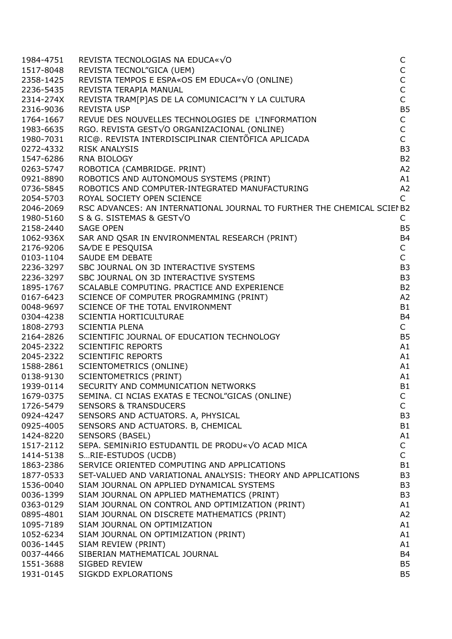| 1984-4751 | REVISTA TECNOLOGIAS NA EDUCA«√O                                         | C              |
|-----------|-------------------------------------------------------------------------|----------------|
| 1517-8048 | REVISTA TECNOL"GICA (UEM)                                               | $\mathsf C$    |
| 2358-1425 | REVISTA TEMPOS E ESPA«OS EM EDUCA«√O (ONLINE)                           | $\mathsf C$    |
| 2236-5435 | REVISTA TERAPIA MANUAL                                                  | $\mathsf{C}$   |
| 2314-274X | REVISTA TRAM[P]AS DE LA COMUNICACI"N Y LA CULTURA                       | $\overline{C}$ |
| 2316-9036 | <b>REVISTA USP</b>                                                      | <b>B5</b>      |
| 1764-1667 | REVUE DES NOUVELLES TECHNOLOGIES DE L'INFORMATION                       | $\mathsf C$    |
| 1983-6635 | RGO. REVISTA GESTVO ORGANIZACIONAL (ONLINE)                             | $\mathsf C$    |
| 1980-7031 | RIC@. REVISTA INTERDISCIPLINAR CIENTÕFICA APLICADA                      | $\mathsf{C}$   |
| 0272-4332 | <b>RISK ANALYSIS</b>                                                    | B <sub>3</sub> |
| 1547-6286 | RNA BIOLOGY                                                             | <b>B2</b>      |
| 0263-5747 | ROBOTICA (CAMBRIDGE. PRINT)                                             | A <sub>2</sub> |
| 0921-8890 | ROBOTICS AND AUTONOMOUS SYSTEMS (PRINT)                                 | A1             |
| 0736-5845 | ROBOTICS AND COMPUTER-INTEGRATED MANUFACTURING                          | A <sub>2</sub> |
| 2054-5703 | ROYAL SOCIETY OPEN SCIENCE                                              | $\mathsf{C}$   |
| 2046-2069 | RSC ADVANCES: AN INTERNATIONAL JOURNAL TO FURTHER THE CHEMICAL SCIEI B2 |                |
| 1980-5160 | S & G. SISTEMAS & GESTVO                                                | C              |
| 2158-2440 | <b>SAGE OPEN</b>                                                        | <b>B5</b>      |
| 1062-936X | SAR AND QSAR IN ENVIRONMENTAL RESEARCH (PRINT)                          | B <sub>4</sub> |
| 2176-9206 | SA/DE E PESQUISA                                                        | $\mathsf C$    |
| 0103-1104 | <b>SAUDE EM DEBATE</b>                                                  | $\mathsf{C}$   |
| 2236-3297 | SBC JOURNAL ON 3D INTERACTIVE SYSTEMS                                   | B <sub>3</sub> |
| 2236-3297 | SBC JOURNAL ON 3D INTERACTIVE SYSTEMS                                   | B <sub>3</sub> |
| 1895-1767 | SCALABLE COMPUTING. PRACTICE AND EXPERIENCE                             | <b>B2</b>      |
| 0167-6423 | SCIENCE OF COMPUTER PROGRAMMING (PRINT)                                 | A <sub>2</sub> |
| 0048-9697 | SCIENCE OF THE TOTAL ENVIRONMENT                                        | B <sub>1</sub> |
| 0304-4238 | SCIENTIA HORTICULTURAE                                                  | <b>B4</b>      |
| 1808-2793 | <b>SCIENTIA PLENA</b>                                                   | $\mathsf{C}$   |
| 2164-2826 | SCIENTIFIC JOURNAL OF EDUCATION TECHNOLOGY                              | <b>B5</b>      |
| 2045-2322 | <b>SCIENTIFIC REPORTS</b>                                               | A1             |
| 2045-2322 | <b>SCIENTIFIC REPORTS</b>                                               | A1             |
| 1588-2861 | <b>SCIENTOMETRICS (ONLINE)</b>                                          | A1             |
| 0138-9130 | <b>SCIENTOMETRICS (PRINT)</b>                                           | A1             |
| 1939-0114 | SECURITY AND COMMUNICATION NETWORKS                                     | B <sub>1</sub> |
| 1679-0375 | SEMINA. CI NCIAS EXATAS E TECNOL"GICAS (ONLINE)                         | C              |
| 1726-5479 | <b>SENSORS &amp; TRANSDUCERS</b>                                        | $\mathsf{C}$   |
| 0924-4247 | SENSORS AND ACTUATORS. A, PHYSICAL                                      | B <sub>3</sub> |
| 0925-4005 | SENSORS AND ACTUATORS. B, CHEMICAL                                      | <b>B1</b>      |
| 1424-8220 | <b>SENSORS (BASEL)</b>                                                  | A1             |
| 1517-2112 | SEPA. SEMINIRIO ESTUDANTIL DE PRODU«VO ACAD MICA                        | C              |
| 1414-5138 | SRIE-ESTUDOS (UCDB)                                                     | $\mathsf{C}$   |
| 1863-2386 | SERVICE ORIENTED COMPUTING AND APPLICATIONS                             | <b>B1</b>      |
| 1877-0533 | SET-VALUED AND VARIATIONAL ANALYSIS: THEORY AND APPLICATIONS            | B <sub>3</sub> |
| 1536-0040 | SIAM JOURNAL ON APPLIED DYNAMICAL SYSTEMS                               | B <sub>3</sub> |
| 0036-1399 | SIAM JOURNAL ON APPLIED MATHEMATICS (PRINT)                             | B <sub>3</sub> |
| 0363-0129 | SIAM JOURNAL ON CONTROL AND OPTIMIZATION (PRINT)                        | A1             |
| 0895-4801 | SIAM JOURNAL ON DISCRETE MATHEMATICS (PRINT)                            | A2             |
| 1095-7189 | SIAM JOURNAL ON OPTIMIZATION                                            | A1             |
| 1052-6234 | SIAM JOURNAL ON OPTIMIZATION (PRINT)                                    | A1             |
| 0036-1445 | SIAM REVIEW (PRINT)                                                     | A1             |
| 0037-4466 | SIBERIAN MATHEMATICAL JOURNAL                                           | <b>B4</b>      |
| 1551-3688 | SIGBED REVIEW                                                           | B <sub>5</sub> |
| 1931-0145 | SIGKDD EXPLORATIONS                                                     | B <sub>5</sub> |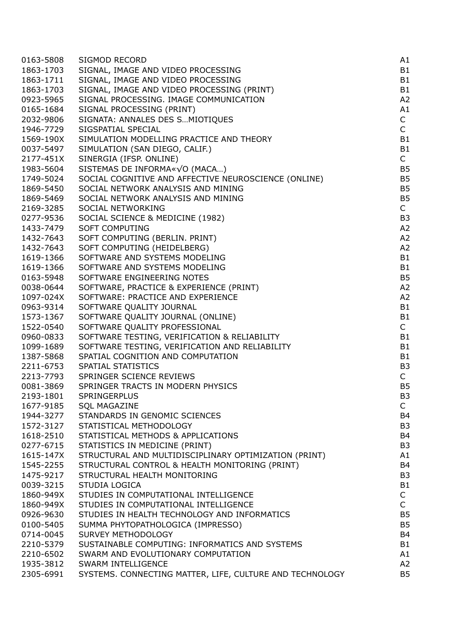| 0163-5808 | SIGMOD RECORD                                            | A1                           |
|-----------|----------------------------------------------------------|------------------------------|
| 1863-1703 | SIGNAL, IMAGE AND VIDEO PROCESSING                       | B1                           |
| 1863-1711 | SIGNAL, IMAGE AND VIDEO PROCESSING                       | <b>B1</b>                    |
| 1863-1703 | SIGNAL, IMAGE AND VIDEO PROCESSING (PRINT)               | <b>B1</b>                    |
| 0923-5965 | SIGNAL PROCESSING. IMAGE COMMUNICATION                   | A <sub>2</sub>               |
| 0165-1684 | SIGNAL PROCESSING (PRINT)                                | A1                           |
| 2032-9806 | SIGNATA: ANNALES DES S MIOTIQUES                         | $\mathsf{C}$                 |
| 1946-7729 | SIGSPATIAL SPECIAL                                       | $\mathsf{C}$                 |
| 1569-190X | SIMULATION MODELLING PRACTICE AND THEORY                 | <b>B1</b>                    |
| 0037-5497 | SIMULATION (SAN DIEGO, CALIF.)                           | <b>B1</b>                    |
| 2177-451X | SINERGIA (IFSP. ONLINE)                                  | $\mathsf{C}$                 |
| 1983-5604 | SISTEMAS DE INFORMA«VO (MACA)                            | <b>B5</b>                    |
| 1749-5024 | SOCIAL COGNITIVE AND AFFECTIVE NEUROSCIENCE (ONLINE)     | B <sub>5</sub>               |
| 1869-5450 | SOCIAL NETWORK ANALYSIS AND MINING                       | B <sub>5</sub>               |
| 1869-5469 | SOCIAL NETWORK ANALYSIS AND MINING                       | B <sub>5</sub>               |
| 2169-3285 | SOCIAL NETWORKING                                        | $\mathsf{C}$                 |
| 0277-9536 | SOCIAL SCIENCE & MEDICINE (1982)                         | B <sub>3</sub>               |
| 1433-7479 | <b>SOFT COMPUTING</b>                                    | A <sub>2</sub>               |
| 1432-7643 | SOFT COMPUTING (BERLIN. PRINT)                           | A <sub>2</sub>               |
| 1432-7643 | SOFT COMPUTING (HEIDELBERG)                              | A <sub>2</sub>               |
| 1619-1366 | SOFTWARE AND SYSTEMS MODELING                            | <b>B1</b>                    |
| 1619-1366 | SOFTWARE AND SYSTEMS MODELING                            | <b>B1</b>                    |
| 0163-5948 | SOFTWARE ENGINEERING NOTES                               | B <sub>5</sub>               |
| 0038-0644 | SOFTWARE, PRACTICE & EXPERIENCE (PRINT)                  | A <sub>2</sub>               |
| 1097-024X | SOFTWARE: PRACTICE AND EXPERIENCE                        | A <sub>2</sub>               |
| 0963-9314 | SOFTWARE QUALITY JOURNAL                                 | <b>B1</b>                    |
| 1573-1367 | SOFTWARE QUALITY JOURNAL (ONLINE)                        | <b>B1</b>                    |
| 1522-0540 | SOFTWARE QUALITY PROFESSIONAL                            | $\mathsf{C}$                 |
| 0960-0833 | SOFTWARE TESTING, VERIFICATION & RELIABILITY             | <b>B1</b>                    |
| 1099-1689 | SOFTWARE TESTING, VERIFICATION AND RELIABILITY           | <b>B1</b>                    |
| 1387-5868 | SPATIAL COGNITION AND COMPUTATION                        | <b>B1</b>                    |
| 2211-6753 | SPATIAL STATISTICS                                       | B <sub>3</sub>               |
| 2213-7793 | SPRINGER SCIENCE REVIEWS                                 | $\mathsf{C}$                 |
| 0081-3869 | SPRINGER TRACTS IN MODERN PHYSICS                        | B <sub>5</sub>               |
| 2193-1801 | SPRINGERPLUS                                             | B <sub>3</sub>               |
| 1677-9185 | <b>SQL MAGAZINE</b>                                      | $\mathsf{C}$                 |
| 1944-3277 | STANDARDS IN GENOMIC SCIENCES                            | B <sub>4</sub>               |
| 1572-3127 | STATISTICAL METHODOLOGY                                  | B <sub>3</sub>               |
| 1618-2510 | STATISTICAL METHODS & APPLICATIONS                       | <b>B4</b>                    |
| 0277-6715 | STATISTICS IN MEDICINE (PRINT)                           | B <sub>3</sub>               |
| 1615-147X | STRUCTURAL AND MULTIDISCIPLINARY OPTIMIZATION (PRINT)    | A1                           |
| 1545-2255 | STRUCTURAL CONTROL & HEALTH MONITORING (PRINT)           | B <sub>4</sub>               |
| 1475-9217 | STRUCTURAL HEALTH MONITORING                             | B <sub>3</sub>               |
| 0039-3215 | <b>STUDIA LOGICA</b>                                     |                              |
|           |                                                          | B <sub>1</sub>               |
| 1860-949X | STUDIES IN COMPUTATIONAL INTELLIGENCE                    | $\mathsf{C}$<br>$\mathsf{C}$ |
| 1860-949X | STUDIES IN COMPUTATIONAL INTELLIGENCE                    |                              |
| 0926-9630 | STUDIES IN HEALTH TECHNOLOGY AND INFORMATICS             | B <sub>5</sub>               |
| 0100-5405 | SUMMA PHYTOPATHOLOGICA (IMPRESSO)                        | B <sub>5</sub>               |
| 0714-0045 | SURVEY METHODOLOGY                                       | B <sub>4</sub>               |
| 2210-5379 | SUSTAINABLE COMPUTING: INFORMATICS AND SYSTEMS           | <b>B1</b>                    |
| 2210-6502 | SWARM AND EVOLUTIONARY COMPUTATION                       | A1                           |
| 1935-3812 | <b>SWARM INTELLIGENCE</b>                                | A <sub>2</sub>               |
| 2305-6991 | SYSTEMS. CONNECTING MATTER, LIFE, CULTURE AND TECHNOLOGY | <b>B5</b>                    |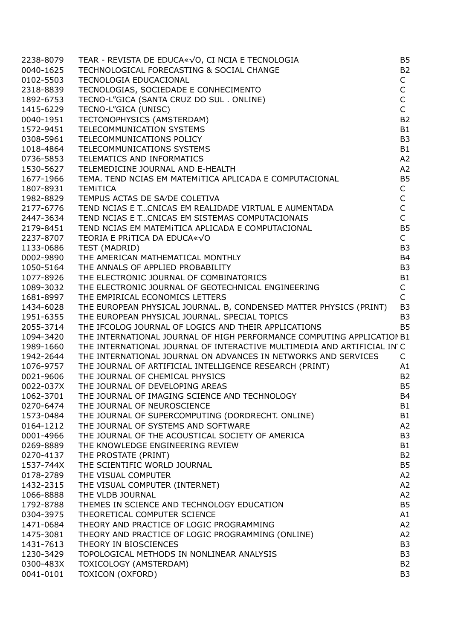| 2238-8079 |                                                                                                                                                                                                                                                  | B <sub>5</sub> |
|-----------|--------------------------------------------------------------------------------------------------------------------------------------------------------------------------------------------------------------------------------------------------|----------------|
| 0040-1625 |                                                                                                                                                                                                                                                  | <b>B2</b>      |
| 0102-5503 | TEAR - REVISTA DE EDUCA«√O, CI NCIA E TECNOLOGIA<br>TECHNOLOGICAL FORECASTING & SOCIAL CHANGE<br>TECNOLOGIA EDUCACIONAL<br>TECNOLOGIAS, SOCIEDADE E CONHECIMENTO<br>TECNO-L"GICA (SANTA CRUZ DO SUL . ONLINE)<br>TECNO-L"GICA (UNISC)<br>TECNO-L | $\mathsf{C}$   |
| 2318-8839 |                                                                                                                                                                                                                                                  | $\mathsf C$    |
| 1892-6753 |                                                                                                                                                                                                                                                  | $\mathsf C$    |
| 1415-6229 |                                                                                                                                                                                                                                                  | $\mathsf{C}$   |
| 0040-1951 |                                                                                                                                                                                                                                                  | <b>B2</b>      |
| 1572-9451 |                                                                                                                                                                                                                                                  | <b>B1</b>      |
| 0308-5961 |                                                                                                                                                                                                                                                  | B <sub>3</sub> |
| 1018-4864 |                                                                                                                                                                                                                                                  | <b>B1</b>      |
| 0736-5853 |                                                                                                                                                                                                                                                  | A2             |
| 1530-5627 | TELEMEDICINE JOURNAL AND E-HEALTH                                                                                                                                                                                                                | A2             |
| 1677-1966 |                                                                                                                                                                                                                                                  | <b>B5</b>      |
|           | TEMITICA                                                                                                                                                                                                                                         | $\mathsf{C}$   |
| 1807-8931 | TEMPUS ACTAS DE SA/DE COLETIVA                                                                                                                                                                                                                   |                |
| 1982-8829 |                                                                                                                                                                                                                                                  | $\frac{C}{C}$  |
| 2177-6776 | TEND NCIAS E TCNICAS EM REALIDADE VIRTUAL E AUMENTADA<br>TEND NCIAS E TCNICAS EM REALIDADE VIRTUAL E AUMENTADA                                                                                                                                   | $\mathsf{C}$   |
| 2447-3634 | TEND NCIAS E TCNICAS EM SISTEMAS COMPUTACIONAIS                                                                                                                                                                                                  |                |
| 2179-8451 | TEND NCIAS EM MATEMITICA APLICADA E COMPUTACIONAL                                                                                                                                                                                                | <b>B5</b>      |
| 2237-8707 | TEORIA E PRITICA DA EDUCA«√O<br>TEST (MADRID)<br>THE AMERICAN MATHEMATICAL MONTHLY<br>THE ANNALS OF APPLIED PROBABILITY<br>THE ELECTRONIC JOURNAL OF COMBINATORICS<br>THE ELECTRONIC JOURNAL OF GEOTECHNICAL ENGINEERING<br>THE ELECTRONIC JOURN | $\mathsf{C}$   |
| 1133-0686 |                                                                                                                                                                                                                                                  | B <sub>3</sub> |
| 0002-9890 |                                                                                                                                                                                                                                                  | <b>B4</b>      |
| 1050-5164 |                                                                                                                                                                                                                                                  | B <sub>3</sub> |
| 1077-8926 |                                                                                                                                                                                                                                                  | <b>B1</b>      |
| 1089-3032 |                                                                                                                                                                                                                                                  | $\mathsf{C}$   |
| 1681-8997 | THE EMPIRICAL ECONOMICS LETTERS                                                                                                                                                                                                                  | $\mathsf{C}$   |
| 1434-6028 | THE EUROPEAN PHYSICAL JOURNAL. B, CONDENSED MATTER PHYSICS (PRINT)                                                                                                                                                                               | B <sub>3</sub> |
| 1951-6355 | THE EUROPEAN PHYSICAL JOURNAL. SPECIAL TOPICS                                                                                                                                                                                                    | B <sub>3</sub> |
| 2055-3714 | THE IFCOLOG JOURNAL OF LOGICS AND THEIR APPLICATIONS                                                                                                                                                                                             | <b>B5</b>      |
| 1094-3420 | THE INTERNATIONAL JOURNAL OF HIGH PERFORMANCE COMPUTING APPLICATION B1                                                                                                                                                                           |                |
| 1989-1660 | THE INTERNATIONAL JOURNAL OF INTERACTIVE MULTIMEDIA AND ARTIFICIAL IN C                                                                                                                                                                          |                |
| 1942-2644 | THE INTERNATIONAL JOURNAL ON ADVANCES IN NETWORKS AND SERVICES                                                                                                                                                                                   | C              |
| 1076-9757 | THE JOURNAL OF ARTIFICIAL INTELLIGENCE RESEARCH (PRINT)                                                                                                                                                                                          | A1             |
| 0021-9606 | THE JOURNAL OF CHEMICAL PHYSICS                                                                                                                                                                                                                  | <b>B2</b>      |
| 0022-037X | THE JOURNAL OF DEVELOPING AREAS                                                                                                                                                                                                                  | <b>B5</b>      |
| 1062-3701 | THE JOURNAL OF IMAGING SCIENCE AND TECHNOLOGY                                                                                                                                                                                                    | <b>B4</b>      |
| 0270-6474 | THE JOURNAL OF NEUROSCIENCE                                                                                                                                                                                                                      | B1             |
| 1573-0484 | THE JOURNAL OF SUPERCOMPUTING (DORDRECHT. ONLINE)                                                                                                                                                                                                | <b>B1</b>      |
| 0164-1212 | THE JOURNAL OF SYSTEMS AND SOFTWARE                                                                                                                                                                                                              | A2             |
| 0001-4966 | THE JOURNAL OF THE ACOUSTICAL SOCIETY OF AMERICA                                                                                                                                                                                                 | B <sub>3</sub> |
| 0269-8889 | THE KNOWLEDGE ENGINEERING REVIEW                                                                                                                                                                                                                 | B <sub>1</sub> |
| 0270-4137 | THE PROSTATE (PRINT)                                                                                                                                                                                                                             | <b>B2</b>      |
| 1537-744X | THE SCIENTIFIC WORLD JOURNAL                                                                                                                                                                                                                     | B <sub>5</sub> |
| 0178-2789 | THE VISUAL COMPUTER                                                                                                                                                                                                                              | A2             |
| 1432-2315 | THE VISUAL COMPUTER (INTERNET)                                                                                                                                                                                                                   | A <sub>2</sub> |
| 1066-8888 | THE VLDB JOURNAL                                                                                                                                                                                                                                 | A <sub>2</sub> |
| 1792-8788 | THEMES IN SCIENCE AND TECHNOLOGY EDUCATION                                                                                                                                                                                                       | <b>B5</b>      |
| 0304-3975 | THEORETICAL COMPUTER SCIENCE                                                                                                                                                                                                                     | A1             |
| 1471-0684 | THEORY AND PRACTICE OF LOGIC PROGRAMMING                                                                                                                                                                                                         | A2             |
| 1475-3081 | THEORY AND PRACTICE OF LOGIC PROGRAMMING (ONLINE)                                                                                                                                                                                                | A2             |
| 1431-7613 | THEORY IN BIOSCIENCES                                                                                                                                                                                                                            | B <sub>3</sub> |
| 1230-3429 | TOPOLOGICAL METHODS IN NONLINEAR ANALYSIS                                                                                                                                                                                                        | B <sub>3</sub> |
| 0300-483X | TOXICOLOGY (AMSTERDAM)                                                                                                                                                                                                                           | B <sub>2</sub> |
| 0041-0101 | <b>TOXICON (OXFORD)</b>                                                                                                                                                                                                                          | B <sub>3</sub> |
|           |                                                                                                                                                                                                                                                  |                |